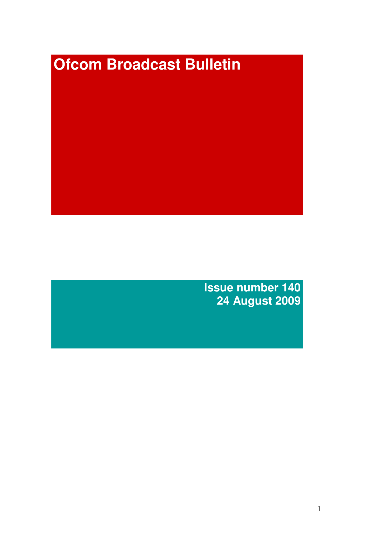# **Ofcom Broadcast Bulletin**

**Issue number 140 24 August 2009**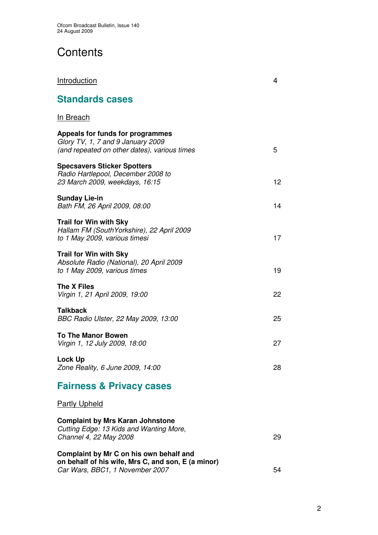# **Contents**

| <b>Introduction</b>                                                                                                              | 4  |
|----------------------------------------------------------------------------------------------------------------------------------|----|
| <b>Standards cases</b>                                                                                                           |    |
| <u>In Breach</u>                                                                                                                 |    |
| Appeals for funds for programmes<br>Glory TV, 1, 7 and 9 January 2009<br>(and repeated on other dates), various times            | 5  |
| <b>Specsavers Sticker Spotters</b><br>Radio Hartlepool, December 2008 to<br>23 March 2009, weekdays, 16:15                       | 12 |
| <b>Sunday Lie-in</b><br>Bath FM, 26 April 2009, 08:00                                                                            | 14 |
| <b>Trail for Win with Sky</b><br>Hallam FM (SouthYorkshire), 22 April 2009<br>to 1 May 2009, various timesi                      | 17 |
| <b>Trail for Win with Sky</b><br>Absolute Radio (National), 20 April 2009<br>to 1 May 2009, various times                        | 19 |
| The X Files<br>Virgin 1, 21 April 2009, 19:00                                                                                    | 22 |
| <b>Talkback</b><br>BBC Radio Ulster, 22 May 2009, 13:00                                                                          | 25 |
| <b>To The Manor Bowen</b><br>Virgin 1, 12 July 2009, 18:00                                                                       | 27 |
| <b>Lock Up</b><br>Zone Reality, 6 June 2009, 14:00                                                                               | 28 |
| <b>Fairness &amp; Privacy cases</b>                                                                                              |    |
| <b>Partly Upheld</b>                                                                                                             |    |
| <b>Complaint by Mrs Karan Johnstone</b><br>Cutting Edge: 13 Kids and Wanting More,<br>Channel 4, 22 May 2008                     | 29 |
| Complaint by Mr C on his own behalf and<br>on behalf of his wife, Mrs C, and son, E (a minor)<br>Car Wars, BBC1, 1 November 2007 | 54 |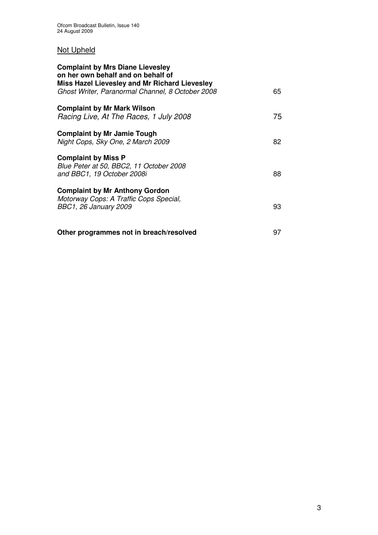## Not Upheld

| <b>Complaint by Mrs Diane Lievesley</b><br>on her own behalf and on behalf of<br>Miss Hazel Lievesley and Mr Richard Lievesley |    |
|--------------------------------------------------------------------------------------------------------------------------------|----|
| Ghost Writer, Paranormal Channel, 8 October 2008                                                                               | 65 |
| <b>Complaint by Mr Mark Wilson</b><br>Racing Live, At The Races, 1 July 2008                                                   | 75 |
| <b>Complaint by Mr Jamie Tough</b><br>Night Cops, Sky One, 2 March 2009                                                        | 82 |
| <b>Complaint by Miss P</b><br>Blue Peter at 50, BBC2, 11 October 2008<br>and BBC1, 19 October 2008i                            | 88 |
| <b>Complaint by Mr Anthony Gordon</b><br>Motorway Cops: A Traffic Cops Special,<br><b>BBC1, 26 January 2009</b>                | 93 |
| Other programmes not in breach/resolved                                                                                        | 97 |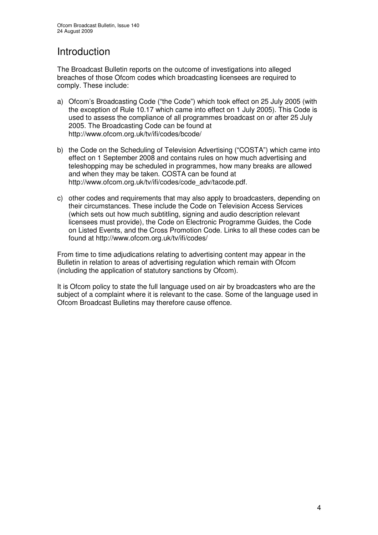## Introduction

The Broadcast Bulletin reports on the outcome of investigations into alleged breaches of those Ofcom codes which broadcasting licensees are required to comply. These include:

- a) Ofcom's Broadcasting Code ("the Code") which took effect on 25 July 2005 (with the exception of Rule 10.17 which came into effect on 1 July 2005). This Code is used to assess the compliance of all programmes broadcast on or after 25 July 2005. The Broadcasting Code can be found at http://www.ofcom.org.uk/tv/ifi/codes/bcode/
- b) the Code on the Scheduling of Television Advertising ("COSTA") which came into effect on 1 September 2008 and contains rules on how much advertising and teleshopping may be scheduled in programmes, how many breaks are allowed and when they may be taken. COSTA can be found at http://www.ofcom.org.uk/tv/ifi/codes/code\_adv/tacode.pdf.
- c) other codes and requirements that may also apply to broadcasters, depending on their circumstances. These include the Code on Television Access Services (which sets out how much subtitling, signing and audio description relevant licensees must provide), the Code on Electronic Programme Guides, the Code on Listed Events, and the Cross Promotion Code. Links to all these codes can be found at http://www.ofcom.org.uk/tv/ifi/codes/

From time to time adjudications relating to advertising content may appear in the Bulletin in relation to areas of advertising regulation which remain with Ofcom (including the application of statutory sanctions by Ofcom).

It is Ofcom policy to state the full language used on air by broadcasters who are the subject of a complaint where it is relevant to the case. Some of the language used in Ofcom Broadcast Bulletins may therefore cause offence.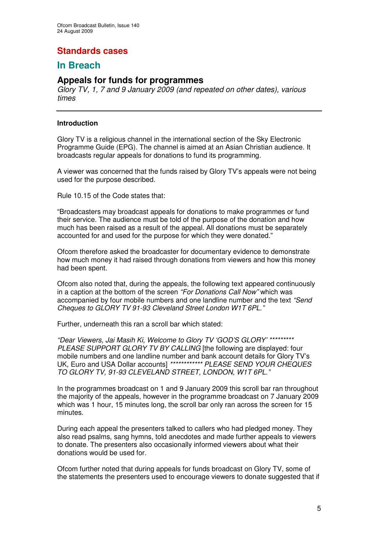## **Standards cases**

## **In Breach**

## **Appeals for funds for programmes**

*Glory TV, 1, 7 and 9 January 2009 (and repeated on other dates), various times*

## **Introduction**

Glory TV is a religious channel in the international section of the Sky Electronic Programme Guide (EPG). The channel is aimed at an Asian Christian audience. It broadcasts regular appeals for donations to fund its programming.

A viewer was concerned that the funds raised by Glory TV's appeals were not being used for the purpose described.

Rule 10.15 of the Code states that:

"Broadcasters may broadcast appeals for donations to make programmes or fund their service. The audience must be told of the purpose of the donation and how much has been raised as a result of the appeal. All donations must be separately accounted for and used for the purpose for which they were donated."

Ofcom therefore asked the broadcaster for documentary evidence to demonstrate how much money it had raised through donations from viewers and how this money had been spent.

Ofcom also noted that, during the appeals, the following text appeared continuously in a caption at the bottom of the screen *"For Donations Call Now"* which was accompanied by four mobile numbers and one landline number and the text *"Send Cheques to GLORY TV 91-93 Cleveland Street London W1T 6PL."*

Further, underneath this ran a scroll bar which stated:

*"Dear Viewers, Jai Masih Ki, Welcome to Glory TV 'GOD'S GLORY' \*\*\*\*\*\*\*\*\* PLEASE SUPPORT GLORY TV BY CALLING* [the following are displayed: four mobile numbers and one landline number and bank account details for Glory TV's UK, Euro and USA Dollar accounts] *\*\*\*\*\*\*\*\*\*\*\*\* PLEASE SEND YOUR CHEQUES TO GLORY TV, 91-93 CLEVELAND STREET, LONDON, W1T 6PL."*

In the programmes broadcast on 1 and 9 January 2009 this scroll bar ran throughout the majority of the appeals, however in the programme broadcast on 7 January 2009 which was 1 hour, 15 minutes long, the scroll bar only ran across the screen for 15 minutes.

During each appeal the presenters talked to callers who had pledged money. They also read psalms, sang hymns, told anecdotes and made further appeals to viewers to donate. The presenters also occasionally informed viewers about what their donations would be used for.

Ofcom further noted that during appeals for funds broadcast on Glory TV, some of the statements the presenters used to encourage viewers to donate suggested that if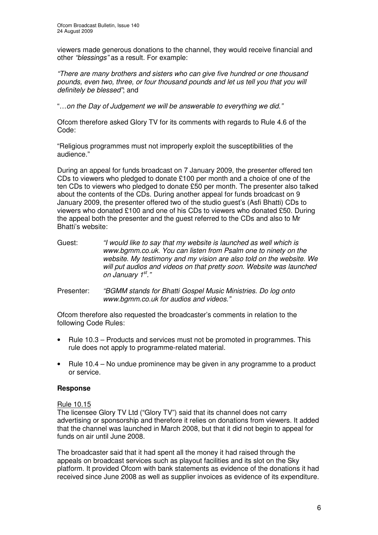viewers made generous donations to the channel, they would receive financial and other *"blessings"* as a result. For example:

*"There are many brothers and sisters who can give five hundred or one thousand pounds, even two, three, or four thousand pounds and let us tell you that you will definitely be blessed"*; and

"…*on the Day of Judgement we will be answerable to everything we did."*

Ofcom therefore asked Glory TV for its comments with regards to Rule 4.6 of the Code:

"Religious programmes must not improperly exploit the susceptibilities of the audience."

During an appeal for funds broadcast on 7 January 2009, the presenter offered ten CDs to viewers who pledged to donate £100 per month and a choice of one of the ten CDs to viewers who pledged to donate £50 per month. The presenter also talked about the contents of the CDs. During another appeal for funds broadcast on 9 January 2009, the presenter offered two of the studio guest's (Asfi Bhatti) CDs to viewers who donated £100 and one of his CDs to viewers who donated £50. During the appeal both the presenter and the guest referred to the CDs and also to Mr Bhatti's website:

- Guest: *"I would like to say that my website is launched as well which is www.bgmm.co.uk. You can listen from Psalm one to ninety on the website. My testimony and my vision are also told on the website. We will put audios and videos on that pretty soon. Website was launched on January 1 st ."*
- Presenter: *"BGMM stands for Bhatti Gospel Music Ministries. Do log onto www.bgmm.co.uk for audios and videos."*

Ofcom therefore also requested the broadcaster's comments in relation to the following Code Rules:

- Rule 10.3 Products and services must not be promoted in programmes. This rule does not apply to programme-related material.
- Rule 10.4 No undue prominence may be given in any programme to a product or service.

## **Response**

#### Rule 10.15

The licensee Glory TV Ltd ("Glory TV") said that its channel does not carry advertising or sponsorship and therefore it relies on donations from viewers. It added that the channel was launched in March 2008, but that it did not begin to appeal for funds on air until June 2008.

The broadcaster said that it had spent all the money it had raised through the appeals on broadcast services such as playout facilities and its slot on the Sky platform. It provided Ofcom with bank statements as evidence of the donations it had received since June 2008 as well as supplier invoices as evidence of its expenditure.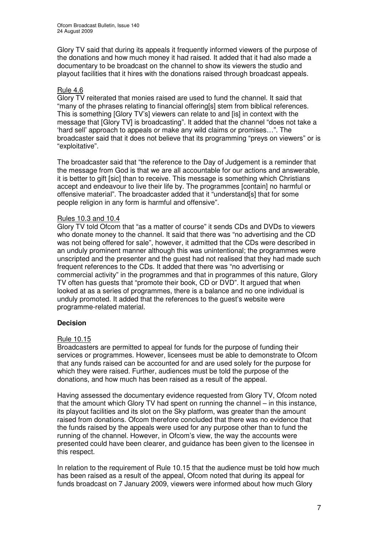Glory TV said that during its appeals it frequently informed viewers of the purpose of the donations and how much money it had raised. It added that it had also made a documentary to be broadcast on the channel to show its viewers the studio and playout facilities that it hires with the donations raised through broadcast appeals.

## Rule 4.6

Glory TV reiterated that monies raised are used to fund the channel. It said that "many of the phrases relating to financial offering[s] stem from biblical references. This is something [Glory TV's] viewers can relate to and [is] in context with the message that [Glory TV] is broadcasting". It added that the channel "does not take a 'hard sell' approach to appeals or make any wild claims or promises…". The broadcaster said that it does not believe that its programming "preys on viewers" or is "exploitative".

The broadcaster said that "the reference to the Day of Judgement is a reminder that the message from God is that we are all accountable for our actions and answerable, it is better to gift [sic] than to receive. This message is something which Christians accept and endeavour to live their life by. The programmes [contain] no harmful or offensive material". The broadcaster added that it "understand[s] that for some people religion in any form is harmful and offensive".

## Rules 10.3 and 10.4

Glory TV told Ofcom that "as a matter of course" it sends CDs and DVDs to viewers who donate money to the channel. It said that there was "no advertising and the CD was not being offered for sale", however, it admitted that the CDs were described in an unduly prominent manner although this was unintentional; the programmes were unscripted and the presenter and the guest had not realised that they had made such frequent references to the CDs. It added that there was "no advertising or commercial activity" in the programmes and that in programmes of this nature, Glory TV often has guests that "promote their book, CD or DVD". It argued that when looked at as a series of programmes, there is a balance and no one individual is unduly promoted. It added that the references to the guest's website were programme-related material.

## **Decision**

## Rule 10.15

Broadcasters are permitted to appeal for funds for the purpose of funding their services or programmes. However, licensees must be able to demonstrate to Ofcom that any funds raised can be accounted for and are used solely for the purpose for which they were raised. Further, audiences must be told the purpose of the donations, and how much has been raised as a result of the appeal.

Having assessed the documentary evidence requested from Glory TV, Ofcom noted that the amount which Glory TV had spent on running the channel – in this instance, its playout facilities and its slot on the Sky platform, was greater than the amount raised from donations. Ofcom therefore concluded that there was no evidence that the funds raised by the appeals were used for any purpose other than to fund the running of the channel. However, in Ofcom's view, the way the accounts were presented could have been clearer, and guidance has been given to the licensee in this respect.

In relation to the requirement of Rule 10.15 that the audience must be told how much has been raised as a result of the appeal, Ofcom noted that during its appeal for funds broadcast on 7 January 2009, viewers were informed about how much Glory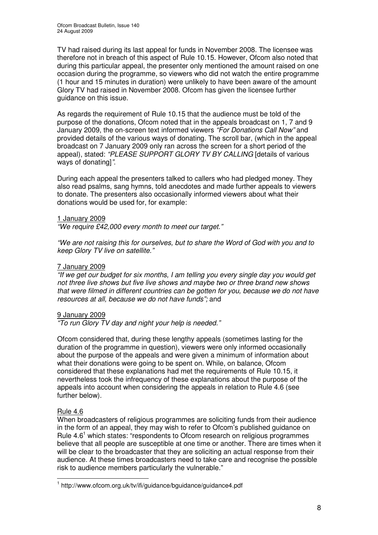TV had raised during its last appeal for funds in November 2008. The licensee was therefore not in breach of this aspect of Rule 10.15. However, Ofcom also noted that during this particular appeal, the presenter only mentioned the amount raised on one occasion during the programme, so viewers who did not watch the entire programme (1 hour and 15 minutes in duration) were unlikely to have been aware of the amount Glory TV had raised in November 2008. Ofcom has given the licensee further guidance on this issue.

As regards the requirement of Rule 10.15 that the audience must be told of the purpose of the donations, Ofcom noted that in the appeals broadcast on 1, 7 and 9 January 2009, the on-screen text informed viewers *"For Donations Call Now"* and provided details of the various ways of donating. The scroll bar, (which in the appeal broadcast on 7 January 2009 only ran across the screen for a short period of the appeal), stated: *"PLEASE SUPPORT GLORY TV BY CALLING* [details of various ways of donating]*"*.

During each appeal the presenters talked to callers who had pledged money. They also read psalms, sang hymns, told anecdotes and made further appeals to viewers to donate. The presenters also occasionally informed viewers about what their donations would be used for, for example:

#### 1 January 2009

*"We require £42,000 every month to meet our target."*

*"We are not raising this for ourselves, but to share the Word of God with you and to keep Glory TV live on satellite."*

#### 7 January 2009

*"If we get our budget for six months, I am telling you every single day you would get not three live shows but five live shows and maybe two or three brand new shows that were filmed in different countries can be gotten for you, because we do not have resources at all, because we do not have funds";* and

## 9 January 2009

*"To run Glory TV day and night your help is needed."*

Ofcom considered that, during these lengthy appeals (sometimes lasting for the duration of the programme in question), viewers were only informed occasionally about the purpose of the appeals and were given a minimum of information about what their donations were going to be spent on. While, on balance, Ofcom considered that these explanations had met the requirements of Rule 10.15, it nevertheless took the infrequency of these explanations about the purpose of the appeals into account when considering the appeals in relation to Rule 4.6 (see further below).

## Rule 4.6

When broadcasters of religious programmes are soliciting funds from their audience in the form of an appeal, they may wish to refer to Ofcom's published guidance on Rule 4.6<sup>1</sup> which states: "respondents to Ofcom research on religious programmes believe that all people are susceptible at one time or another. There are times when it will be clear to the broadcaster that they are soliciting an actual response from their audience. At these times broadcasters need to take care and recognise the possible risk to audience members particularly the vulnerable."

<sup>1</sup> http://www.ofcom.org.uk/tv/ifi/guidance/bguidance/guidance4.pdf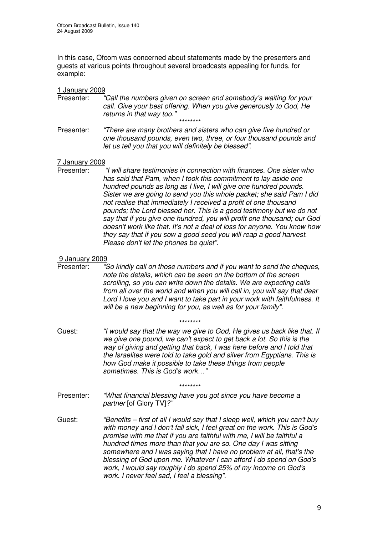In this case, Ofcom was concerned about statements made by the presenters and guests at various points throughout several broadcasts appealing for funds, for example:

#### 1 January 2009

- Presenter: *"Call the numbers given on screen and somebody's waiting for your call. Give your best offering. When you give generously to God, He returns in that way too." \*\*\*\*\*\*\*\**
- Presenter: *"There are many brothers and sisters who can give five hundred or one thousand pounds, even two, three, or four thousand pounds and let us tell you that you will definitely be blessed".*

# 7 January 2009<br>Presenter:

Presenter: *"I will share testimonies in connection with finances. One sister who has said that Pam, when I took this commitment to lay aside one hundred pounds as long as I live, I will give one hundred pounds. Sister we are going to send you this whole packet; she said Pam I did not realise that immediately I received a profit of one thousand pounds; the Lord blessed her. This is a good testimony but we do not say that if you give one hundred, you will profit one thousand; our God doesn't work like that. It's not a deal of loss for anyone. You know how they say that if you sow a good seed you will reap a good harvest. Please don't let the phones be quiet".*

#### 9 January 2009

Presenter: *"So kindly call on those numbers and if you want to send the cheques, note the details, which can be seen on the bottom of the screen scrolling, so you can write down the details. We are expecting calls from all over the world and when you will call in, you will say that dear Lord I love you and I want to take part in your work with faithfulness. It will be a new beginning for you, as well as for your family".*

- *\*\*\*\*\*\*\*\**
- Guest: *"I would say that the way we give to God, He gives us back like that. If we give one pound, we can't expect to get back a lot. So this is the way of giving and getting that back, I was here before and I told that the Israelites were told to take gold and silver from Egyptians. This is how God make it possible to take these things from people sometimes. This is God's work…"*

*\*\*\*\*\*\*\*\**

- Presenter: *"What financial blessing have you got since you have become a partner* [of Glory TV]*?"*
- Guest: *"Benefits – first of all I would say that I sleep well, which you can't buy with money and I don't fall sick, I feel great on the work. This is God's promise with me that if you are faithful with me, I will be faithful a hundred times more than that you are so. One day I was sitting somewhere and I was saying that I have no problem at all, that's the blessing of God upon me. Whatever I can afford I do spend on God's work, I would say roughly I do spend 25% of my income on God's work. I never feel sad, I feel a blessing".*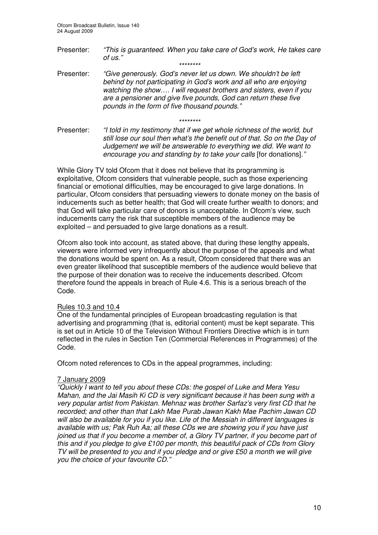Presenter: *"This is guaranteed. When you take care of God's work, He takes care*  $of$   $\mu$ s." *\*\*\*\*\*\*\*\**

Presenter: *"Give generously. God's never let us down. We shouldn't be left behind by not participating in God's work and all who are enjoying watching the show…. I will request brothers and sisters, even if you are a pensioner and give five pounds, God can return these five pounds in the form of five thousand pounds."*

*\*\*\*\*\*\*\*\**

Presenter: *"I told in my testimony that if we get whole richness of the world, but still lose our soul then what's the benefit out of that. So on the Day of Judgement we will be answerable to everything we did. We want to encourage you and standing by to take your calls* [for donations]*."*

While Glory TV told Ofcom that it does not believe that its programming is exploitative, Ofcom considers that vulnerable people, such as those experiencing financial or emotional difficulties, may be encouraged to give large donations. In particular, Ofcom considers that persuading viewers to donate money on the basis of inducements such as better health; that God will create further wealth to donors; and that God will take particular care of donors is unacceptable. In Ofcom's view, such inducements carry the risk that susceptible members of the audience may be exploited – and persuaded to give large donations as a result.

Ofcom also took into account, as stated above, that during these lengthy appeals, viewers were informed very infrequently about the purpose of the appeals and what the donations would be spent on. As a result, Ofcom considered that there was an even greater likelihood that susceptible members of the audience would believe that the purpose of their donation was to receive the inducements described. Ofcom therefore found the appeals in breach of Rule 4.6. This is a serious breach of the Code.

## Rules 10.3 and 10.4

One of the fundamental principles of European broadcasting regulation is that advertising and programming (that is, editorial content) must be kept separate. This is set out in Article 10 of the Television Without Frontiers Directive which is in turn reflected in the rules in Section Ten (Commercial References in Programmes) of the Code.

Ofcom noted references to CDs in the appeal programmes, including:

## 7 January 2009

*"Quickly I want to tell you about these CDs: the gospel of Luke and Mera Yesu Mahan, and the Jai Masih Ki CD is very significant because it has been sung with a very popular artist from Pakistan. Mehnaz was brother Sarfaz's very first CD that he recorded; and other than that Lakh Mae Purab Jawan Kakh Mae Pachim Jawan CD will also be available for you if you like. Life of the Messiah in different languages is available with us; Pak Ruh Aa; all these CDs we are showing you if you have just joined us that if you become a member of, a Glory TV partner, if you become part of this and if you pledge to give £100 per month, this beautiful pack of CDs from Glory TV will be presented to you and if you pledge and or give £50 a month we will give you the choice of your favourite CD."*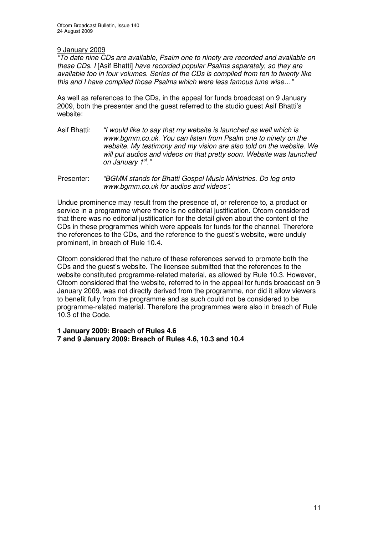## 9 January 2009

*"To date nine CDs are available, Psalm one to ninety are recorded and available on these CDs. I* [Asif Bhatti] *have recorded popular Psalms separately, so they are available too in four volumes. Series of the CDs is compiled from ten to twenty like this and I have compiled those Psalms which were less famous tune wise…"*

As well as references to the CDs, in the appeal for funds broadcast on 9 January 2009, both the presenter and the guest referred to the studio guest Asif Bhatti's website:

- Asif Bhatti: *"I would like to say that my website is launched as well which is www.bgmm.co.uk. You can listen from Psalm one to ninety on the website. My testimony and my vision are also told on the website. We will put audios and videos on that pretty soon. Website was launched on January 1 st ."*
- Presenter: *"BGMM stands for Bhatti Gospel Music Ministries. Do log onto www.bgmm.co.uk for audios and videos".*

Undue prominence may result from the presence of, or reference to, a product or service in a programme where there is no editorial justification. Ofcom considered that there was no editorial justification for the detail given about the content of the CDs in these programmes which were appeals for funds for the channel. Therefore the references to the CDs, and the reference to the guest's website, were unduly prominent, in breach of Rule 10.4.

Ofcom considered that the nature of these references served to promote both the CDs and the guest's website. The licensee submitted that the references to the website constituted programme-related material, as allowed by Rule 10.3. However, Ofcom considered that the website, referred to in the appeal for funds broadcast on 9 January 2009, was not directly derived from the programme, nor did it allow viewers to benefit fully from the programme and as such could not be considered to be programme-related material. Therefore the programmes were also in breach of Rule 10.3 of the Code.

**1 January 2009: Breach of Rules 4.6 7 and 9 January 2009: Breach of Rules 4.6, 10.3 and 10.4**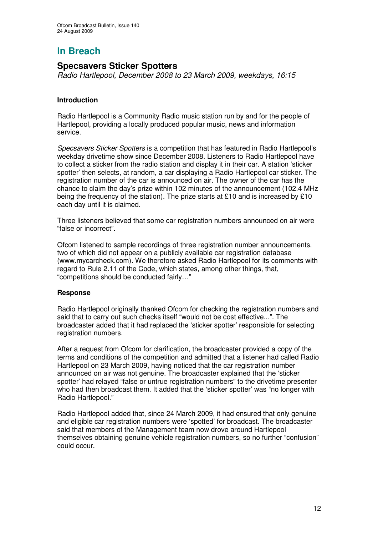## **Specsavers Sticker Spotters**

*Radio Hartlepool, December 2008 to 23 March 2009, weekdays, 16:15*

## **Introduction**

Radio Hartlepool is a Community Radio music station run by and for the people of Hartlepool, providing a locally produced popular music, news and information service.

*Specsavers Sticker Spotters* is a competition that has featured in Radio Hartlepool's weekday drivetime show since December 2008. Listeners to Radio Hartlepool have to collect a sticker from the radio station and display it in their car. A station 'sticker spotter' then selects, at random, a car displaying a Radio Hartlepool car sticker. The registration number of the car is announced on air. The owner of the car has the chance to claim the day's prize within 102 minutes of the announcement (102.4 MHz being the frequency of the station). The prize starts at £10 and is increased by £10 each day until it is claimed.

Three listeners believed that some car registration numbers announced on air were "false or incorrect".

Ofcom listened to sample recordings of three registration number announcements, two of which did not appear on a publicly available car registration database (www.mycarcheck.com). We therefore asked Radio Hartlepool for its comments with regard to Rule 2.11 of the Code, which states, among other things, that, "competitions should be conducted fairly…"

## **Response**

Radio Hartlepool originally thanked Ofcom for checking the registration numbers and said that to carry out such checks itself "would not be cost effective...". The broadcaster added that it had replaced the 'sticker spotter' responsible for selecting registration numbers.

After a request from Ofcom for clarification, the broadcaster provided a copy of the terms and conditions of the competition and admitted that a listener had called Radio Hartlepool on 23 March 2009, having noticed that the car registration number announced on air was not genuine. The broadcaster explained that the 'sticker spotter' had relayed "false or untrue registration numbers" to the drivetime presenter who had then broadcast them. It added that the 'sticker spotter' was "no longer with Radio Hartlepool."

Radio Hartlepool added that, since 24 March 2009, it had ensured that only genuine and eligible car registration numbers were 'spotted' for broadcast. The broadcaster said that members of the Management team now drove around Hartlepool themselves obtaining genuine vehicle registration numbers, so no further "confusion" could occur.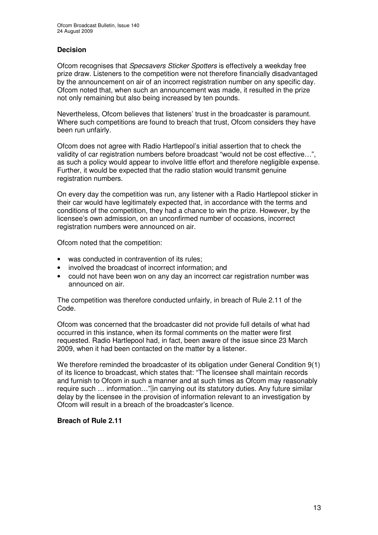## **Decision**

Ofcom recognises that *Specsavers Sticker Spotters* is effectively a weekday free prize draw. Listeners to the competition were not therefore financially disadvantaged by the announcement on air of an incorrect registration number on any specific day. Ofcom noted that, when such an announcement was made, it resulted in the prize not only remaining but also being increased by ten pounds.

Nevertheless, Ofcom believes that listeners' trust in the broadcaster is paramount. Where such competitions are found to breach that trust, Ofcom considers they have been run unfairly.

Ofcom does not agree with Radio Hartlepool's initial assertion that to check the validity of car registration numbers before broadcast "would not be cost effective…", as such a policy would appear to involve little effort and therefore negligible expense. Further, it would be expected that the radio station would transmit genuine registration numbers.

On every day the competition was run, any listener with a Radio Hartlepool sticker in their car would have legitimately expected that, in accordance with the terms and conditions of the competition, they had a chance to win the prize. However, by the licensee's own admission, on an unconfirmed number of occasions, incorrect registration numbers were announced on air.

Ofcom noted that the competition:

- was conducted in contravention of its rules:
- involved the broadcast of incorrect information; and
- could not have been won on any day an incorrect car registration number was announced on air.

The competition was therefore conducted unfairly, in breach of Rule 2.11 of the Code.

Ofcom was concerned that the broadcaster did not provide full details of what had occurred in this instance, when its formal comments on the matter were first requested. Radio Hartlepool had, in fact, been aware of the issue since 23 March 2009, when it had been contacted on the matter by a listener.

We therefore reminded the broadcaster of its obligation under General Condition 9(1) of its licence to broadcast, which states that: "The licensee shall maintain records and furnish to Ofcom in such a manner and at such times as Ofcom may reasonably require such … information…" in carrying out its statutory duties. Any future similar delay by the licensee in the provision of information relevant to an investigation by Ofcom will result in a breach of the broadcaster's licence.

## **Breach of Rule 2.11**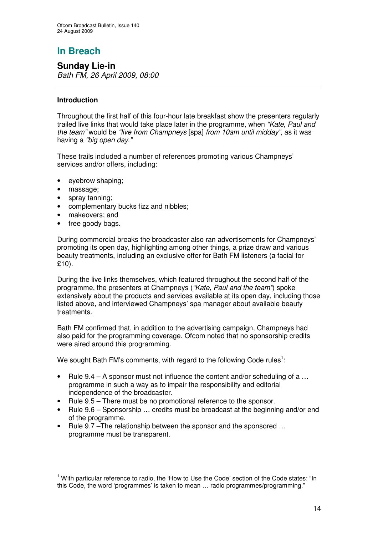**Sunday Lie-in** *Bath FM, 26 April 2009, 08:00*

## **Introduction**

Throughout the first half of this four-hour late breakfast show the presenters regularly trailed live links that would take place later in the programme, when *"Kate, Paul and the team"* would be *"live from Champneys* [spa] *from 10am until midday"*, as it was having a *"big open day*.*"*

These trails included a number of references promoting various Champneys' services and/or offers, including:

- eyebrow shaping;
- massage;
- spray tanning;
- complementary bucks fizz and nibbles;
- makeovers; and
- free goody bags.

During commercial breaks the broadcaster also ran advertisements for Champneys' promoting its open day, highlighting among other things, a prize draw and various beauty treatments, including an exclusive offer for Bath FM listeners (a facial for £10).

During the live links themselves, which featured throughout the second half of the programme, the presenters at Champneys (*"Kate, Paul and the team"*) spoke extensively about the products and services available at its open day, including those listed above, and interviewed Champneys' spa manager about available beauty treatments.

Bath FM confirmed that, in addition to the advertising campaign, Champneys had also paid for the programming coverage. Ofcom noted that no sponsorship credits were aired around this programming.

We sought Bath FM's comments, with regard to the following Code rules $^{\text{1}}$ :

- Rule 9.4 A sponsor must not influence the content and/or scheduling of a ... programme in such a way as to impair the responsibility and editorial independence of the broadcaster.
- Rule 9.5 There must be no promotional reference to the sponsor.
- Rule 9.6 Sponsorship ... credits must be broadcast at the beginning and/or end of the programme.
- Rule 9.7 –The relationship between the sponsor and the sponsored ... programme must be transparent.

<sup>&</sup>lt;sup>1</sup> With particular reference to radio, the 'How to Use the Code' section of the Code states: "In this Code, the word 'programmes' is taken to mean … radio programmes/programming."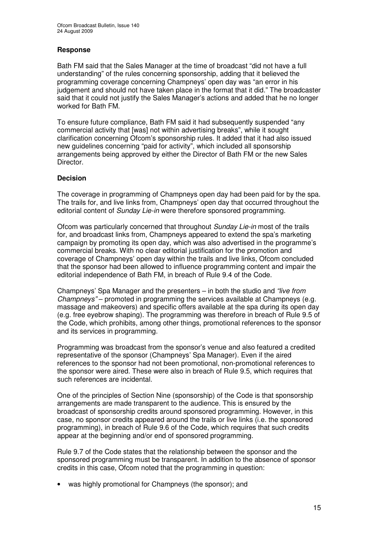## **Response**

Bath FM said that the Sales Manager at the time of broadcast "did not have a full understanding" of the rules concerning sponsorship, adding that it believed the programming coverage concerning Champneys' open day was "an error in his judgement and should not have taken place in the format that it did." The broadcaster said that it could not justify the Sales Manager's actions and added that he no longer worked for Bath FM.

To ensure future compliance, Bath FM said it had subsequently suspended "any commercial activity that [was] not within advertising breaks", while it sought clarification concerning Ofcom's sponsorship rules. It added that it had also issued new guidelines concerning "paid for activity", which included all sponsorship arrangements being approved by either the Director of Bath FM or the new Sales Director.

## **Decision**

The coverage in programming of Champneys open day had been paid for by the spa. The trails for, and live links from, Champneys' open day that occurred throughout the editorial content of *Sunday Lie-in* were therefore sponsored programming.

Ofcom was particularly concerned that throughout *Sunday Lie-in* most of the trails for, and broadcast links from, Champneys appeared to extend the spa's marketing campaign by promoting its open day, which was also advertised in the programme's commercial breaks. With no clear editorial justification for the promotion and coverage of Champneys' open day within the trails and live links, Ofcom concluded that the sponsor had been allowed to influence programming content and impair the editorial independence of Bath FM, in breach of Rule 9.4 of the Code.

Champneys' Spa Manager and the presenters – in both the studio and *"live from Champneys"* – promoted in programming the services available at Champneys (e.g. massage and makeovers) and specific offers available at the spa during its open day (e.g. free eyebrow shaping). The programming was therefore in breach of Rule 9.5 of the Code, which prohibits, among other things, promotional references to the sponsor and its services in programming.

Programming was broadcast from the sponsor's venue and also featured a credited representative of the sponsor (Champneys' Spa Manager). Even if the aired references to the sponsor had not been promotional, non-promotional references to the sponsor were aired. These were also in breach of Rule 9.5, which requires that such references are incidental.

One of the principles of Section Nine (sponsorship) of the Code is that sponsorship arrangements are made transparent to the audience. This is ensured by the broadcast of sponsorship credits around sponsored programming. However, in this case, no sponsor credits appeared around the trails or live links (i.e. the sponsored programming), in breach of Rule 9.6 of the Code, which requires that such credits appear at the beginning and/or end of sponsored programming.

Rule 9.7 of the Code states that the relationship between the sponsor and the sponsored programming must be transparent. In addition to the absence of sponsor credits in this case, Ofcom noted that the programming in question:

• was highly promotional for Champneys (the sponsor); and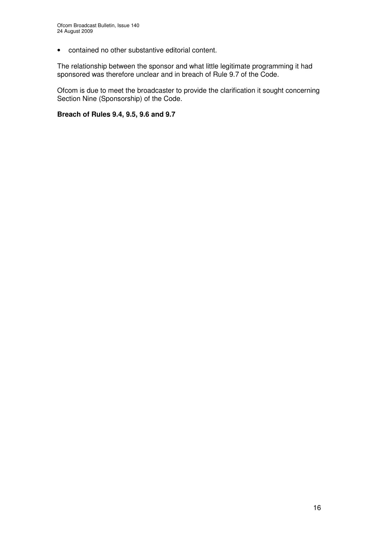• contained no other substantive editorial content.

The relationship between the sponsor and what little legitimate programming it had sponsored was therefore unclear and in breach of Rule 9.7 of the Code.

Ofcom is due to meet the broadcaster to provide the clarification it sought concerning Section Nine (Sponsorship) of the Code.

**Breach of Rules 9.4, 9.5, 9.6 and 9.7**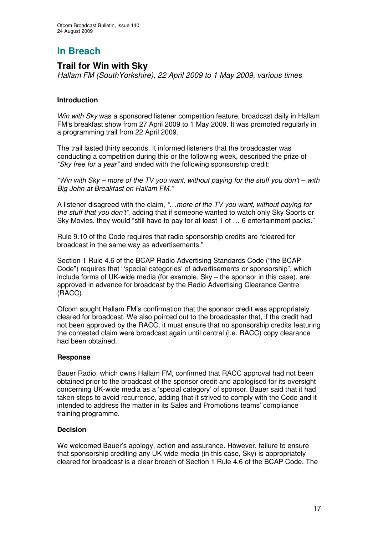## **Trail for Win with Sky**

*Hallam FM (SouthYorkshire), 22 April 2009 to 1 May 2009, various times*

## **Introduction**

*Win with Sky* was a sponsored listener competition feature, broadcast daily in Hallam FM's breakfast show from 27 April 2009 to 1 May 2009. It was promoted regularly in a programming trail from 22 April 2009.

The trail lasted thirty seconds. It informed listeners that the broadcaster was conducting a competition during this or the following week, described the prize of *"Sky free for a year"* and ended with the following sponsorship credit:

*"Win with Sky – more of the TV you want, without paying for the stuff you don't – with Big John at Breakfast on Hallam FM."*

A listener disagreed with the claim, *"…more of the TV you want, without paying for the stuff that you don't"*, adding that if someone wanted to watch only Sky Sports or Sky Movies, they would "still have to pay for at least 1 of … 6 entertainment packs."

Rule 9.10 of the Code requires that radio sponsorship credits are "cleared for broadcast in the same way as advertisements."

Section 1 Rule 4.6 of the BCAP Radio Advertising Standards Code ("the BCAP Code") requires that "'special categories' of advertisements or sponsorship", which include forms of UK-wide media (for example, Sky – the sponsor in this case), are approved in advance for broadcast by the Radio Advertising Clearance Centre (RACC).

Ofcom sought Hallam FM's confirmation that the sponsor credit was appropriately cleared for broadcast. We also pointed out to the broadcaster that, if the credit had not been approved by the RACC, it must ensure that no sponsorship credits featuring the contested claim were broadcast again until central (i.e. RACC) copy clearance had been obtained.

## **Response**

Bauer Radio, which owns Hallam FM, confirmed that RACC approval had not been obtained prior to the broadcast of the sponsor credit and apologised for its oversight concerning UK-wide media as a 'special category' of sponsor. Bauer said that it had taken steps to avoid recurrence, adding that it strived to comply with the Code and it intended to address the matter in its Sales and Promotions teams' compliance training programme.

## **Decision**

We welcomed Bauer's apology, action and assurance. However, failure to ensure that sponsorship crediting any UK-wide media (in this case, Sky) is appropriately cleared for broadcast is a clear breach of Section 1 Rule 4.6 of the BCAP Code. The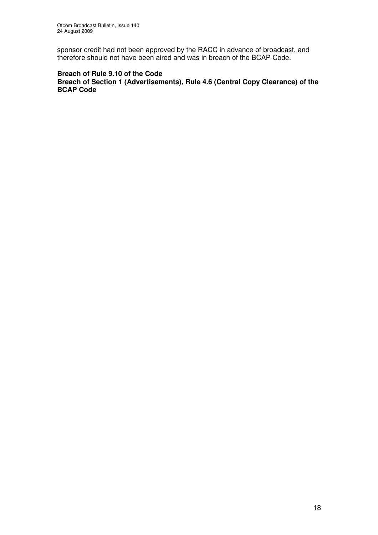sponsor credit had not been approved by the RACC in advance of broadcast, and therefore should not have been aired and was in breach of the BCAP Code.

## **Breach of Rule 9.10 of the Code**

**Breach of Section 1 (Advertisements), Rule 4.6 (Central Copy Clearance) of the BCAP Code**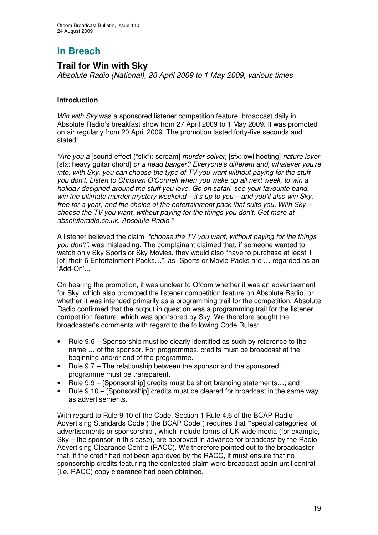## **Trail for Win with Sky**

*Absolute Radio (National), 20 April 2009 to 1 May 2009, various times*

## **Introduction**

*Win with Sky* was a sponsored listener competition feature, broadcast daily in Absolute Radio's breakfast show from 27 April 2009 to 1 May 2009. It was promoted on air regularly from 20 April 2009. The promotion lasted forty-five seconds and stated:

*"Are you a* [sound effect ("sfx"): scream] *murder solver,* [sfx: owl hooting] *nature lover* [sfx: heavy guitar chord] *or a head banger? Everyone's different and, whatever you're into, with Sky, you can choose the type of TV you want without paying for the stuff you don't. Listen to Christian O'Connell when you wake up all next week, to win a holiday designed around the stuff you love. Go on safari, see your favourite band, win the ultimate murder mystery weekend – it's up to you – and you'll also win Sky, free for a year, and the choice of the entertainment pack that suits you. With Sky – choose the TV you want, without paying for the things you don't. Get more at absoluteradio.co.uk. Absolute Radio."*

A listener believed the claim, *"choose the TV you want, without paying for the things you don't"*, was misleading. The complainant claimed that, if someone wanted to watch only Sky Sports or Sky Movies, they would also "have to purchase at least 1 [of] their 6 Entertainment Packs…", as "Sports or Movie Packs are … regarded as an 'Add-On'..."

On hearing the promotion, it was unclear to Ofcom whether it was an advertisement for Sky, which also promoted the listener competition feature on Absolute Radio, or whether it was intended primarily as a programming trail for the competition. Absolute Radio confirmed that the output in question was a programming trail for the listener competition feature, which was sponsored by Sky. We therefore sought the broadcaster's comments with regard to the following Code Rules:

- Rule 9.6 Sponsorship must be clearly identified as such by reference to the name … of the sponsor. For programmes, credits must be broadcast at the beginning and/or end of the programme.
- Rule 9.7 The relationship between the sponsor and the sponsored ... programme must be transparent.
- Rule 9.9 [Sponsorship] credits must be short branding statements...; and
- Rule 9.10 [Sponsorship] credits must be cleared for broadcast in the same way as advertisements.

With regard to Rule 9.10 of the Code, Section 1 Rule 4.6 of the BCAP Radio Advertising Standards Code ("the BCAP Code") requires that "'special categories' of advertisements or sponsorship", which include forms of UK-wide media (for example, Sky – the sponsor in this case), are approved in advance for broadcast by the Radio Advertising Clearance Centre (RACC). We therefore pointed out to the broadcaster that, if the credit had not been approved by the RACC, it must ensure that no sponsorship credits featuring the contested claim were broadcast again until central (i.e. RACC) copy clearance had been obtained.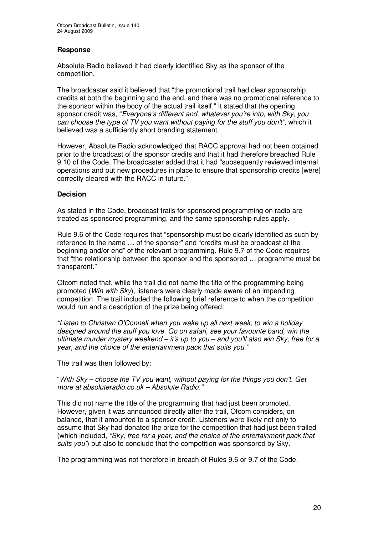## **Response**

Absolute Radio believed it had clearly identified Sky as the sponsor of the competition.

The broadcaster said it believed that "the promotional trail had clear sponsorship credits at both the beginning and the end, and there was no promotional reference to the sponsor within the body of the actual trail itself." It stated that the opening sponsor credit was, "*Everyone's different and, whatever you're into, with Sky, you can choose the type of TV you want without paying for the stuff you don't"*, which it believed was a sufficiently short branding statement.

However, Absolute Radio acknowledged that RACC approval had not been obtained prior to the broadcast of the sponsor credits and that it had therefore breached Rule 9.10 of the Code. The broadcaster added that it had "subsequently reviewed internal operations and put new procedures in place to ensure that sponsorship credits [were] correctly cleared with the RACC in future."

## **Decision**

As stated in the Code, broadcast trails for sponsored programming on radio are treated as sponsored programming, and the same sponsorship rules apply.

Rule 9.6 of the Code requires that "sponsorship must be clearly identified as such by reference to the name … of the sponsor" and "credits must be broadcast at the beginning and/or end" of the relevant programming. Rule 9.7 of the Code requires that "the relationship between the sponsor and the sponsored … programme must be transparent."

Ofcom noted that, while the trail did not name the title of the programming being promoted (*Win with Sky*), listeners were clearly made aware of an impending competition. The trail included the following brief reference to when the competition would run and a description of the prize being offered:

*"Listen to Christian O'Connell when you wake up all next week, to win a holiday designed around the stuff you love. Go on safari, see your favourite band, win the ultimate murder mystery weekend – it's up to you – and you'll also win Sky, free for a year, and the choice of the entertainment pack that suits you."*

The trail was then followed by:

"*With Sky – choose the TV you want, without paying for the things you don't. Get more at absoluteradio.co.uk – Absolute Radio."*

This did not name the title of the programming that had just been promoted. However, given it was announced directly after the trail, Ofcom considers, on balance, that it amounted to a sponsor credit. Listeners were likely not only to assume that Sky had donated the prize for the competition that had just been trailed (which included, *"Sky, free for a year, and the choice of the entertainment pack that suits you"*) but also to conclude that the competition was sponsored by Sky.

The programming was not therefore in breach of Rules 9.6 or 9.7 of the Code.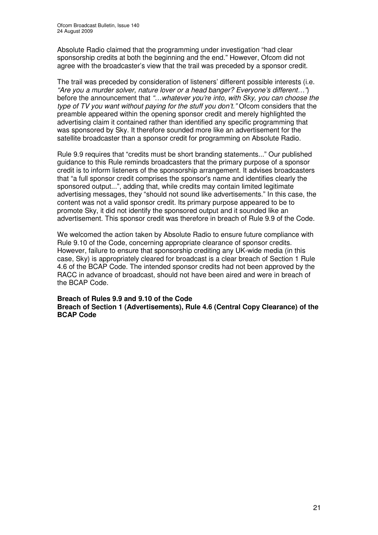Absolute Radio claimed that the programming under investigation "had clear sponsorship credits at both the beginning and the end." However, Ofcom did not agree with the broadcaster's view that the trail was preceded by a sponsor credit.

The trail was preceded by consideration of listeners' different possible interests (i.e. *"Are you a murder solver, nature lover or a head banger? Everyone's different…"*) before the announcement that *"…whatever you're into, with Sky, you can choose the type of TV you want without paying for the stuff you don't."* Ofcom considers that the preamble appeared within the opening sponsor credit and merely highlighted the advertising claim it contained rather than identified any specific programming that was sponsored by Sky. It therefore sounded more like an advertisement for the satellite broadcaster than a sponsor credit for programming on Absolute Radio.

Rule 9.9 requires that "credits must be short branding statements..." Our published guidance to this Rule reminds broadcasters that the primary purpose of a sponsor credit is to inform listeners of the sponsorship arrangement. It advises broadcasters that "a full sponsor credit comprises the sponsor's name and identifies clearly the sponsored output...", adding that, while credits may contain limited legitimate advertising messages, they "should not sound like advertisements." In this case, the content was not a valid sponsor credit. Its primary purpose appeared to be to promote Sky, it did not identify the sponsored output and it sounded like an advertisement. This sponsor credit was therefore in breach of Rule 9.9 of the Code.

We welcomed the action taken by Absolute Radio to ensure future compliance with Rule 9.10 of the Code, concerning appropriate clearance of sponsor credits. However, failure to ensure that sponsorship crediting any UK-wide media (in this case, Sky) is appropriately cleared for broadcast is a clear breach of Section 1 Rule 4.6 of the BCAP Code. The intended sponsor credits had not been approved by the RACC in advance of broadcast, should not have been aired and were in breach of the BCAP Code.

**Breach of Rules 9.9 and 9.10 of the Code Breach of Section 1 (Advertisements), Rule 4.6 (Central Copy Clearance) of the BCAP Code**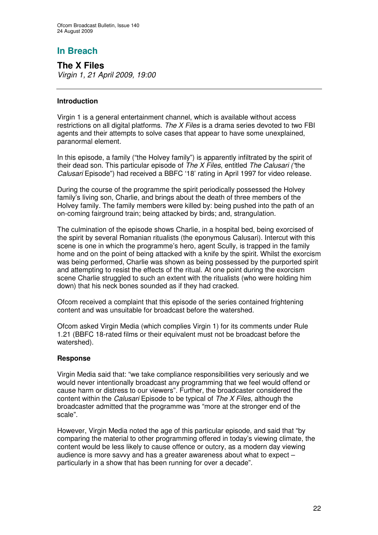**The X Files** *Virgin 1, 21 April 2009, 19:00*

## **Introduction**

Virgin 1 is a general entertainment channel, which is available without access restrictions on all digital platforms. *The X Files* is a drama series devoted to two FBI agents and their attempts to solve cases that appear to have some unexplained, paranormal element.

In this episode, a family ("the Holvey family") is apparently infiltrated by the spirit of their dead son. This particular episode of *The X Files*, entitled *The Calusari ("*the *Calusari* Episode") had received a BBFC '18' rating in April 1997 for video release.

During the course of the programme the spirit periodically possessed the Holvey family's living son, Charlie, and brings about the death of three members of the Holvey family. The family members were killed by: being pushed into the path of an on-coming fairground train; being attacked by birds; and, strangulation.

The culmination of the episode shows Charlie, in a hospital bed, being exorcised of the spirit by several Romanian ritualists (the eponymous Calusari). Intercut with this scene is one in which the programme's hero, agent Scully, is trapped in the family home and on the point of being attacked with a knife by the spirit. Whilst the exorcism was being performed, Charlie was shown as being possessed by the purported spirit and attempting to resist the effects of the ritual. At one point during the exorcism scene Charlie struggled to such an extent with the ritualists (who were holding him down) that his neck bones sounded as if they had cracked.

Ofcom received a complaint that this episode of the series contained frightening content and was unsuitable for broadcast before the watershed.

Ofcom asked Virgin Media (which complies Virgin 1) for its comments under Rule 1.21 (BBFC 18-rated films or their equivalent must not be broadcast before the watershed).

## **Response**

Virgin Media said that: "we take compliance responsibilities very seriously and we would never intentionally broadcast any programming that we feel would offend or cause harm or distress to our viewers". Further, the broadcaster considered the content within the *Calusari* Episode to be typical of *The X Files*, although the broadcaster admitted that the programme was "more at the stronger end of the scale".

However, Virgin Media noted the age of this particular episode, and said that "by comparing the material to other programming offered in today's viewing climate, the content would be less likely to cause offence or outcry, as a modern day viewing audience is more savvy and has a greater awareness about what to expect – particularly in a show that has been running for over a decade".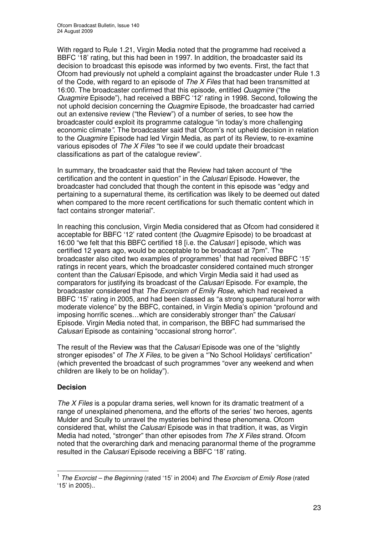With regard to Rule 1.21, Virgin Media noted that the programme had received a BBFC '18' rating, but this had been in 1997. In addition, the broadcaster said its decision to broadcast this episode was informed by two events. First, the fact that Ofcom had previously not upheld a complaint against the broadcaster under Rule 1.3 of the Code, with regard to an episode of *The X Files* that had been transmitted at 16:00. The broadcaster confirmed that this episode, entitled *Quagmire* ("the *Quagmire* Episode")*,* had received a BBFC '12' rating in 1998. Second, following the not uphold decision concerning the *Quagmire* Episode, the broadcaster had carried out an extensive review ("the Review") of a number of series, to see how the broadcaster could exploit its programme catalogue "in today's more challenging economic climate*"*. The broadcaster said that Ofcom's not upheld decision in relation to the *Quagmire* Episode had led Virgin Media, as part of its Review, to re-examine various episodes of *The X Files* "to see if we could update their broadcast classifications as part of the catalogue review".

In summary, the broadcaster said that the Review had taken account of "the certification and the content in question" in the *Calusari* Episode. However, the broadcaster had concluded that though the content in this episode was "edgy and pertaining to a supernatural theme, its certification was likely to be deemed out dated when compared to the more recent certifications for such thematic content which in fact contains stronger material".

In reaching this conclusion, Virgin Media considered that as Ofcom had considered it acceptable for BBFC '12' rated content (the *Quagmire* Episode) to be broadcast at 16:00 "we felt that this BBFC certified 18 [i.e. the *Calusari* ] episode, which was certified 12 years ago, would be acceptable to be broadcast at 7pm". The broadcaster also cited two examples of programmes<sup>1</sup> that had received BBFC '15' ratings in recent years, which the broadcaster considered contained much stronger content than the *Calusari* Episode, and which Virgin Media said it had used as comparators for justifying its broadcast of the *Calusari* Episode. For example, the broadcaster considered that *The Exorcism of Emily Rose,* which had received a BBFC '15' rating in 2005, and had been classed as "a strong supernatural horror with moderate violence" by the BBFC, contained, in Virgin Media's opinion "profound and imposing horrific scenes…which are considerably stronger than" the *Calusari* Episode. Virgin Media noted that, in comparison, the BBFC had summarised the *Calusari* Episode as containing "occasional strong horror".

The result of the Review was that the *Calusari* Episode was one of the "slightly stronger episodes" of *The X Files,* to be given a "'No School Holidays' certification" (which prevented the broadcast of such programmes "over any weekend and when children are likely to be on holiday").

## **Decision**

*The X Files* is a popular drama series, well known for its dramatic treatment of a range of unexplained phenomena, and the efforts of the series' two heroes, agents Mulder and Scully to unravel the mysteries behind these phenomena. Ofcom considered that, whilst the *Calusari* Episode was in that tradition, it was, as Virgin Media had noted, "stronger" than other episodes from *The X Files* strand. Ofcom noted that the overarching dark and menacing paranormal theme of the programme resulted in the *Calusari* Episode receiving a BBFC '18' rating.

<sup>1</sup> *The Exorcist – the Beginning* (rated '15' in 2004) and *The Exorcism of Emily Rose* (rated '15' in 2005)..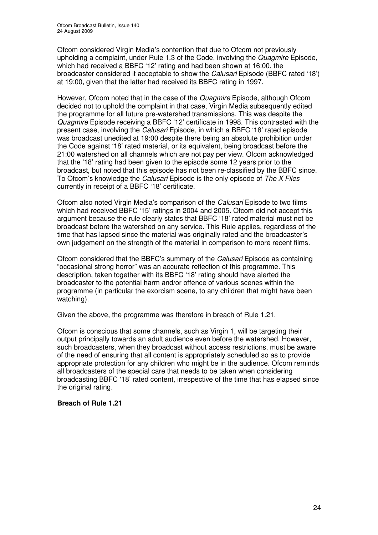Ofcom considered Virgin Media's contention that due to Ofcom not previously upholding a complaint, under Rule 1.3 of the Code, involving the *Quagmire* Episode, which had received a BBFC '12' rating and had been shown at 16:00, the broadcaster considered it acceptable to show the *Calusari* Episode (BBFC rated '18') at 19:00, given that the latter had received its BBFC rating in 1997.

However, Ofcom noted that in the case of the *Quagmire* Episode, although Ofcom decided not to uphold the complaint in that case, Virgin Media subsequently edited the programme for all future pre-watershed transmissions. This was despite the *Quagmire* Episode receiving a BBFC '12' certificate in 1998. This contrasted with the present case, involving the *Calusari* Episode, in which a BBFC '18' rated episode was broadcast unedited at 19:00 despite there being an absolute prohibition under the Code against '18' rated material, or its equivalent, being broadcast before the 21:00 watershed on all channels which are not pay per view. Ofcom acknowledged that the '18' rating had been given to the episode some 12 years prior to the broadcast, but noted that this episode has not been re-classified by the BBFC since. To Ofcom's knowledge the *Calusari* Episode is the only episode of *The X Files* currently in receipt of a BBFC '18' certificate.

Ofcom also noted Virgin Media's comparison of the *Calusari* Episode to two films which had received BBFC '15' ratings in 2004 and 2005. Ofcom did not accept this argument because the rule clearly states that BBFC '18' rated material must not be broadcast before the watershed on any service. This Rule applies, regardless of the time that has lapsed since the material was originally rated and the broadcaster's own judgement on the strength of the material in comparison to more recent films.

Ofcom considered that the BBFC's summary of the *Calusari* Episode as containing "occasional strong horror" was an accurate reflection of this programme. This description, taken together with its BBFC '18' rating should have alerted the broadcaster to the potential harm and/or offence of various scenes within the programme (in particular the exorcism scene, to any children that might have been watching).

Given the above, the programme was therefore in breach of Rule 1.21.

Ofcom is conscious that some channels, such as Virgin 1, will be targeting their output principally towards an adult audience even before the watershed. However, such broadcasters, when they broadcast without access restrictions, must be aware of the need of ensuring that all content is appropriately scheduled so as to provide appropriate protection for any children who might be in the audience. Ofcom reminds all broadcasters of the special care that needs to be taken when considering broadcasting BBFC '18' rated content, irrespective of the time that has elapsed since the original rating.

## **Breach of Rule 1.21**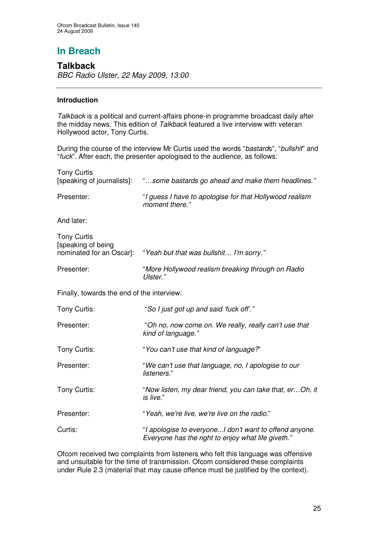## **Talkback** *BBC Radio Ulster, 22 May 2009, 13:00*

## **Introduction**

*Talkback* is a political and current-affairs phone-in programme broadcast daily after the midday news. This edition of *Talkback* featured a live interview with veteran Hollywood actor, Tony Curtis.

During the course of the interview Mr Curtis used the words "*bastard*s", "*bullshit*" and "*fuck*". After each, the presenter apologised to the audience, as follows:

| <b>Tony Curtis</b>                                                   | [speaking of journalists]: "some bastards go ahead and make them headlines."                                 |  |
|----------------------------------------------------------------------|--------------------------------------------------------------------------------------------------------------|--|
| Presenter:                                                           | "I guess I have to apologise for that Hollywood realism<br>moment there."                                    |  |
| And later:                                                           |                                                                                                              |  |
| <b>Tony Curtis</b><br>[speaking of being<br>nominated for an Oscar]: | "Yeah but that was bullshit I'm sorry."                                                                      |  |
| Presenter:                                                           | "More Hollywood realism breaking through on Radio<br>Ulster."                                                |  |
| Finally, towards the end of the interview:                           |                                                                                                              |  |
| Tony Curtis:                                                         | "So I just got up and said 'fuck off'."                                                                      |  |
| Presenter:                                                           | "Oh no, now come on. We really, really can't use that<br>kind of language."                                  |  |
| Tony Curtis:                                                         | "You can't use that kind of language?"                                                                       |  |
| Presenter:                                                           | "We can't use that language, no, I apologise to our<br>listeners."                                           |  |
| Tony Curtis:                                                         | "Now listen, my dear friend, you can take that, erOh, it<br>is live."                                        |  |
| Presenter:                                                           | "Yeah, we're live, we're live on the radio."                                                                 |  |
| Curtis:                                                              | "I apologise to everyoneI don't want to offend anyone.<br>Everyone has the right to enjoy what life giveth." |  |

Ofcom received two complaints from listeners who felt this language was offensive and unsuitable for the time of transmission. Ofcom considered these complaints under Rule 2.3 (material that may cause offence must be justified by the context).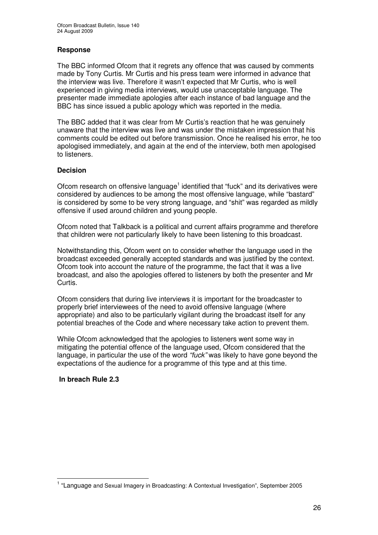## **Response**

The BBC informed Ofcom that it regrets any offence that was caused by comments made by Tony Curtis. Mr Curtis and his press team were informed in advance that the interview was live. Therefore it wasn't expected that Mr Curtis, who is well experienced in giving media interviews, would use unacceptable language. The presenter made immediate apologies after each instance of bad language and the BBC has since issued a public apology which was reported in the media.

The BBC added that it was clear from Mr Curtis's reaction that he was genuinely unaware that the interview was live and was under the mistaken impression that his comments could be edited out before transmission. Once he realised his error, he too apologised immediately, and again at the end of the interview, both men apologised to listeners.

## **Decision**

Ofcom research on offensive language<sup>1</sup> identified that "fuck" and its derivatives were considered by audiences to be among the most offensive language, while "bastard" is considered by some to be very strong language, and "shit" was regarded as mildly offensive if used around children and young people.

Ofcom noted that Talkback is a political and current affairs programme and therefore that children were not particularly likely to have been listening to this broadcast.

Notwithstanding this, Ofcom went on to consider whether the language used in the broadcast exceeded generally accepted standards and was justified by the context. Ofcom took into account the nature of the programme, the fact that it was a live broadcast, and also the apologies offered to listeners by both the presenter and Mr Curtis.

Ofcom considers that during live interviews it is important for the broadcaster to properly brief interviewees of the need to avoid offensive language (where appropriate) and also to be particularly vigilant during the broadcast itself for any potential breaches of the Code and where necessary take action to prevent them.

While Ofcom acknowledged that the apologies to listeners went some way in mitigating the potential offence of the language used, Ofcom considered that the language, in particular the use of the word *"fuck"* was likely to have gone beyond the expectations of the audience for a programme of this type and at this time.

## **In breach Rule 2.3**

<sup>&</sup>lt;sup>1</sup> "Language and Sexual Imagery in Broadcasting: A Contextual Investigation", September 2005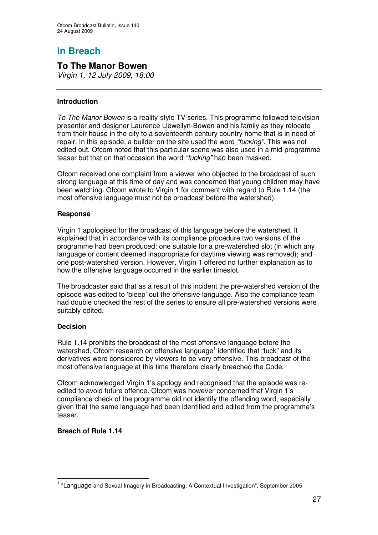## **To The Manor Bowen**

*Virgin 1, 12 July 2009, 18:00*

## **Introduction**

*To The Manor Bowen* is a reality-style TV series. This programme followed television presenter and designer Laurence Llewellyn-Bowen and his family as they relocate from their house in the city to a seventeenth century country home that is in need of repair. In this episode, a builder on the site used the word *"fucking"*. This was not edited out. Ofcom noted that this particular scene was also used in a mid-programme teaser but that on that occasion the word *"fucking"* had been masked.

Ofcom received one complaint from a viewer who objected to the broadcast of such strong language at this time of day and was concerned that young children may have been watching. Ofcom wrote to Virgin 1 for comment with regard to Rule 1.14 (the most offensive language must not be broadcast before the watershed).

## **Response**

Virgin 1 apologised for the broadcast of this language before the watershed. It explained that in accordance with its compliance procedure two versions of the programme had been produced: one suitable for a pre-watershed slot (in which any language or content deemed inappropriate for daytime viewing was removed); and one post-watershed version. However, Virgin 1 offered no further explanation as to how the offensive language occurred in the earlier timeslot.

The broadcaster said that as a result of this incident the pre-watershed version of the episode was edited to 'bleep' out the offensive language. Also the compliance team had double checked the rest of the series to ensure all pre-watershed versions were suitably edited.

## **Decision**

Rule 1.14 prohibits the broadcast of the most offensive language before the watershed. Ofcom research on offensive language<sup>1</sup> identified that "fuck" and its derivatives were considered by viewers to be very offensive. This broadcast of the most offensive language at this time therefore clearly breached the Code.

Ofcom acknowledged Virgin 1's apology and recognised that the episode was reedited to avoid future offence. Ofcom was however concerned that Virgin 1's compliance check of the programme did not identify the offending word, especially given that the same language had been identified and edited from the programme's teaser.

## **Breach of Rule 1.14**

<sup>&</sup>lt;sup>1</sup> "Language and Sexual Imagery in Broadcasting: A Contextual Investigation", September 2005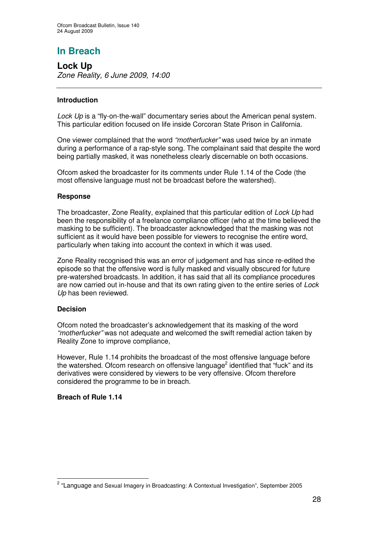**Lock Up** *Zone Reality, 6 June 2009, 14:00*

## **Introduction**

*Lock Up* is a "fly-on-the-wall" documentary series about the American penal system. This particular edition focused on life inside Corcoran State Prison in California.

One viewer complained that the word *"motherfucker"* was used twice by an inmate during a performance of a rap-style song. The complainant said that despite the word being partially masked, it was nonetheless clearly discernable on both occasions.

Ofcom asked the broadcaster for its comments under Rule 1.14 of the Code (the most offensive language must not be broadcast before the watershed).

## **Response**

The broadcaster, Zone Reality, explained that this particular edition of *Lock Up* had been the responsibility of a freelance compliance officer (who at the time believed the masking to be sufficient). The broadcaster acknowledged that the masking was not sufficient as it would have been possible for viewers to recognise the entire word, particularly when taking into account the context in which it was used.

Zone Reality recognised this was an error of judgement and has since re-edited the episode so that the offensive word is fully masked and visually obscured for future pre-watershed broadcasts. In addition, it has said that all its compliance procedures are now carried out in-house and that its own rating given to the entire series of *Lock Up* has been reviewed.

## **Decision**

Ofcom noted the broadcaster's acknowledgement that its masking of the word *"motherfucker"* was not adequate and welcomed the swift remedial action taken by Reality Zone to improve compliance,

However, Rule 1.14 prohibits the broadcast of the most offensive language before the watershed. Ofcom research on offensive language<sup>2</sup> identified that "fuck" and its derivatives were considered by viewers to be very offensive. Ofcom therefore considered the programme to be in breach.

## **Breach of Rule 1.14**

<sup>&</sup>lt;sup>2</sup> "Language and Sexual Imagery in Broadcasting: A Contextual Investigation", September 2005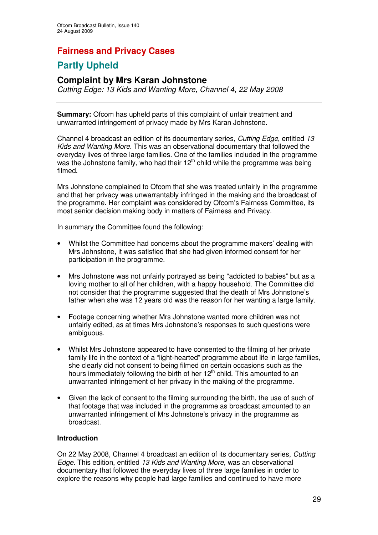## **Fairness and Privacy Cases**

# **Partly Upheld**

## **Complaint by Mrs Karan Johnstone**

*Cutting Edge: 13 Kids and Wanting More, Channel 4, 22 May 2008*

**Summary:** Ofcom has upheld parts of this complaint of unfair treatment and unwarranted infringement of privacy made by Mrs Karan Johnstone.

Channel 4 broadcast an edition of its documentary series, *Cutting Edge*, entitled *13 Kids and Wanting More*. This was an observational documentary that followed the everyday lives of three large families. One of the families included in the programme was the Johnstone family, who had their 12<sup>th</sup> child while the programme was being filmed.

Mrs Johnstone complained to Ofcom that she was treated unfairly in the programme and that her privacy was unwarrantably infringed in the making and the broadcast of the programme. Her complaint was considered by Ofcom's Fairness Committee, its most senior decision making body in matters of Fairness and Privacy.

In summary the Committee found the following:

- Whilst the Committee had concerns about the programme makers' dealing with Mrs Johnstone, it was satisfied that she had given informed consent for her participation in the programme.
- Mrs Johnstone was not unfairly portrayed as being "addicted to babies" but as a loving mother to all of her children, with a happy household. The Committee did not consider that the programme suggested that the death of Mrs Johnstone's father when she was 12 years old was the reason for her wanting a large family.
- Footage concerning whether Mrs Johnstone wanted more children was not unfairly edited, as at times Mrs Johnstone's responses to such questions were ambiguous.
- Whilst Mrs Johnstone appeared to have consented to the filming of her private family life in the context of a "light-hearted" programme about life in large families, she clearly did not consent to being filmed on certain occasions such as the hours immediately following the birth of her 12<sup>th</sup> child. This amounted to an unwarranted infringement of her privacy in the making of the programme.
- Given the lack of consent to the filming surrounding the birth, the use of such of that footage that was included in the programme as broadcast amounted to an unwarranted infringement of Mrs Johnstone's privacy in the programme as broadcast.

## **Introduction**

On 22 May 2008, Channel 4 broadcast an edition of its documentary series, *Cutting Edge*. This edition, entitled *13 Kids and Wanting More*, was an observational documentary that followed the everyday lives of three large families in order to explore the reasons why people had large families and continued to have more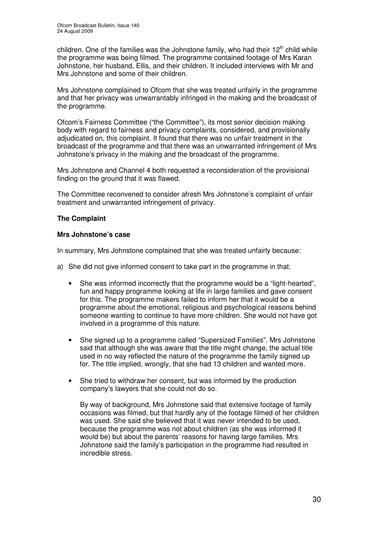children. One of the families was the Johnstone family, who had their 12<sup>th</sup> child while the programme was being filmed. The programme contained footage of Mrs Karan Johnstone, her husband, Ellis, and their children. It included interviews with Mr and Mrs Johnstone and some of their children.

Mrs Johnstone complained to Ofcom that she was treated unfairly in the programme and that her privacy was unwarrantably infringed in the making and the broadcast of the programme.

Ofcom's Fairness Committee ("the Committee"), its most senior decision making body with regard to fairness and privacy complaints, considered, and provisionally adjudicated on, this complaint. It found that there was no unfair treatment in the broadcast of the programme and that there was an unwarranted infringement of Mrs Johnstone's privacy in the making and the broadcast of the programme.

Mrs Johnstone and Channel 4 both requested a reconsideration of the provisional finding on the ground that it was flawed.

The Committee reconvened to consider afresh Mrs Johnstone's complaint of unfair treatment and unwarranted infringement of privacy.

## **The Complaint**

## **Mrs Johnstone's case**

In summary, Mrs Johnstone complained that she was treated unfairly because:

- a) She did not give informed consent to take part in the programme in that:
	- She was informed incorrectly that the programme would be a "light-hearted", fun and happy programme looking at life in large families and gave consent for this. The programme makers failed to inform her that it would be a programme about the emotional, religious and psychological reasons behind someone wanting to continue to have more children. She would not have got involved in a programme of this nature.
	- She signed up to a programme called "Supersized Families". Mrs Johnstone said that although she was aware that the title might change, the actual title used in no way reflected the nature of the programme the family signed up for. The title implied, wrongly, that she had 13 children and wanted more.
	- She tried to withdraw her consent, but was informed by the production company's lawyers that she could not do so.

By way of background, Mrs Johnstone said that extensive footage of family occasions was filmed, but that hardly any of the footage filmed of her children was used. She said she believed that it was never intended to be used, because the programme was not about children (as she was informed it would be) but about the parents' reasons for having large families. Mrs Johnstone said the family's participation in the programme had resulted in incredible stress.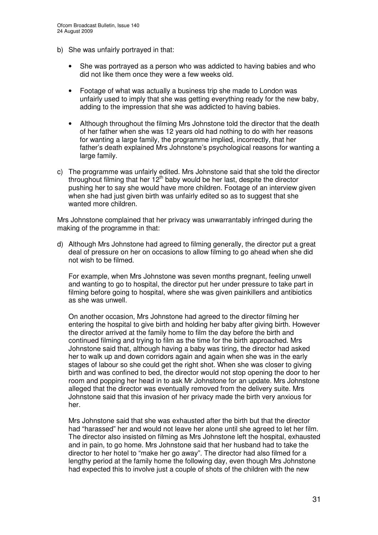- b) She was unfairly portrayed in that:
	- She was portrayed as a person who was addicted to having babies and who did not like them once they were a few weeks old.
	- Footage of what was actually a business trip she made to London was unfairly used to imply that she was getting everything ready for the new baby, adding to the impression that she was addicted to having babies.
	- Although throughout the filming Mrs Johnstone told the director that the death of her father when she was 12 years old had nothing to do with her reasons for wanting a large family, the programme implied, incorrectly, that her father's death explained Mrs Johnstone's psychological reasons for wanting a large family.
- c) The programme was unfairly edited. Mrs Johnstone said that she told the director throughout filming that her 12<sup>th</sup> baby would be her last, despite the director pushing her to say she would have more children. Footage of an interview given when she had just given birth was unfairly edited so as to suggest that she wanted more children.

Mrs Johnstone complained that her privacy was unwarrantably infringed during the making of the programme in that:

d) Although Mrs Johnstone had agreed to filming generally, the director put a great deal of pressure on her on occasions to allow filming to go ahead when she did not wish to be filmed.

For example, when Mrs Johnstone was seven months pregnant, feeling unwell and wanting to go to hospital, the director put her under pressure to take part in filming before going to hospital, where she was given painkillers and antibiotics as she was unwell.

On another occasion, Mrs Johnstone had agreed to the director filming her entering the hospital to give birth and holding her baby after giving birth. However the director arrived at the family home to film the day before the birth and continued filming and trying to film as the time for the birth approached. Mrs Johnstone said that, although having a baby was tiring, the director had asked her to walk up and down corridors again and again when she was in the early stages of labour so she could get the right shot. When she was closer to giving birth and was confined to bed, the director would not stop opening the door to her room and popping her head in to ask Mr Johnstone for an update. Mrs Johnstone alleged that the director was eventually removed from the delivery suite. Mrs Johnstone said that this invasion of her privacy made the birth very anxious for her.

Mrs Johnstone said that she was exhausted after the birth but that the director had "harassed" her and would not leave her alone until she agreed to let her film. The director also insisted on filming as Mrs Johnstone left the hospital, exhausted and in pain, to go home. Mrs Johnstone said that her husband had to take the director to her hotel to "make her go away". The director had also filmed for a lengthy period at the family home the following day, even though Mrs Johnstone had expected this to involve just a couple of shots of the children with the new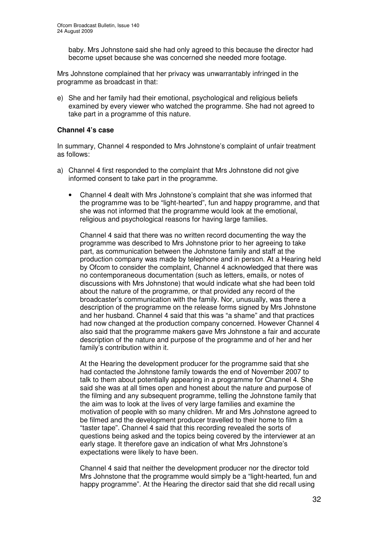baby. Mrs Johnstone said she had only agreed to this because the director had become upset because she was concerned she needed more footage.

Mrs Johnstone complained that her privacy was unwarrantably infringed in the programme as broadcast in that:

e) She and her family had their emotional, psychological and religious beliefs examined by every viewer who watched the programme. She had not agreed to take part in a programme of this nature.

#### **Channel 4's case**

In summary, Channel 4 responded to Mrs Johnstone's complaint of unfair treatment as follows:

- a) Channel 4 first responded to the complaint that Mrs Johnstone did not give informed consent to take part in the programme.
	- Channel 4 dealt with Mrs Johnstone's complaint that she was informed that the programme was to be "light-hearted", fun and happy programme, and that she was not informed that the programme would look at the emotional, religious and psychological reasons for having large families.

Channel 4 said that there was no written record documenting the way the programme was described to Mrs Johnstone prior to her agreeing to take part, as communication between the Johnstone family and staff at the production company was made by telephone and in person. At a Hearing held by Ofcom to consider the complaint, Channel 4 acknowledged that there was no contemporaneous documentation (such as letters, emails, or notes of discussions with Mrs Johnstone) that would indicate what she had been told about the nature of the programme, or that provided any record of the broadcaster's communication with the family. Nor, unusually, was there a description of the programme on the release forms signed by Mrs Johnstone and her husband. Channel 4 said that this was "a shame" and that practices had now changed at the production company concerned. However Channel 4 also said that the programme makers gave Mrs Johnstone a fair and accurate description of the nature and purpose of the programme and of her and her family's contribution within it.

At the Hearing the development producer for the programme said that she had contacted the Johnstone family towards the end of November 2007 to talk to them about potentially appearing in a programme for Channel 4. She said she was at all times open and honest about the nature and purpose of the filming and any subsequent programme, telling the Johnstone family that the aim was to look at the lives of very large families and examine the motivation of people with so many children. Mr and Mrs Johnstone agreed to be filmed and the development producer travelled to their home to film a "taster tape". Channel 4 said that this recording revealed the sorts of questions being asked and the topics being covered by the interviewer at an early stage. It therefore gave an indication of what Mrs Johnstone's expectations were likely to have been.

Channel 4 said that neither the development producer nor the director told Mrs Johnstone that the programme would simply be a "light-hearted, fun and happy programme". At the Hearing the director said that she did recall using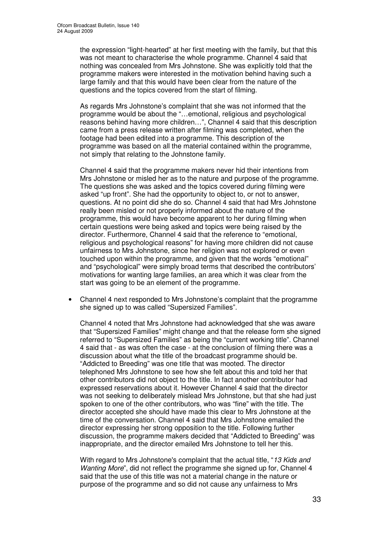the expression "light-hearted" at her first meeting with the family, but that this was not meant to characterise the whole programme. Channel 4 said that nothing was concealed from Mrs Johnstone. She was explicitly told that the programme makers were interested in the motivation behind having such a large family and that this would have been clear from the nature of the questions and the topics covered from the start of filming.

As regards Mrs Johnstone's complaint that she was not informed that the programme would be about the "…emotional, religious and psychological reasons behind having more children…", Channel 4 said that this description came from a press release written after filming was completed, when the footage had been edited into a programme. This description of the programme was based on all the material contained within the programme, not simply that relating to the Johnstone family.

Channel 4 said that the programme makers never hid their intentions from Mrs Johnstone or misled her as to the nature and purpose of the programme. The questions she was asked and the topics covered during filming were asked "up front". She had the opportunity to object to, or not to answer, questions. At no point did she do so. Channel 4 said that had Mrs Johnstone really been misled or not properly informed about the nature of the programme, this would have become apparent to her during filming when certain questions were being asked and topics were being raised by the director. Furthermore, Channel 4 said that the reference to "emotional, religious and psychological reasons" for having more children did not cause unfairness to Mrs Johnstone, since her religion was not explored or even touched upon within the programme, and given that the words "emotional" and "psychological" were simply broad terms that described the contributors' motivations for wanting large families, an area which it was clear from the start was going to be an element of the programme.

• Channel 4 next responded to Mrs Johnstone's complaint that the programme she signed up to was called "Supersized Families".

Channel 4 noted that Mrs Johnstone had acknowledged that she was aware that "Supersized Families" might change and that the release form she signed referred to "Supersized Families" as being the "current working title". Channel 4 said that - as was often the case - at the conclusion of filming there was a discussion about what the title of the broadcast programme should be. "Addicted to Breeding" was one title that was mooted. The director telephoned Mrs Johnstone to see how she felt about this and told her that other contributors did not object to the title. In fact another contributor had expressed reservations about it. However Channel 4 said that the director was not seeking to deliberately mislead Mrs Johnstone, but that she had just spoken to one of the other contributors, who was "fine" with the title. The director accepted she should have made this clear to Mrs Johnstone at the time of the conversation. Channel 4 said that Mrs Johnstone emailed the director expressing her strong opposition to the title. Following further discussion, the programme makers decided that "Addicted to Breeding" was inappropriate, and the director emailed Mrs Johnstone to tell her this.

With regard to Mrs Johnstone's complaint that the actual title, "*13 Kids and Wanting More*", did not reflect the programme she signed up for, Channel 4 said that the use of this title was not a material change in the nature or purpose of the programme and so did not cause any unfairness to Mrs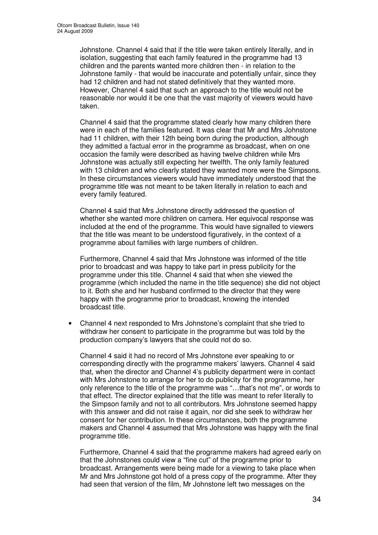Johnstone. Channel 4 said that if the title were taken entirely literally, and in isolation, suggesting that each family featured in the programme had 13 children and the parents wanted more children then - in relation to the Johnstone family - that would be inaccurate and potentially unfair, since they had 12 children and had not stated definitively that they wanted more. However, Channel 4 said that such an approach to the title would not be reasonable nor would it be one that the vast majority of viewers would have taken.

Channel 4 said that the programme stated clearly how many children there were in each of the families featured. It was clear that Mr and Mrs Johnstone had 11 children, with their 12th being born during the production, although they admitted a factual error in the programme as broadcast, when on one occasion the family were described as having twelve children while Mrs Johnstone was actually still expecting her twelfth. The only family featured with 13 children and who clearly stated they wanted more were the Simpsons. In these circumstances viewers would have immediately understood that the programme title was not meant to be taken literally in relation to each and every family featured.

Channel 4 said that Mrs Johnstone directly addressed the question of whether she wanted more children on camera. Her equivocal response was included at the end of the programme. This would have signalled to viewers that the title was meant to be understood figuratively, in the context of a programme about families with large numbers of children.

Furthermore, Channel 4 said that Mrs Johnstone was informed of the title prior to broadcast and was happy to take part in press publicity for the programme under this title. Channel 4 said that when she viewed the programme (which included the name in the title sequence) she did not object to it. Both she and her husband confirmed to the director that they were happy with the programme prior to broadcast, knowing the intended broadcast title.

• Channel 4 next responded to Mrs Johnstone's complaint that she tried to withdraw her consent to participate in the programme but was told by the production company's lawyers that she could not do so.

Channel 4 said it had no record of Mrs Johnstone ever speaking to or corresponding directly with the programme makers' lawyers. Channel 4 said that, when the director and Channel 4's publicity department were in contact with Mrs Johnstone to arrange for her to do publicity for the programme, her only reference to the title of the programme was "…that's not me", or words to that effect. The director explained that the title was meant to refer literally to the Simpson family and not to all contributors. Mrs Johnstone seemed happy with this answer and did not raise it again, nor did she seek to withdraw her consent for her contribution. In these circumstances, both the programme makers and Channel 4 assumed that Mrs Johnstone was happy with the final programme title.

Furthermore, Channel 4 said that the programme makers had agreed early on that the Johnstones could view a "fine cut" of the programme prior to broadcast. Arrangements were being made for a viewing to take place when Mr and Mrs Johnstone got hold of a press copy of the programme. After they had seen that version of the film, Mr Johnstone left two messages on the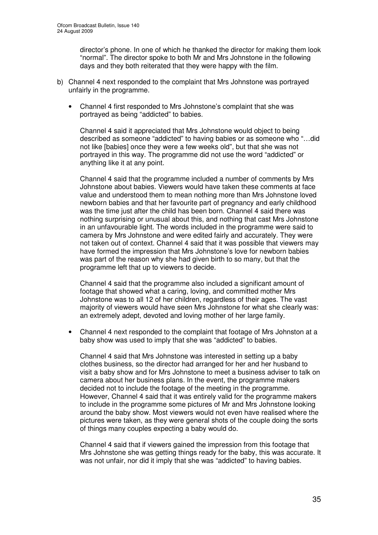director's phone. In one of which he thanked the director for making them look "normal". The director spoke to both Mr and Mrs Johnstone in the following days and they both reiterated that they were happy with the film.

- b) Channel 4 next responded to the complaint that Mrs Johnstone was portrayed unfairly in the programme.
	- Channel 4 first responded to Mrs Johnstone's complaint that she was portrayed as being "addicted" to babies.

Channel 4 said it appreciated that Mrs Johnstone would object to being described as someone "addicted" to having babies or as someone who "…did not like [babies] once they were a few weeks old", but that she was not portrayed in this way. The programme did not use the word "addicted" or anything like it at any point.

Channel 4 said that the programme included a number of comments by Mrs Johnstone about babies. Viewers would have taken these comments at face value and understood them to mean nothing more than Mrs Johnstone loved newborn babies and that her favourite part of pregnancy and early childhood was the time just after the child has been born. Channel 4 said there was nothing surprising or unusual about this, and nothing that cast Mrs Johnstone in an unfavourable light. The words included in the programme were said to camera by Mrs Johnstone and were edited fairly and accurately. They were not taken out of context. Channel 4 said that it was possible that viewers may have formed the impression that Mrs Johnstone's love for newborn babies was part of the reason why she had given birth to so many, but that the programme left that up to viewers to decide.

Channel 4 said that the programme also included a significant amount of footage that showed what a caring, loving, and committed mother Mrs Johnstone was to all 12 of her children, regardless of their ages. The vast majority of viewers would have seen Mrs Johnstone for what she clearly was: an extremely adept, devoted and loving mother of her large family.

• Channel 4 next responded to the complaint that footage of Mrs Johnston at a baby show was used to imply that she was "addicted" to babies.

Channel 4 said that Mrs Johnstone was interested in setting up a baby clothes business, so the director had arranged for her and her husband to visit a baby show and for Mrs Johnstone to meet a business adviser to talk on camera about her business plans. In the event, the programme makers decided not to include the footage of the meeting in the programme. However, Channel 4 said that it was entirely valid for the programme makers to include in the programme some pictures of Mr and Mrs Johnstone looking around the baby show. Most viewers would not even have realised where the pictures were taken, as they were general shots of the couple doing the sorts of things many couples expecting a baby would do.

Channel 4 said that if viewers gained the impression from this footage that Mrs Johnstone she was getting things ready for the baby, this was accurate. It was not unfair, nor did it imply that she was "addicted" to having babies.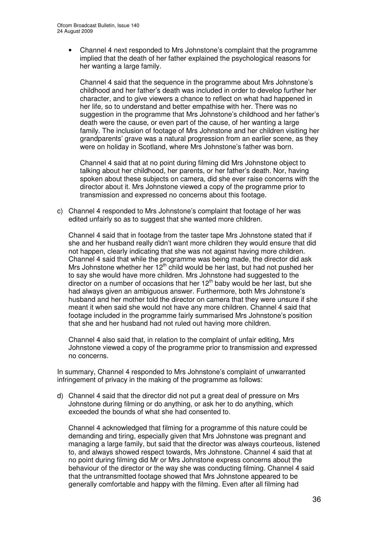• Channel 4 next responded to Mrs Johnstone's complaint that the programme implied that the death of her father explained the psychological reasons for her wanting a large family.

Channel 4 said that the sequence in the programme about Mrs Johnstone's childhood and her father's death was included in order to develop further her character, and to give viewers a chance to reflect on what had happened in her life, so to understand and better empathise with her. There was no suggestion in the programme that Mrs Johnstone's childhood and her father's death were the cause, or even part of the cause, of her wanting a large family. The inclusion of footage of Mrs Johnstone and her children visiting her grandparents' grave was a natural progression from an earlier scene, as they were on holiday in Scotland, where Mrs Johnstone's father was born.

Channel 4 said that at no point during filming did Mrs Johnstone object to talking about her childhood, her parents, or her father's death. Nor, having spoken about these subjects on camera, did she ever raise concerns with the director about it. Mrs Johnstone viewed a copy of the programme prior to transmission and expressed no concerns about this footage.

c) Channel 4 responded to Mrs Johnstone's complaint that footage of her was edited unfairly so as to suggest that she wanted more children.

Channel 4 said that in footage from the taster tape Mrs Johnstone stated that if she and her husband really didn't want more children they would ensure that did not happen, clearly indicating that she was not against having more children. Channel 4 said that while the programme was being made, the director did ask Mrs Johnstone whether her  $12<sup>th</sup>$  child would be her last, but had not pushed her to say she would have more children. Mrs Johnstone had suggested to the director on a number of occasions that her 12<sup>th</sup> baby would be her last, but she had always given an ambiguous answer. Furthermore, both Mrs Johnstone's husband and her mother told the director on camera that they were unsure if she meant it when said she would not have any more children. Channel 4 said that footage included in the programme fairly summarised Mrs Johnstone's position that she and her husband had not ruled out having more children.

Channel 4 also said that, in relation to the complaint of unfair editing, Mrs Johnstone viewed a copy of the programme prior to transmission and expressed no concerns.

In summary, Channel 4 responded to Mrs Johnstone's complaint of unwarranted infringement of privacy in the making of the programme as follows:

d) Channel 4 said that the director did not put a great deal of pressure on Mrs Johnstone during filming or do anything, or ask her to do anything, which exceeded the bounds of what she had consented to.

Channel 4 acknowledged that filming for a programme of this nature could be demanding and tiring, especially given that Mrs Johnstone was pregnant and managing a large family, but said that the director was always courteous, listened to, and always showed respect towards, Mrs Johnstone. Channel 4 said that at no point during filming did Mr or Mrs Johnstone express concerns about the behaviour of the director or the way she was conducting filming. Channel 4 said that the untransmitted footage showed that Mrs Johnstone appeared to be generally comfortable and happy with the filming. Even after all filming had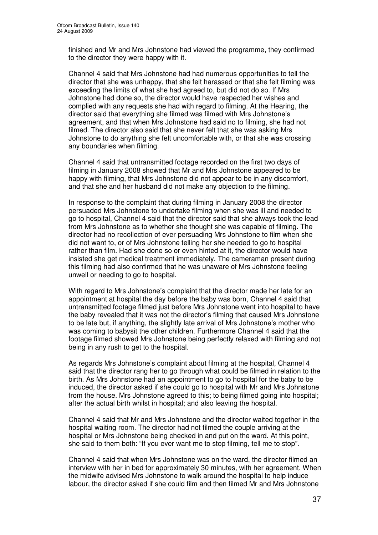finished and Mr and Mrs Johnstone had viewed the programme, they confirmed to the director they were happy with it.

Channel 4 said that Mrs Johnstone had had numerous opportunities to tell the director that she was unhappy, that she felt harassed or that she felt filming was exceeding the limits of what she had agreed to, but did not do so. If Mrs Johnstone had done so, the director would have respected her wishes and complied with any requests she had with regard to filming. At the Hearing, the director said that everything she filmed was filmed with Mrs Johnstone's agreement, and that when Mrs Johnstone had said no to filming, she had not filmed. The director also said that she never felt that she was asking Mrs Johnstone to do anything she felt uncomfortable with, or that she was crossing any boundaries when filming.

Channel 4 said that untransmitted footage recorded on the first two days of filming in January 2008 showed that Mr and Mrs Johnstone appeared to be happy with filming, that Mrs Johnstone did not appear to be in any discomfort, and that she and her husband did not make any objection to the filming.

In response to the complaint that during filming in January 2008 the director persuaded Mrs Johnstone to undertake filming when she was ill and needed to go to hospital, Channel 4 said that the director said that she always took the lead from Mrs Johnstone as to whether she thought she was capable of filming. The director had no recollection of ever persuading Mrs Johnstone to film when she did not want to, or of Mrs Johnstone telling her she needed to go to hospital rather than film. Had she done so or even hinted at it, the director would have insisted she get medical treatment immediately. The cameraman present during this filming had also confirmed that he was unaware of Mrs Johnstone feeling unwell or needing to go to hospital.

With regard to Mrs Johnstone's complaint that the director made her late for an appointment at hospital the day before the baby was born, Channel 4 said that untransmitted footage filmed just before Mrs Johnstone went into hospital to have the baby revealed that it was not the director's filming that caused Mrs Johnstone to be late but, if anything, the slightly late arrival of Mrs Johnstone's mother who was coming to babysit the other children. Furthermore Channel 4 said that the footage filmed showed Mrs Johnstone being perfectly relaxed with filming and not being in any rush to get to the hospital.

As regards Mrs Johnstone's complaint about filming at the hospital, Channel 4 said that the director rang her to go through what could be filmed in relation to the birth. As Mrs Johnstone had an appointment to go to hospital for the baby to be induced, the director asked if she could go to hospital with Mr and Mrs Johnstone from the house. Mrs Johnstone agreed to this; to being filmed going into hospital; after the actual birth whilst in hospital; and also leaving the hospital.

Channel 4 said that Mr and Mrs Johnstone and the director waited together in the hospital waiting room. The director had not filmed the couple arriving at the hospital or Mrs Johnstone being checked in and put on the ward. At this point, she said to them both: "If you ever want me to stop filming, tell me to stop".

Channel 4 said that when Mrs Johnstone was on the ward, the director filmed an interview with her in bed for approximately 30 minutes, with her agreement. When the midwife advised Mrs Johnstone to walk around the hospital to help induce labour, the director asked if she could film and then filmed Mr and Mrs Johnstone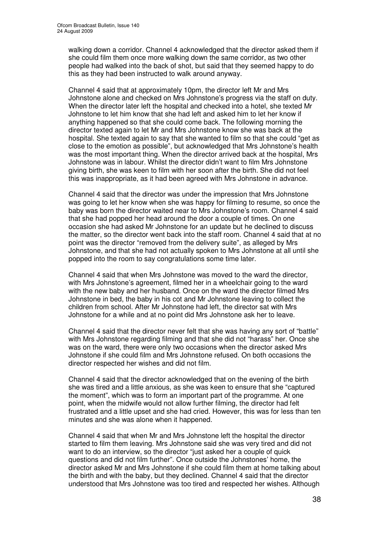walking down a corridor. Channel 4 acknowledged that the director asked them if she could film them once more walking down the same corridor, as two other people had walked into the back of shot, but said that they seemed happy to do this as they had been instructed to walk around anyway.

Channel 4 said that at approximately 10pm, the director left Mr and Mrs Johnstone alone and checked on Mrs Johnstone's progress via the staff on duty. When the director later left the hospital and checked into a hotel, she texted Mr Johnstone to let him know that she had left and asked him to let her know if anything happened so that she could come back. The following morning the director texted again to let Mr and Mrs Johnstone know she was back at the hospital. She texted again to say that she wanted to film so that she could "get as close to the emotion as possible", but acknowledged that Mrs Johnstone's health was the most important thing. When the director arrived back at the hospital, Mrs Johnstone was in labour. Whilst the director didn't want to film Mrs Johnstone giving birth, she was keen to film with her soon after the birth. She did not feel this was inappropriate, as it had been agreed with Mrs Johnstone in advance.

Channel 4 said that the director was under the impression that Mrs Johnstone was going to let her know when she was happy for filming to resume, so once the baby was born the director waited near to Mrs Johnstone's room. Channel 4 said that she had popped her head around the door a couple of times. On one occasion she had asked Mr Johnstone for an update but he declined to discuss the matter, so the director went back into the staff room. Channel 4 said that at no point was the director "removed from the delivery suite", as alleged by Mrs Johnstone, and that she had not actually spoken to Mrs Johnstone at all until she popped into the room to say congratulations some time later.

Channel 4 said that when Mrs Johnstone was moved to the ward the director, with Mrs Johnstone's agreement, filmed her in a wheelchair going to the ward with the new baby and her husband. Once on the ward the director filmed Mrs Johnstone in bed, the baby in his cot and Mr Johnstone leaving to collect the children from school. After Mr Johnstone had left, the director sat with Mrs Johnstone for a while and at no point did Mrs Johnstone ask her to leave.

Channel 4 said that the director never felt that she was having any sort of "battle" with Mrs Johnstone regarding filming and that she did not "harass" her. Once she was on the ward, there were only two occasions when the director asked Mrs Johnstone if she could film and Mrs Johnstone refused. On both occasions the director respected her wishes and did not film.

Channel 4 said that the director acknowledged that on the evening of the birth she was tired and a little anxious, as she was keen to ensure that she "captured the moment", which was to form an important part of the programme. At one point, when the midwife would not allow further filming, the director had felt frustrated and a little upset and she had cried. However, this was for less than ten minutes and she was alone when it happened.

Channel 4 said that when Mr and Mrs Johnstone left the hospital the director started to film them leaving. Mrs Johnstone said she was very tired and did not want to do an interview, so the director "just asked her a couple of quick questions and did not film further". Once outside the Johnstones' home, the director asked Mr and Mrs Johnstone if she could film them at home talking about the birth and with the baby, but they declined. Channel 4 said that the director understood that Mrs Johnstone was too tired and respected her wishes. Although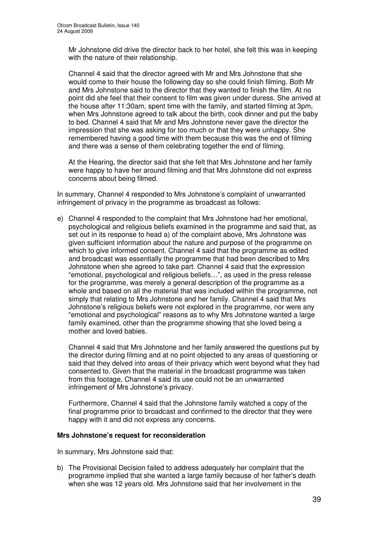Mr Johnstone did drive the director back to her hotel, she felt this was in keeping with the nature of their relationship.

Channel 4 said that the director agreed with Mr and Mrs Johnstone that she would come to their house the following day so she could finish filming. Both Mr and Mrs Johnstone said to the director that they wanted to finish the film. At no point did she feel that their consent to film was given under duress. She arrived at the house after 11:30am, spent time with the family, and started filming at 3pm, when Mrs Johnstone agreed to talk about the birth, cook dinner and put the baby to bed. Channel 4 said that Mr and Mrs Johnstone never gave the director the impression that she was asking for too much or that they were unhappy. She remembered having a good time with them because this was the end of filming and there was a sense of them celebrating together the end of filming.

At the Hearing, the director said that she felt that Mrs Johnstone and her family were happy to have her around filming and that Mrs Johnstone did not express concerns about being filmed.

In summary, Channel 4 responded to Mrs Johnstone's complaint of unwarranted infringement of privacy in the programme as broadcast as follows:

e) Channel 4 responded to the complaint that Mrs Johnstone had her emotional, psychological and religious beliefs examined in the programme and said that, as set out in its response to head a) of the complaint above, Mrs Johnstone was given sufficient information about the nature and purpose of the programme on which to give informed consent. Channel 4 said that the programme as edited and broadcast was essentially the programme that had been described to Mrs Johnstone when she agreed to take part. Channel 4 said that the expression "emotional, psychological and religious beliefs…", as used in the press release for the programme, was merely a general description of the programme as a whole and based on all the material that was included within the programme, not simply that relating to Mrs Johnstone and her family. Channel 4 said that Mrs Johnstone's religious beliefs were not explored in the programme, nor were any "emotional and psychological" reasons as to why Mrs Johnstone wanted a large family examined, other than the programme showing that she loved being a mother and loved babies.

Channel 4 said that Mrs Johnstone and her family answered the questions put by the director during filming and at no point objected to any areas of questioning or said that they delved into areas of their privacy which went beyond what they had consented to. Given that the material in the broadcast programme was taken from this footage, Channel 4 said its use could not be an unwarranted infringement of Mrs Johnstone's privacy.

Furthermore, Channel 4 said that the Johnstone family watched a copy of the final programme prior to broadcast and confirmed to the director that they were happy with it and did not express any concerns.

#### **Mrs Johnstone's request for reconsideration**

In summary, Mrs Johnstone said that:

b) The Provisional Decision failed to address adequately her complaint that the programme implied that she wanted a large family because of her father's death when she was 12 years old. Mrs Johnstone said that her involvement in the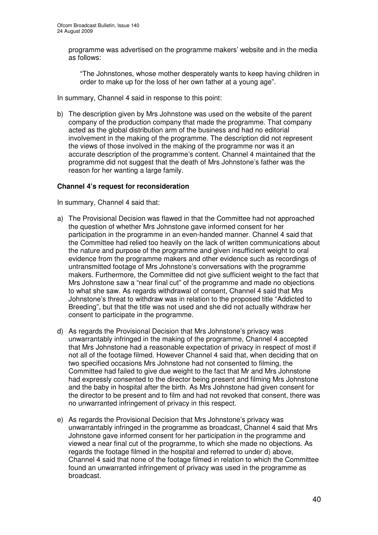programme was advertised on the programme makers' website and in the media as follows:

"The Johnstones, whose mother desperately wants to keep having children in order to make up for the loss of her own father at a young age".

In summary, Channel 4 said in response to this point:

b) The description given by Mrs Johnstone was used on the website of the parent company of the production company that made the programme. That company acted as the global distribution arm of the business and had no editorial involvement in the making of the programme. The description did not represent the views of those involved in the making of the programme nor was it an accurate description of the programme's content. Channel 4 maintained that the programme did not suggest that the death of Mrs Johnstone's father was the reason for her wanting a large family.

# **Channel 4's request for reconsideration**

In summary, Channel 4 said that:

- a) The Provisional Decision was flawed in that the Committee had not approached the question of whether Mrs Johnstone gave informed consent for her participation in the programme in an even-handed manner. Channel 4 said that the Committee had relied too heavily on the lack of written communications about the nature and purpose of the programme and given insufficient weight to oral evidence from the programme makers and other evidence such as recordings of untransmitted footage of Mrs Johnstone's conversations with the programme makers. Furthermore, the Committee did not give sufficient weight to the fact that Mrs Johnstone saw a "near final cut" of the programme and made no objections to what she saw. As regards withdrawal of consent, Channel 4 said that Mrs Johnstone's threat to withdraw was in relation to the proposed title "Addicted to Breeding", but that the title was not used and she did not actually withdraw her consent to participate in the programme.
- d) As regards the Provisional Decision that Mrs Johnstone's privacy was unwarrantably infringed in the making of the programme, Channel 4 accepted that Mrs Johnstone had a reasonable expectation of privacy in respect of most if not all of the footage filmed. However Channel 4 said that, when deciding that on two specified occasions Mrs Johnstone had not consented to filming, the Committee had failed to give due weight to the fact that Mr and Mrs Johnstone had expressly consented to the director being present and filming Mrs Johnstone and the baby in hospital after the birth. As Mrs Johnstone had given consent for the director to be present and to film and had not revoked that consent, there was no unwarranted infringement of privacy in this respect.
- e) As regards the Provisional Decision that Mrs Johnstone's privacy was unwarrantably infringed in the programme as broadcast, Channel 4 said that Mrs Johnstone gave informed consent for her participation in the programme and viewed a near final cut of the programme, to which she made no objections. As regards the footage filmed in the hospital and referred to under d) above, Channel 4 said that none of the footage filmed in relation to which the Committee found an unwarranted infringement of privacy was used in the programme as broadcast.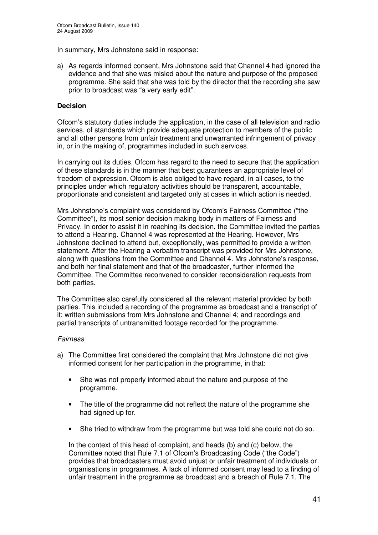In summary, Mrs Johnstone said in response:

a) As regards informed consent, Mrs Johnstone said that Channel 4 had ignored the evidence and that she was misled about the nature and purpose of the proposed programme. She said that she was told by the director that the recording she saw prior to broadcast was "a very early edit".

# **Decision**

Ofcom's statutory duties include the application, in the case of all television and radio services, of standards which provide adequate protection to members of the public and all other persons from unfair treatment and unwarranted infringement of privacy in, or in the making of, programmes included in such services.

In carrying out its duties, Ofcom has regard to the need to secure that the application of these standards is in the manner that best guarantees an appropriate level of freedom of expression. Ofcom is also obliged to have regard, in all cases, to the principles under which regulatory activities should be transparent, accountable, proportionate and consistent and targeted only at cases in which action is needed.

Mrs Johnstone's complaint was considered by Ofcom's Fairness Committee ("the Committee"), its most senior decision making body in matters of Fairness and Privacy. In order to assist it in reaching its decision, the Committee invited the parties to attend a Hearing. Channel 4 was represented at the Hearing. However, Mrs Johnstone declined to attend but, exceptionally, was permitted to provide a written statement. After the Hearing a verbatim transcript was provided for Mrs Johnstone, along with questions from the Committee and Channel 4. Mrs Johnstone's response, and both her final statement and that of the broadcaster, further informed the Committee. The Committee reconvened to consider reconsideration requests from both parties.

The Committee also carefully considered all the relevant material provided by both parties. This included a recording of the programme as broadcast and a transcript of it; written submissions from Mrs Johnstone and Channel 4; and recordings and partial transcripts of untransmitted footage recorded for the programme.

#### *Fairness*

- a) The Committee first considered the complaint that Mrs Johnstone did not give informed consent for her participation in the programme, in that:
	- She was not properly informed about the nature and purpose of the programme.
	- The title of the programme did not reflect the nature of the programme she had signed up for.
	- She tried to withdraw from the programme but was told she could not do so.

In the context of this head of complaint, and heads (b) and (c) below, the Committee noted that Rule 7.1 of Ofcom's Broadcasting Code ("the Code") provides that broadcasters must avoid unjust or unfair treatment of individuals or organisations in programmes. A lack of informed consent may lead to a finding of unfair treatment in the programme as broadcast and a breach of Rule 7.1. The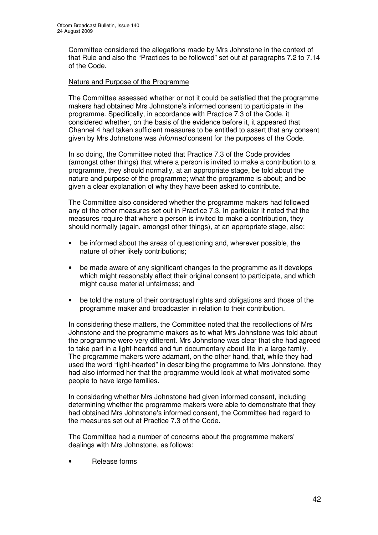Committee considered the allegations made by Mrs Johnstone in the context of that Rule and also the "Practices to be followed" set out at paragraphs 7.2 to 7.14 of the Code.

# Nature and Purpose of the Programme

The Committee assessed whether or not it could be satisfied that the programme makers had obtained Mrs Johnstone's informed consent to participate in the programme. Specifically, in accordance with Practice 7.3 of the Code, it considered whether, on the basis of the evidence before it, it appeared that Channel 4 had taken sufficient measures to be entitled to assert that any consent given by Mrs Johnstone was *informed* consent for the purposes of the Code.

In so doing, the Committee noted that Practice 7.3 of the Code provides (amongst other things) that where a person is invited to make a contribution to a programme, they should normally, at an appropriate stage, be told about the nature and purpose of the programme; what the programme is about; and be given a clear explanation of why they have been asked to contribute.

The Committee also considered whether the programme makers had followed any of the other measures set out in Practice 7.3. In particular it noted that the measures require that where a person is invited to make a contribution, they should normally (again, amongst other things), at an appropriate stage, also:

- be informed about the areas of questioning and, wherever possible, the nature of other likely contributions;
- be made aware of any significant changes to the programme as it develops which might reasonably affect their original consent to participate, and which might cause material unfairness; and
- be told the nature of their contractual rights and obligations and those of the programme maker and broadcaster in relation to their contribution.

In considering these matters, the Committee noted that the recollections of Mrs Johnstone and the programme makers as to what Mrs Johnstone was told about the programme were very different. Mrs Johnstone was clear that she had agreed to take part in a light-hearted and fun documentary about life in a large family. The programme makers were adamant, on the other hand, that, while they had used the word "light-hearted" in describing the programme to Mrs Johnstone, they had also informed her that the programme would look at what motivated some people to have large families.

In considering whether Mrs Johnstone had given informed consent, including determining whether the programme makers were able to demonstrate that they had obtained Mrs Johnstone's informed consent, the Committee had regard to the measures set out at Practice 7.3 of the Code.

The Committee had a number of concerns about the programme makers' dealings with Mrs Johnstone, as follows:

• Release forms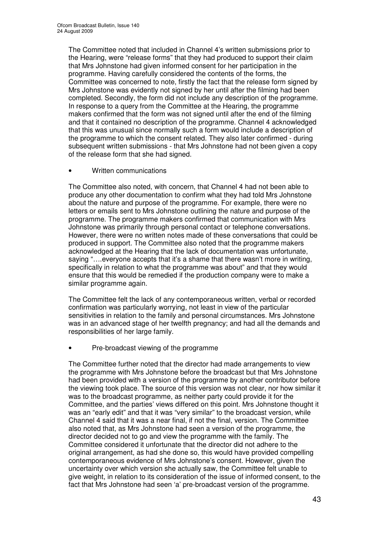The Committee noted that included in Channel 4's written submissions prior to the Hearing, were "release forms" that they had produced to support their claim that Mrs Johnstone had given informed consent for her participation in the programme. Having carefully considered the contents of the forms, the Committee was concerned to note, firstly the fact that the release form signed by Mrs Johnstone was evidently not signed by her until after the filming had been completed. Secondly, the form did not include any description of the programme. In response to a query from the Committee at the Hearing, the programme makers confirmed that the form was not signed until after the end of the filming and that it contained no description of the programme. Channel 4 acknowledged that this was unusual since normally such a form would include a description of the programme to which the consent related. They also later confirmed - during subsequent written submissions - that Mrs Johnstone had not been given a copy of the release form that she had signed.

• Written communications

The Committee also noted, with concern, that Channel 4 had not been able to produce any other documentation to confirm what they had told Mrs Johnstone about the nature and purpose of the programme. For example, there were no letters or emails sent to Mrs Johnstone outlining the nature and purpose of the programme. The programme makers confirmed that communication with Mrs Johnstone was primarily through personal contact or telephone conversations. However, there were no written notes made of these conversations that could be produced in support. The Committee also noted that the programme makers acknowledged at the Hearing that the lack of documentation was unfortunate, saying "….everyone accepts that it's a shame that there wasn't more in writing, specifically in relation to what the programme was about" and that they would ensure that this would be remedied if the production company were to make a similar programme again.

The Committee felt the lack of any contemporaneous written, verbal or recorded confirmation was particularly worrying, not least in view of the particular sensitivities in relation to the family and personal circumstances. Mrs Johnstone was in an advanced stage of her twelfth pregnancy; and had all the demands and responsibilities of her large family.

• Pre-broadcast viewing of the programme

The Committee further noted that the director had made arrangements to view the programme with Mrs Johnstone before the broadcast but that Mrs Johnstone had been provided with a version of the programme by another contributor before the viewing took place. The source of this version was not clear, nor how similar it was to the broadcast programme, as neither party could provide it for the Committee, and the parties' views differed on this point. Mrs Johnstone thought it was an "early edit" and that it was "very similar" to the broadcast version, while Channel 4 said that it was a near final, if not the final, version. The Committee also noted that, as Mrs Johnstone had seen a version of the programme, the director decided not to go and view the programme with the family. The Committee considered it unfortunate that the director did not adhere to the original arrangement, as had she done so, this would have provided compelling contemporaneous evidence of Mrs Johnstone's consent. However, given the uncertainty over which version she actually saw, the Committee felt unable to give weight, in relation to its consideration of the issue of informed consent, to the fact that Mrs Johnstone had seen 'a' pre-broadcast version of the programme.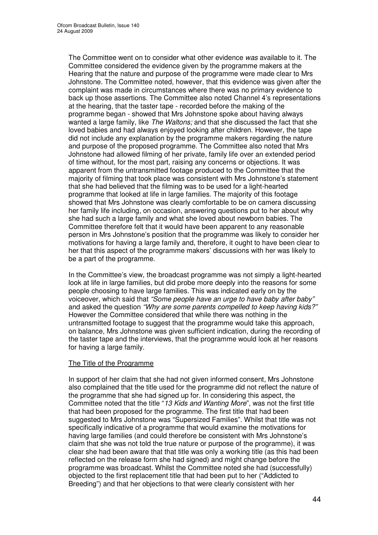The Committee went on to consider what other evidence *was* available to it. The Committee considered the evidence given by the programme makers at the Hearing that the nature and purpose of the programme were made clear to Mrs Johnstone. The Committee noted, however, that this evidence was given after the complaint was made in circumstances where there was no primary evidence to back up those assertions. The Committee also noted Channel 4's representations at the hearing, that the taster tape - recorded before the making of the programme began - showed that Mrs Johnstone spoke about having always wanted a large family, like *The Waltons;* and that she discussed the fact that she loved babies and had always enjoyed looking after children. However, the tape did not include any explanation by the programme makers regarding the nature and purpose of the proposed programme. The Committee also noted that Mrs Johnstone had allowed filming of her private, family life over an extended period of time without, for the most part, raising any concerns or objections. It was apparent from the untransmitted footage produced to the Committee that the majority of filming that took place was consistent with Mrs Johnstone's statement that she had believed that the filming was to be used for a light-hearted programme that looked at life in large families. The majority of this footage showed that Mrs Johnstone was clearly comfortable to be on camera discussing her family life including, on occasion, answering questions put to her about why she had such a large family and what she loved about newborn babies. The Committee therefore felt that it would have been apparent to any reasonable person in Mrs Johnstone's position that the programme was likely to consider her motivations for having a large family and, therefore, it ought to have been clear to her that this aspect of the programme makers' discussions with her was likely to be a part of the programme.

In the Committee's view, the broadcast programme was not simply a light-hearted look at life in large families, but did probe more deeply into the reasons for some people choosing to have large families. This was indicated early on by the voiceover, which said that *"Some people have an urge to have baby after baby"* and asked the question *"Why are some parents compelled to keep having kids?"* However the Committee considered that while there was nothing in the untransmitted footage to suggest that the programme would take this approach, on balance, Mrs Johnstone was given sufficient indication, during the recording of the taster tape and the interviews, that the programme would look at her reasons for having a large family.

# The Title of the Programme

In support of her claim that she had not given informed consent, Mrs Johnstone also complained that the title used for the programme did not reflect the nature of the programme that she had signed up for. In considering this aspect, the Committee noted that the title "*13 Kids and Wanting More*", was not the first title that had been proposed for the programme. The first title that had been suggested to Mrs Johnstone was "Supersized Families". Whilst that title was not specifically indicative of a programme that would examine the motivations for having large families (and could therefore be consistent with Mrs Johnstone's claim that she was not told the true nature or purpose of the programme), it was clear she had been aware that that title was only a working title (as this had been reflected on the release form she had signed) and might change before the programme was broadcast. Whilst the Committee noted she had (successfully) objected to the first replacement title that had been put to her ("Addicted to Breeding") and that her objections to that were clearly consistent with her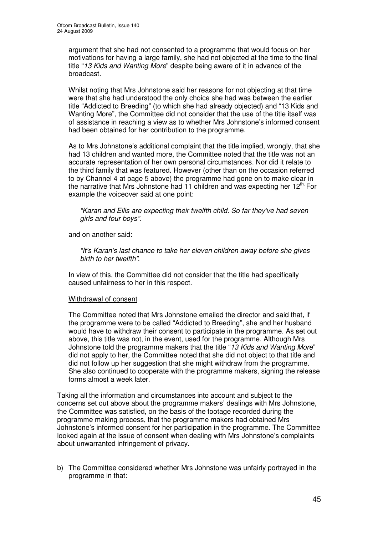argument that she had not consented to a programme that would focus on her motivations for having a large family, she had not objected at the time to the final title "*13 Kids and Wanting More*" despite being aware of it in advance of the broadcast.

Whilst noting that Mrs Johnstone said her reasons for not objecting at that time were that she had understood the only choice she had was between the earlier title "Addicted to Breeding" (to which she had already objected) and "13 Kids and Wanting More", the Committee did not consider that the use of the title itself was of assistance in reaching a view as to whether Mrs Johnstone's informed consent had been obtained for her contribution to the programme.

As to Mrs Johnstone's additional complaint that the title implied, wrongly, that she had 13 children and wanted more, the Committee noted that the title was not an accurate representation of her own personal circumstances. Nor did it relate to the third family that was featured. However (other than on the occasion referred to by Channel 4 at page 5 above) the programme had gone on to make clear in the narrative that Mrs Johnstone had 11 children and was expecting her 12<sup>th.</sup> For example the voiceover said at one point:

*"Karan and Ellis are expecting their twelfth child. So far they've had seven girls and four boys"*.

and on another said:

*"It's Karan's last chance to take her eleven children away before she gives birth to her twelfth"*.

In view of this, the Committee did not consider that the title had specifically caused unfairness to her in this respect.

# Withdrawal of consent

The Committee noted that Mrs Johnstone emailed the director and said that, if the programme were to be called "Addicted to Breeding", she and her husband would have to withdraw their consent to participate in the programme. As set out above, this title was not, in the event, used for the programme. Although Mrs Johnstone told the programme makers that the title "*13 Kids and Wanting More*" did not apply to her, the Committee noted that she did not object to that title and did not follow up her suggestion that she might withdraw from the programme. She also continued to cooperate with the programme makers, signing the release forms almost a week later.

Taking all the information and circumstances into account and subject to the concerns set out above about the programme makers' dealings with Mrs Johnstone, the Committee was satisfied, on the basis of the footage recorded during the programme making process, that the programme makers had obtained Mrs Johnstone's informed consent for her participation in the programme. The Committee looked again at the issue of consent when dealing with Mrs Johnstone's complaints about unwarranted infringement of privacy.

b) The Committee considered whether Mrs Johnstone was unfairly portrayed in the programme in that: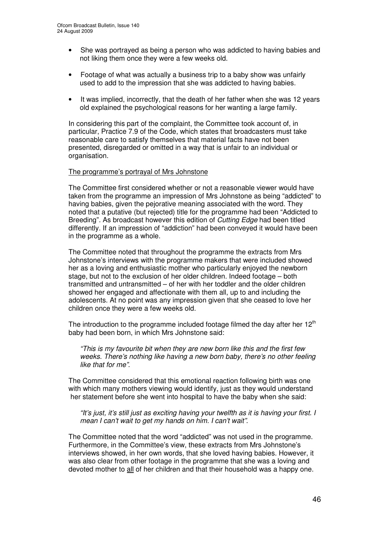- She was portrayed as being a person who was addicted to having babies and not liking them once they were a few weeks old.
- Footage of what was actually a business trip to a baby show was unfairly used to add to the impression that she was addicted to having babies.
- It was implied, incorrectly, that the death of her father when she was 12 years old explained the psychological reasons for her wanting a large family.

In considering this part of the complaint, the Committee took account of, in particular, Practice 7.9 of the Code, which states that broadcasters must take reasonable care to satisfy themselves that material facts have not been presented, disregarded or omitted in a way that is unfair to an individual or organisation.

#### The programme's portrayal of Mrs Johnstone

The Committee first considered whether or not a reasonable viewer would have taken from the programme an impression of Mrs Johnstone as being "addicted" to having babies, given the pejorative meaning associated with the word. They noted that a putative (but rejected) title for the programme had been "Addicted to Breeding". As broadcast however this edition of *Cutting Edge* had been titled differently. If an impression of "addiction" had been conveyed it would have been in the programme as a whole.

The Committee noted that throughout the programme the extracts from Mrs Johnstone's interviews with the programme makers that were included showed her as a loving and enthusiastic mother who particularly enjoyed the newborn stage, but not to the exclusion of her older children. Indeed footage – both transmitted and untransmitted – of her with her toddler and the older children showed her engaged and affectionate with them all, up to and including the adolescents. At no point was any impression given that she ceased to love her children once they were a few weeks old.

The introduction to the programme included footage filmed the day after her  $12<sup>th</sup>$ baby had been born, in which Mrs Johnstone said:

*"This is my favourite bit when they are new born like this and the first few weeks. There's nothing like having a new born baby, there's no other feeling like that for me"*.

The Committee considered that this emotional reaction following birth was one with which many mothers viewing would identify, just as they would understand her statement before she went into hospital to have the baby when she said:

*"It's just, it's still just as exciting having your twelfth as it is having your first. I mean I can't wait to get my hands on him. I can't wait"*.

The Committee noted that the word "addicted" was not used in the programme. Furthermore, in the Committee's view, these extracts from Mrs Johnstone's interviews showed, in her own words, that she loved having babies. However, it was also clear from other footage in the programme that she was a loving and devoted mother to all of her children and that their household was a happy one.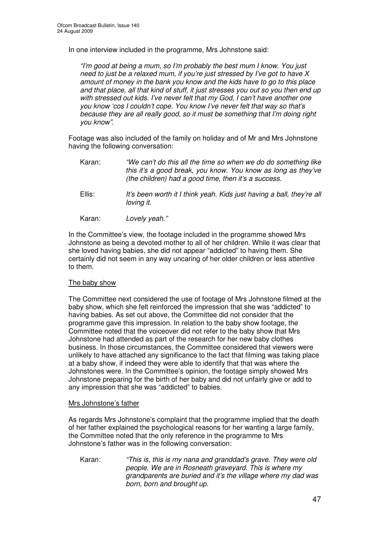In one interview included in the programme, Mrs Johnstone said:

*"I'm good at being a mum, so I'm probably the best mum I know. You just need to just be a relaxed mum, if you're just stressed by I've got to have X amount of money in the bank you know and the kids have to go to this place and that place, all that kind of stuff, it just stresses you out so you then end up with stressed out kids. I've never felt that my God, I can't have another one you know 'cos I couldn't cope. You know I've never felt that way so that's because they are all really good, so it must be something that I'm doing right you know"*.

Footage was also included of the family on holiday and of Mr and Mrs Johnstone having the following conversation:

- Karan: *"We can't do this all the time so when we do do something like this it's a good break, you know. You know as long as they've (the children) had a good time, then it's a success.* Ellis: *It's been worth it I think yeah. Kids just having a ball, they're all loving it.*
- Karan: *Lovely yeah*.*"*

In the Committee's view, the footage included in the programme showed Mrs Johnstone as being a devoted mother to all of her children. While it was clear that she loved having babies, she did not appear "addicted" to having them. She certainly did not seem in any way uncaring of her older children or less attentive to them.

#### The baby show

The Committee next considered the use of footage of Mrs Johnstone filmed at the baby show, which she felt reinforced the impression that she was "addicted" to having babies. As set out above, the Committee did not consider that the programme gave this impression. In relation to the baby show footage, the Committee noted that the voiceover did not refer to the baby show that Mrs Johnstone had attended as part of the research for her new baby clothes business. In those circumstances, the Committee considered that viewers were unlikely to have attached any significance to the fact that filming was taking place at a baby show, if indeed they were able to identify that that was where the Johnstones were. In the Committee's opinion, the footage simply showed Mrs Johnstone preparing for the birth of her baby and did not unfairly give or add to any impression that she was "addicted" to babies.

#### Mrs Johnstone's father

As regards Mrs Johnstone's complaint that the programme implied that the death of her father explained the psychological reasons for her wanting a large family, the Committee noted that the only reference in the programme to Mrs Johnstone's father was in the following conversation:

Karan: *"This is, this is my nana and granddad's grave. They were old people. We are in Rosneath graveyard. This is where my grandparents are buried and it's the village where my dad was born, born and brought up.*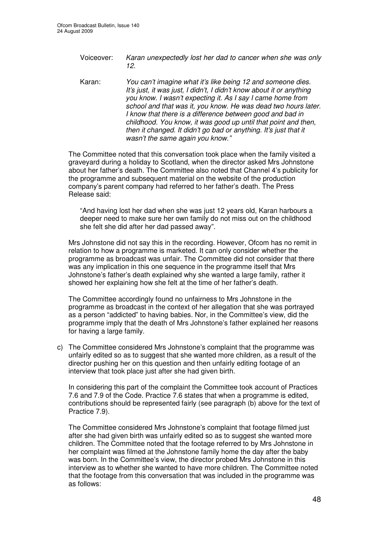Voiceover: *Karan unexpectedly lost her dad to cancer when she was only 12.*

Karan: *You can't imagine what it's like being 12 and someone dies. It's just, it was just, I didn't, I didn't know about it or anything you know. I wasn't expecting it. As I say I came home from school and that was it, you know. He was dead two hours later. I know that there is a difference between good and bad in childhood. You know, it was good up until that point and then, then it changed. It didn't go bad or anything. It's just that it wasn't the same again you know."*

The Committee noted that this conversation took place when the family visited a graveyard during a holiday to Scotland, when the director asked Mrs Johnstone about her father's death. The Committee also noted that Channel 4's publicity for the programme and subsequent material on the website of the production company's parent company had referred to her father's death. The Press Release said:

"And having lost her dad when she was just 12 years old, Karan harbours a deeper need to make sure her own family do not miss out on the childhood she felt she did after her dad passed away".

Mrs Johnstone did not say this in the recording. However, Ofcom has no remit in relation to how a programme is marketed. It can only consider whether the programme as broadcast was unfair. The Committee did not consider that there was any implication in this one sequence in the programme itself that Mrs Johnstone's father's death explained why she wanted a large family, rather it showed her explaining how she felt at the time of her father's death.

The Committee accordingly found no unfairness to Mrs Johnstone in the programme as broadcast in the context of her allegation that she was portrayed as a person "addicted" to having babies. Nor, in the Committee's view, did the programme imply that the death of Mrs Johnstone's father explained her reasons for having a large family.

c) The Committee considered Mrs Johnstone's complaint that the programme was unfairly edited so as to suggest that she wanted more children, as a result of the director pushing her on this question and then unfairly editing footage of an interview that took place just after she had given birth.

In considering this part of the complaint the Committee took account of Practices 7.6 and 7.9 of the Code. Practice 7.6 states that when a programme is edited, contributions should be represented fairly (see paragraph (b) above for the text of Practice 7.9).

The Committee considered Mrs Johnstone's complaint that footage filmed just after she had given birth was unfairly edited so as to suggest she wanted more children. The Committee noted that the footage referred to by Mrs Johnstone in her complaint was filmed at the Johnstone family home the day after the baby was born. In the Committee's view, the director probed Mrs Johnstone in this interview as to whether she wanted to have more children. The Committee noted that the footage from this conversation that was included in the programme was as follows: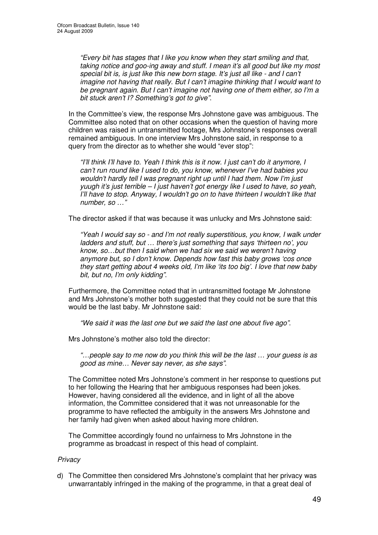*"Every bit has stages that I like you know when they start smiling and that, taking notice and goo-ing away and stuff. I mean it's all good but like my most special bit is, is just like this new born stage. It's just all like - and I can't imagine not having that really. But I can't imagine thinking that I would want to be pregnant again. But I can't imagine not having one of them either, so I'm a bit stuck aren't I? Something's got to give"*.

In the Committee's view, the response Mrs Johnstone gave was ambiguous. The Committee also noted that on other occasions when the question of having more children was raised in untransmitted footage, Mrs Johnstone's responses overall remained ambiguous. In one interview Mrs Johnstone said, in response to a query from the director as to whether she would "ever stop":

*"I'll think I'll have to. Yeah I think this is it now. I just can't do it anymore, I can't run round like I used to do, you know, whenever I've had babies you wouldn't hardly tell I was pregnant right up until I had them. Now I'm just yuugh it's just terrible – I just haven't got energy like I used to have, so yeah, I'll have to stop. Anyway, I wouldn't go on to have thirteen I wouldn't like that number, so …"*

The director asked if that was because it was unlucky and Mrs Johnstone said:

*"Yeah I would say so - and I'm not really superstitious, you know, I walk under ladders and stuff, but … there's just something that says 'thirteen no', you know, so…but then I said when we had six we said we weren't having anymore but, so I don't know. Depends how fast this baby grows 'cos once they start getting about 4 weeks old, I'm like 'its too big'. I love that new baby bit, but no, I'm only kidding"*.

Furthermore, the Committee noted that in untransmitted footage Mr Johnstone and Mrs Johnstone's mother both suggested that they could not be sure that this would be the last baby. Mr Johnstone said:

*"We said it was the last one but we said the last one about five ago"*.

Mrs Johnstone's mother also told the director:

*"…people say to me now do you think this will be the last … your guess is as good as mine… Never say never, as she says"*.

The Committee noted Mrs Johnstone's comment in her response to questions put to her following the Hearing that her ambiguous responses had been jokes. However, having considered all the evidence, and in light of all the above information, the Committee considered that it was not unreasonable for the programme to have reflected the ambiguity in the answers Mrs Johnstone and her family had given when asked about having more children.

The Committee accordingly found no unfairness to Mrs Johnstone in the programme as broadcast in respect of this head of complaint.

# *Privacy*

d) The Committee then considered Mrs Johnstone's complaint that her privacy was unwarrantably infringed in the making of the programme, in that a great deal of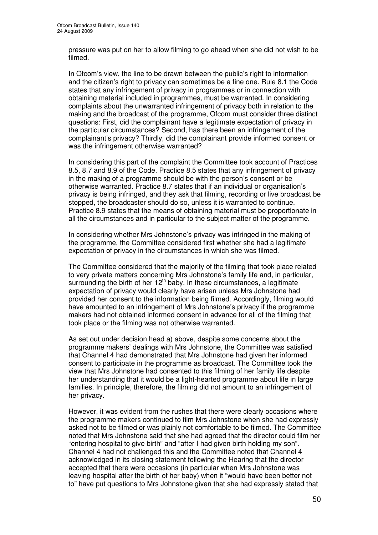pressure was put on her to allow filming to go ahead when she did not wish to be filmed.

In Ofcom's view, the line to be drawn between the public's right to information and the citizen's right to privacy can sometimes be a fine one. Rule 8.1 the Code states that any infringement of privacy in programmes or in connection with obtaining material included in programmes, must be warranted. In considering complaints about the unwarranted infringement of privacy both in relation to the making and the broadcast of the programme, Ofcom must consider three distinct questions: First, did the complainant have a legitimate expectation of privacy in the particular circumstances? Second, has there been an infringement of the complainant's privacy? Thirdly, did the complainant provide informed consent or was the infringement otherwise warranted?

In considering this part of the complaint the Committee took account of Practices 8.5, 8.7 and 8.9 of the Code. Practice 8.5 states that any infringement of privacy in the making of a programme should be with the person's consent or be otherwise warranted. Practice 8.7 states that if an individual or organisation's privacy is being infringed, and they ask that filming, recording or live broadcast be stopped, the broadcaster should do so, unless it is warranted to continue. Practice 8.9 states that the means of obtaining material must be proportionate in all the circumstances and in particular to the subject matter of the programme.

In considering whether Mrs Johnstone's privacy was infringed in the making of the programme, the Committee considered first whether she had a legitimate expectation of privacy in the circumstances in which she was filmed.

The Committee considered that the majority of the filming that took place related to very private matters concerning Mrs Johnstone's family life and, in particular, surrounding the birth of her  $12<sup>th</sup>$  baby. In these circumstances, a legitimate expectation of privacy would clearly have arisen unless Mrs Johnstone had provided her consent to the information being filmed. Accordingly, filming would have amounted to an infringement of Mrs Johnstone's privacy if the programme makers had not obtained informed consent in advance for all of the filming that took place or the filming was not otherwise warranted.

As set out under decision head a) above, despite some concerns about the programme makers' dealings with Mrs Johnstone, the Committee was satisfied that Channel 4 had demonstrated that Mrs Johnstone had given her informed consent to participate in the programme as broadcast. The Committee took the view that Mrs Johnstone had consented to this filming of her family life despite her understanding that it would be a light-hearted programme about life in large families. In principle, therefore, the filming did not amount to an infringement of her privacy.

However, it was evident from the rushes that there were clearly occasions where the programme makers continued to film Mrs Johnstone when she had expressly asked not to be filmed or was plainly not comfortable to be filmed. The Committee noted that Mrs Johnstone said that she had agreed that the director could film her "entering hospital to give birth" and "after I had given birth holding my son". Channel 4 had not challenged this and the Committee noted that Channel 4 acknowledged in its closing statement following the Hearing that the director accepted that there were occasions (in particular when Mrs Johnstone was leaving hospital after the birth of her baby) when it "would have been better not to" have put questions to Mrs Johnstone given that she had expressly stated that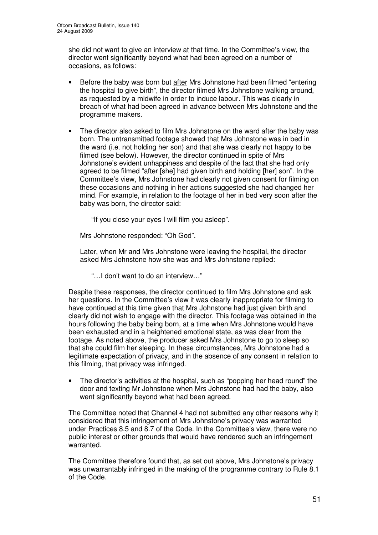she did not want to give an interview at that time. In the Committee's view, the director went significantly beyond what had been agreed on a number of occasions, as follows:

- Before the baby was born but after Mrs Johnstone had been filmed "entering the hospital to give birth", the director filmed Mrs Johnstone walking around, as requested by a midwife in order to induce labour. This was clearly in breach of what had been agreed in advance between Mrs Johnstone and the programme makers.
- The director also asked to film Mrs Johnstone on the ward after the baby was born. The untransmitted footage showed that Mrs Johnstone was in bed in the ward (i.e. not holding her son) and that she was clearly not happy to be filmed (see below). However, the director continued in spite of Mrs Johnstone's evident unhappiness and despite of the fact that she had only agreed to be filmed "after [she] had given birth and holding [her] son". In the Committee's view, Mrs Johnstone had clearly not given consent for filming on these occasions and nothing in her actions suggested she had changed her mind. For example, in relation to the footage of her in bed very soon after the baby was born, the director said:

"If you close your eyes I will film you asleep".

Mrs Johnstone responded: "Oh God".

Later, when Mr and Mrs Johnstone were leaving the hospital, the director asked Mrs Johnstone how she was and Mrs Johnstone replied:

"…I don't want to do an interview…"

Despite these responses, the director continued to film Mrs Johnstone and ask her questions. In the Committee's view it was clearly inappropriate for filming to have continued at this time given that Mrs Johnstone had just given birth and clearly did not wish to engage with the director. This footage was obtained in the hours following the baby being born, at a time when Mrs Johnstone would have been exhausted and in a heightened emotional state, as was clear from the footage. As noted above, the producer asked Mrs Johnstone to go to sleep so that she could film her sleeping. In these circumstances, Mrs Johnstone had a legitimate expectation of privacy, and in the absence of any consent in relation to this filming, that privacy was infringed.

• The director's activities at the hospital, such as "popping her head round" the door and texting Mr Johnstone when Mrs Johnstone had had the baby, also went significantly beyond what had been agreed.

The Committee noted that Channel 4 had not submitted any other reasons why it considered that this infringement of Mrs Johnstone's privacy was warranted under Practices 8.5 and 8.7 of the Code. In the Committee's view, there were no public interest or other grounds that would have rendered such an infringement warranted.

The Committee therefore found that, as set out above, Mrs Johnstone's privacy was unwarrantably infringed in the making of the programme contrary to Rule 8.1 of the Code.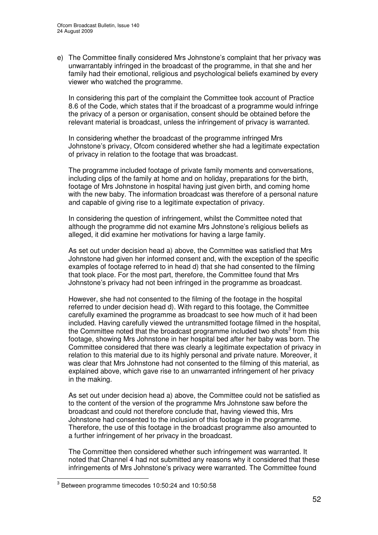e) The Committee finally considered Mrs Johnstone's complaint that her privacy was unwarrantably infringed in the broadcast of the programme, in that she and her family had their emotional, religious and psychological beliefs examined by every viewer who watched the programme.

In considering this part of the complaint the Committee took account of Practice 8.6 of the Code, which states that if the broadcast of a programme would infringe the privacy of a person or organisation, consent should be obtained before the relevant material is broadcast, unless the infringement of privacy is warranted.

In considering whether the broadcast of the programme infringed Mrs Johnstone's privacy, Ofcom considered whether she had a legitimate expectation of privacy in relation to the footage that was broadcast.

The programme included footage of private family moments and conversations, including clips of the family at home and on holiday, preparations for the birth, footage of Mrs Johnstone in hospital having just given birth, and coming home with the new baby. The information broadcast was therefore of a personal nature and capable of giving rise to a legitimate expectation of privacy.

In considering the question of infringement, whilst the Committee noted that although the programme did not examine Mrs Johnstone's religious beliefs as alleged, it did examine her motivations for having a large family.

As set out under decision head a) above, the Committee was satisfied that Mrs Johnstone had given her informed consent and, with the exception of the specific examples of footage referred to in head d) that she had consented to the filming that took place. For the most part, therefore, the Committee found that Mrs Johnstone's privacy had not been infringed in the programme as broadcast.

However, she had not consented to the filming of the footage in the hospital referred to under decision head d). With regard to this footage, the Committee carefully examined the programme as broadcast to see how much of it had been included. Having carefully viewed the untransmitted footage filmed in the hospital, the Committee noted that the broadcast programme included two shots<sup>3</sup> from this footage, showing Mrs Johnstone in her hospital bed after her baby was born. The Committee considered that there was clearly a legitimate expectation of privacy in relation to this material due to its highly personal and private nature. Moreover, it was clear that Mrs Johnstone had not consented to the filming of this material, as explained above, which gave rise to an unwarranted infringement of her privacy in the making.

As set out under decision head a) above, the Committee could not be satisfied as to the content of the version of the programme Mrs Johnstone saw before the broadcast and could not therefore conclude that, having viewed this, Mrs Johnstone had consented to the inclusion of this footage in the programme. Therefore, the use of this footage in the broadcast programme also amounted to a further infringement of her privacy in the broadcast.

The Committee then considered whether such infringement was warranted. It noted that Channel 4 had not submitted any reasons why it considered that these infringements of Mrs Johnstone's privacy were warranted. The Committee found

 $^3$  Between programme timecodes 10:50:24 and 10:50:58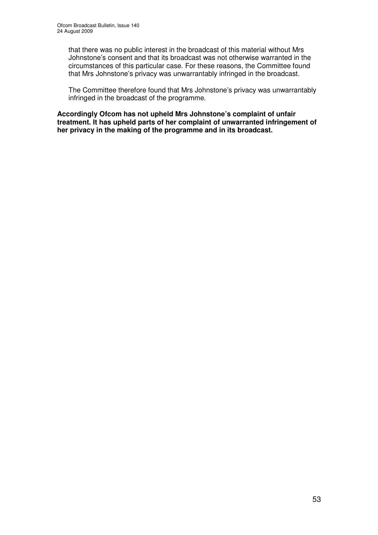that there was no public interest in the broadcast of this material without Mrs Johnstone's consent and that its broadcast was not otherwise warranted in the circumstances of this particular case. For these reasons, the Committee found that Mrs Johnstone's privacy was unwarrantably infringed in the broadcast.

The Committee therefore found that Mrs Johnstone's privacy was unwarrantably infringed in the broadcast of the programme.

**Accordingly Ofcom has not upheld Mrs Johnstone's complaint of unfair treatment. It has upheld parts of her complaint of unwarranted infringement of her privacy in the making of the programme and in its broadcast.**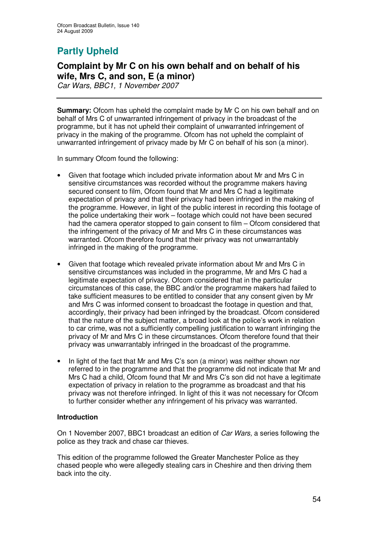# **Partly Upheld**

# **Complaint by Mr C on his own behalf and on behalf of his wife, Mrs C, and son, E (a minor)**

*Car Wars, BBC1, 1 November 2007*

**Summary:** Ofcom has upheld the complaint made by Mr C on his own behalf and on behalf of Mrs C of unwarranted infringement of privacy in the broadcast of the programme, but it has not upheld their complaint of unwarranted infringement of privacy in the making of the programme. Ofcom has not upheld the complaint of unwarranted infringement of privacy made by Mr C on behalf of his son (a minor).

In summary Ofcom found the following:

- Given that footage which included private information about Mr and Mrs C in sensitive circumstances was recorded without the programme makers having secured consent to film, Ofcom found that Mr and Mrs C had a legitimate expectation of privacy and that their privacy had been infringed in the making of the programme. However, in light of the public interest in recording this footage of the police undertaking their work – footage which could not have been secured had the camera operator stopped to gain consent to film – Ofcom considered that the infringement of the privacy of Mr and Mrs C in these circumstances was warranted. Ofcom therefore found that their privacy was not unwarrantably infringed in the making of the programme.
- Given that footage which revealed private information about Mr and Mrs C in sensitive circumstances was included in the programme, Mr and Mrs C had a legitimate expectation of privacy. Ofcom considered that in the particular circumstances of this case, the BBC and/or the programme makers had failed to take sufficient measures to be entitled to consider that any consent given by Mr and Mrs C was informed consent to broadcast the footage in question and that, accordingly, their privacy had been infringed by the broadcast. Ofcom considered that the nature of the subject matter, a broad look at the police's work in relation to car crime, was not a sufficiently compelling justification to warrant infringing the privacy of Mr and Mrs C in these circumstances. Ofcom therefore found that their privacy was unwarrantably infringed in the broadcast of the programme.
- In light of the fact that Mr and Mrs C's son (a minor) was neither shown nor referred to in the programme and that the programme did not indicate that Mr and Mrs C had a child, Ofcom found that Mr and Mrs C's son did not have a legitimate expectation of privacy in relation to the programme as broadcast and that his privacy was not therefore infringed. In light of this it was not necessary for Ofcom to further consider whether any infringement of his privacy was warranted.

# **Introduction**

On 1 November 2007, BBC1 broadcast an edition of *Car Wars,* a series following the police as they track and chase car thieves.

This edition of the programme followed the Greater Manchester Police as they chased people who were allegedly stealing cars in Cheshire and then driving them back into the city.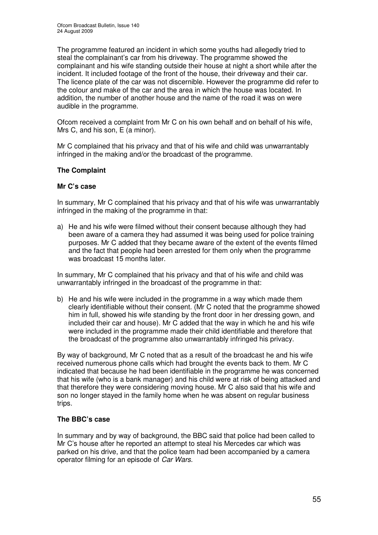The programme featured an incident in which some youths had allegedly tried to steal the complainant's car from his driveway. The programme showed the complainant and his wife standing outside their house at night a short while after the incident. It included footage of the front of the house, their driveway and their car. The licence plate of the car was not discernible. However the programme did refer to the colour and make of the car and the area in which the house was located. In addition, the number of another house and the name of the road it was on were audible in the programme.

Ofcom received a complaint from Mr C on his own behalf and on behalf of his wife, Mrs C, and his son, E (a minor).

Mr C complained that his privacy and that of his wife and child was unwarrantably infringed in the making and/or the broadcast of the programme.

# **The Complaint**

#### **Mr C's case**

In summary, Mr C complained that his privacy and that of his wife was unwarrantably infringed in the making of the programme in that:

a) He and his wife were filmed without their consent because although they had been aware of a camera they had assumed it was being used for police training purposes. Mr C added that they became aware of the extent of the events filmed and the fact that people had been arrested for them only when the programme was broadcast 15 months later.

In summary, Mr C complained that his privacy and that of his wife and child was unwarrantably infringed in the broadcast of the programme in that:

b) He and his wife were included in the programme in a way which made them clearly identifiable without their consent. (Mr C noted that the programme showed him in full, showed his wife standing by the front door in her dressing gown, and included their car and house). Mr C added that the way in which he and his wife were included in the programme made their child identifiable and therefore that the broadcast of the programme also unwarrantably infringed his privacy.

By way of background, Mr C noted that as a result of the broadcast he and his wife received numerous phone calls which had brought the events back to them. Mr C indicated that because he had been identifiable in the programme he was concerned that his wife (who is a bank manager) and his child were at risk of being attacked and that therefore they were considering moving house. Mr C also said that his wife and son no longer stayed in the family home when he was absent on regular business trips.

# **The BBC's case**

In summary and by way of background, the BBC said that police had been called to Mr C's house after he reported an attempt to steal his Mercedes car which was parked on his drive, and that the police team had been accompanied by a camera operator filming for an episode of *Car Wars.*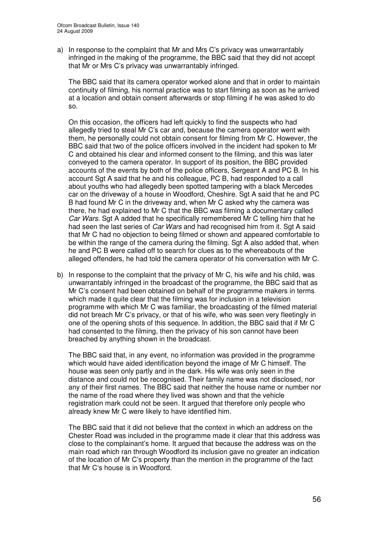a) In response to the complaint that Mr and Mrs C's privacy was unwarrantably infringed in the making of the programme, the BBC said that they did not accept that Mr or Mrs C's privacy was unwarrantably infringed.

The BBC said that its camera operator worked alone and that in order to maintain continuity of filming, his normal practice was to start filming as soon as he arrived at a location and obtain consent afterwards or stop filming if he was asked to do so.

On this occasion, the officers had left quickly to find the suspects who had allegedly tried to steal Mr C's car and, because the camera operator went with them, he personally could not obtain consent for filming from Mr C. However, the BBC said that two of the police officers involved in the incident had spoken to Mr C and obtained his clear and informed consent to the filming, and this was later conveyed to the camera operator. In support of its position, the BBC provided accounts of the events by both of the police officers, Sergeant A and PC B. In his account Sgt A said that he and his colleague, PC B, had responded to a call about youths who had allegedly been spotted tampering with a black Mercedes car on the driveway of a house in Woodford, Cheshire. Sgt A said that he and PC B had found Mr C in the driveway and, when Mr C asked why the camera was there, he had explained to Mr C that the BBC was filming a documentary called *Car Wars.* Sgt A added that he specifically remembered Mr C telling him that he had seen the last series of *Car Wars* and had recognised him from it. Sgt A said that Mr C had no objection to being filmed or shown and appeared comfortable to be within the range of the camera during the filming. Sgt A also added that, when he and PC B were called off to search for clues as to the whereabouts of the alleged offenders, he had told the camera operator of his conversation with Mr C.

b) In response to the complaint that the privacy of Mr C, his wife and his child, was unwarrantably infringed in the broadcast of the programme, the BBC said that as Mr C's consent had been obtained on behalf of the programme makers in terms which made it quite clear that the filming was for inclusion in a television programme with which Mr C was familiar, the broadcasting of the filmed material did not breach Mr C's privacy, or that of his wife, who was seen very fleetingly in one of the opening shots of this sequence. In addition, the BBC said that if Mr C had consented to the filming, then the privacy of his son cannot have been breached by anything shown in the broadcast.

The BBC said that, in any event, no information was provided in the programme which would have aided identification beyond the image of Mr C himself. The house was seen only partly and in the dark. His wife was only seen in the distance and could not be recognised. Their family name was not disclosed, nor any of their first names. The BBC said that neither the house name or number nor the name of the road where they lived was shown and that the vehicle registration mark could not be seen. It argued that therefore only people who already knew Mr C were likely to have identified him.

The BBC said that it did not believe that the context in which an address on the Chester Road was included in the programme made it clear that this address was close to the complainant's home. It argued that because the address was on the main road which ran through Woodford its inclusion gave no greater an indication of the location of Mr C's property than the mention in the programme of the fact that Mr C's house is in Woodford.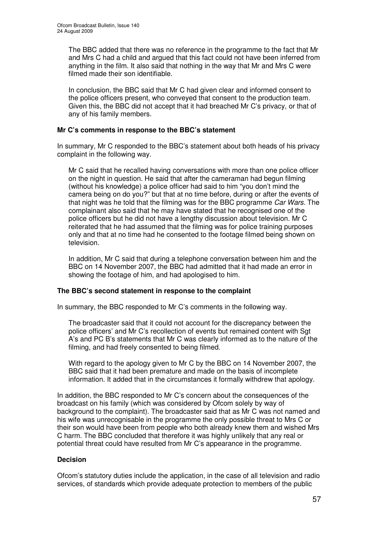The BBC added that there was no reference in the programme to the fact that Mr and Mrs C had a child and argued that this fact could not have been inferred from anything in the film. It also said that nothing in the way that Mr and Mrs C were filmed made their son identifiable.

In conclusion, the BBC said that Mr C had given clear and informed consent to the police officers present, who conveyed that consent to the production team. Given this, the BBC did not accept that it had breached Mr C's privacy, or that of any of his family members.

# **Mr C's comments in response to the BBC's statement**

In summary, Mr C responded to the BBC's statement about both heads of his privacy complaint in the following way.

Mr C said that he recalled having conversations with more than one police officer on the night in question. He said that after the cameraman had begun filming (without his knowledge) a police officer had said to him "you don't mind the camera being on do you?" but that at no time before, during or after the events of that night was he told that the filming was for the BBC programme *Car Wars*. The complainant also said that he may have stated that he recognised one of the police officers but he did not have a lengthy discussion about television. Mr C reiterated that he had assumed that the filming was for police training purposes only and that at no time had he consented to the footage filmed being shown on television.

In addition, Mr C said that during a telephone conversation between him and the BBC on 14 November 2007, the BBC had admitted that it had made an error in showing the footage of him, and had apologised to him.

# **The BBC's second statement in response to the complaint**

In summary, the BBC responded to Mr C's comments in the following way.

The broadcaster said that it could not account for the discrepancy between the police officers' and Mr C's recollection of events but remained content with Sgt A's and PC B's statements that Mr C was clearly informed as to the nature of the filming, and had freely consented to being filmed.

With regard to the apology given to Mr C by the BBC on 14 November 2007, the BBC said that it had been premature and made on the basis of incomplete information. It added that in the circumstances it formally withdrew that apology.

In addition, the BBC responded to Mr C's concern about the consequences of the broadcast on his family (which was considered by Ofcom solely by way of background to the complaint). The broadcaster said that as Mr C was not named and his wife was unrecognisable in the programme the only possible threat to Mrs C or their son would have been from people who both already knew them and wished Mrs C harm. The BBC concluded that therefore it was highly unlikely that any real or potential threat could have resulted from Mr C's appearance in the programme.

# **Decision**

Ofcom's statutory duties include the application, in the case of all television and radio services, of standards which provide adequate protection to members of the public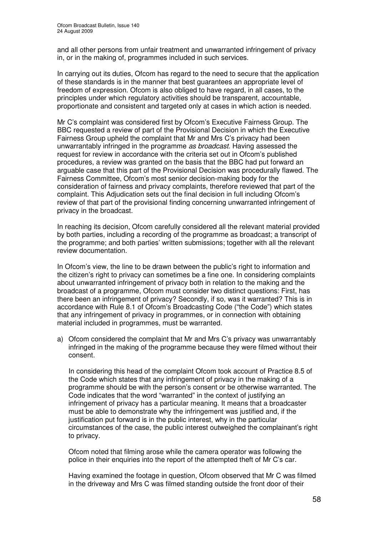and all other persons from unfair treatment and unwarranted infringement of privacy in, or in the making of, programmes included in such services.

In carrying out its duties, Ofcom has regard to the need to secure that the application of these standards is in the manner that best guarantees an appropriate level of freedom of expression. Ofcom is also obliged to have regard, in all cases, to the principles under which regulatory activities should be transparent, accountable, proportionate and consistent and targeted only at cases in which action is needed.

Mr C's complaint was considered first by Ofcom's Executive Fairness Group. The BBC requested a review of part of the Provisional Decision in which the Executive Fairness Group upheld the complaint that Mr and Mrs C's privacy had been unwarrantably infringed in the programme *as broadcast*. Having assessed the request for review in accordance with the criteria set out in Ofcom's published procedures, a review was granted on the basis that the BBC had put forward an arguable case that this part of the Provisional Decision was procedurally flawed. The Fairness Committee, Ofcom's most senior decision-making body for the consideration of fairness and privacy complaints, therefore reviewed that part of the complaint. This Adjudication sets out the final decision in full including Ofcom's review of that part of the provisional finding concerning unwarranted infringement of privacy in the broadcast.

In reaching its decision, Ofcom carefully considered all the relevant material provided by both parties, including a recording of the programme as broadcast; a transcript of the programme; and both parties' written submissions; together with all the relevant review documentation.

In Ofcom's view, the line to be drawn between the public's right to information and the citizen's right to privacy can sometimes be a fine one. In considering complaints about unwarranted infringement of privacy both in relation to the making and the broadcast of a programme, Ofcom must consider two distinct questions: First, has there been an infringement of privacy? Secondly, if so, was it warranted? This is in accordance with Rule 8.1 of Ofcom's Broadcasting Code ("the Code") which states that any infringement of privacy in programmes, or in connection with obtaining material included in programmes, must be warranted.

a) Ofcom considered the complaint that Mr and Mrs C's privacy was unwarrantably infringed in the making of the programme because they were filmed without their consent.

In considering this head of the complaint Ofcom took account of Practice 8.5 of the Code which states that any infringement of privacy in the making of a programme should be with the person's consent or be otherwise warranted. The Code indicates that the word "warranted" in the context of justifying an infringement of privacy has a particular meaning. It means that a broadcaster must be able to demonstrate why the infringement was justified and, if the justification put forward is in the public interest, why in the particular circumstances of the case, the public interest outweighed the complainant's right to privacy.

Ofcom noted that filming arose while the camera operator was following the police in their enquiries into the report of the attempted theft of Mr C's car.

Having examined the footage in question, Ofcom observed that Mr C was filmed in the driveway and Mrs C was filmed standing outside the front door of their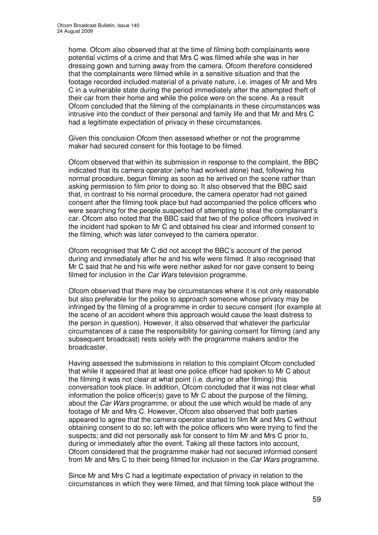home. Ofcom also observed that at the time of filming both complainants were potential victims of a crime and that Mrs C was filmed while she was in her dressing gown and turning away from the camera. Ofcom therefore considered that the complainants were filmed while in a sensitive situation and that the footage recorded included material of a private nature, i.e. images of Mr and Mrs C in a vulnerable state during the period immediately after the attempted theft of their car from their home and while the police were on the scene. As a result Ofcom concluded that the filming of the complainants in these circumstances was intrusive into the conduct of their personal and family life and that Mr and Mrs C had a legitimate expectation of privacy in these circumstances.

Given this conclusion Ofcom then assessed whether or not the programme maker had secured consent for this footage to be filmed.

Ofcom observed that within its submission in response to the complaint, the BBC indicated that its camera operator (who had worked alone) had, following his normal procedure, begun filming as soon as he arrived on the scene rather than asking permission to film prior to doing so. It also observed that the BBC said that, in contrast to his normal procedure, the camera operator had not gained consent after the filming took place but had accompanied the police officers who were searching for the people suspected of attempting to steal the complainant's car. Ofcom also noted that the BBC said that two of the police officers involved in the incident had spoken to Mr C and obtained his clear and informed consent to the filming, which was later conveyed to the camera operator.

Ofcom recognised that Mr C did not accept the BBC's account of the period during and immediately after he and his wife were filmed. It also recognised that Mr C said that he and his wife were neither asked for nor gave consent to being filmed for inclusion in the *Car Wars* television programme.

Ofcom observed that there may be circumstances where it is not only reasonable but also preferable for the police to approach someone whose privacy may be infringed by the filming of a programme in order to secure consent (for example at the scene of an accident where this approach would cause the least distress to the person in question). However, it also observed that whatever the particular circumstances of a case the responsibility for gaining consent for filming (and any subsequent broadcast) rests solely with the programme makers and/or the broadcaster.

Having assessed the submissions in relation to this complaint Ofcom concluded that while it appeared that at least one police officer had spoken to Mr C about the filming it was not clear at what point (i.e. during or after filming) this conversation took place. In addition, Ofcom concluded that it was not clear what information the police officer(s) gave to Mr C about the purpose of the filming, about the *Car Wars* programme, or about the use which would be made of any footage of Mr and Mrs C. However, Ofcom also observed that both parties appeared to agree that the camera operator started to film Mr and Mrs C without obtaining consent to do so; left with the police officers who were trying to find the suspects; and did not personally ask for consent to film Mr and Mrs C prior to, during or immediately after the event. Taking all these factors into account, Ofcom considered that the programme maker had not secured informed consent from Mr and Mrs C to their being filmed for inclusion in the *Car Wars* programme.

Since Mr and Mrs C had a legitimate expectation of privacy in relation to the circumstances in which they were filmed, and that filming took place without the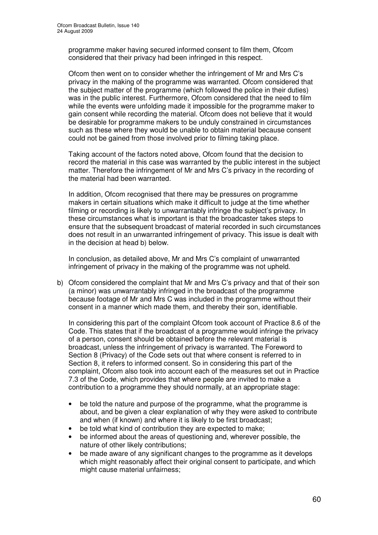programme maker having secured informed consent to film them, Ofcom considered that their privacy had been infringed in this respect.

Ofcom then went on to consider whether the infringement of Mr and Mrs C's privacy in the making of the programme was warranted. Ofcom considered that the subject matter of the programme (which followed the police in their duties) was in the public interest. Furthermore, Ofcom considered that the need to film while the events were unfolding made it impossible for the programme maker to gain consent while recording the material. Ofcom does not believe that it would be desirable for programme makers to be unduly constrained in circumstances such as these where they would be unable to obtain material because consent could not be gained from those involved prior to filming taking place.

Taking account of the factors noted above, Ofcom found that the decision to record the material in this case was warranted by the public interest in the subject matter. Therefore the infringement of Mr and Mrs C's privacy in the recording of the material had been warranted.

In addition, Ofcom recognised that there may be pressures on programme makers in certain situations which make it difficult to judge at the time whether filming or recording is likely to unwarrantably infringe the subject's privacy. In these circumstances what is important is that the broadcaster takes steps to ensure that the subsequent broadcast of material recorded in such circumstances does not result in an unwarranted infringement of privacy. This issue is dealt with in the decision at head b) below.

In conclusion, as detailed above, Mr and Mrs C's complaint of unwarranted infringement of privacy in the making of the programme was not upheld.

b) Ofcom considered the complaint that Mr and Mrs C's privacy and that of their son (a minor) was unwarrantably infringed in the broadcast of the programme because footage of Mr and Mrs C was included in the programme without their consent in a manner which made them, and thereby their son, identifiable.

In considering this part of the complaint Ofcom took account of Practice 8.6 of the Code. This states that if the broadcast of a programme would infringe the privacy of a person, consent should be obtained before the relevant material is broadcast, unless the infringement of privacy is warranted. The Foreword to Section 8 (Privacy) of the Code sets out that where consent is referred to in Section 8, it refers to informed consent. So in considering this part of the complaint, Ofcom also took into account each of the measures set out in Practice 7.3 of the Code, which provides that where people are invited to make a contribution to a programme they should normally, at an appropriate stage:

- be told the nature and purpose of the programme, what the programme is about, and be given a clear explanation of why they were asked to contribute and when (if known) and where it is likely to be first broadcast;
- be told what kind of contribution they are expected to make;
- be informed about the areas of questioning and, wherever possible, the nature of other likely contributions;
- be made aware of any significant changes to the programme as it develops which might reasonably affect their original consent to participate, and which might cause material unfairness;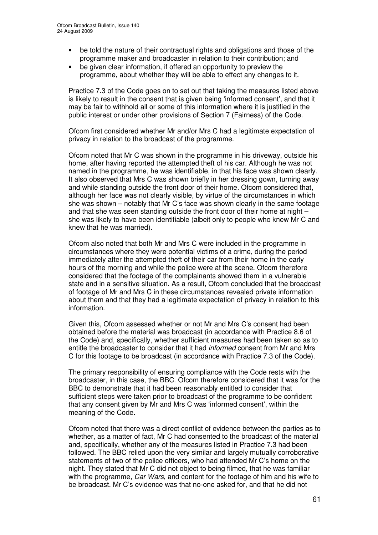- be told the nature of their contractual rights and obligations and those of the programme maker and broadcaster in relation to their contribution; and
- be given clear information, if offered an opportunity to preview the programme, about whether they will be able to effect any changes to it.

Practice 7.3 of the Code goes on to set out that taking the measures listed above is likely to result in the consent that is given being 'informed consent', and that it may be fair to withhold all or some of this information where it is justified in the public interest or under other provisions of Section 7 (Fairness) of the Code.

Ofcom first considered whether Mr and/or Mrs C had a legitimate expectation of privacy in relation to the broadcast of the programme.

Ofcom noted that Mr C was shown in the programme in his driveway, outside his home, after having reported the attempted theft of his car. Although he was not named in the programme, he was identifiable, in that his face was shown clearly. It also observed that Mrs C was shown briefly in her dressing gown, turning away and while standing outside the front door of their home. Ofcom considered that, although her face was not clearly visible, by virtue of the circumstances in which she was shown – notably that Mr C's face was shown clearly in the same footage and that she was seen standing outside the front door of their home at night – she was likely to have been identifiable (albeit only to people who knew Mr C and knew that he was married).

Ofcom also noted that both Mr and Mrs C were included in the programme in circumstances where they were potential victims of a crime, during the period immediately after the attempted theft of their car from their home in the early hours of the morning and while the police were at the scene. Ofcom therefore considered that the footage of the complainants showed them in a vulnerable state and in a sensitive situation. As a result, Ofcom concluded that the broadcast of footage of Mr and Mrs C in these circumstances revealed private information about them and that they had a legitimate expectation of privacy in relation to this information.

Given this, Ofcom assessed whether or not Mr and Mrs C's consent had been obtained before the material was broadcast (in accordance with Practice 8.6 of the Code) and, specifically, whether sufficient measures had been taken so as to entitle the broadcaster to consider that it had *informed* consent from Mr and Mrs C for this footage to be broadcast (in accordance with Practice 7.3 of the Code).

The primary responsibility of ensuring compliance with the Code rests with the broadcaster, in this case, the BBC. Ofcom therefore considered that it was for the BBC to demonstrate that it had been reasonably entitled to consider that sufficient steps were taken prior to broadcast of the programme to be confident that any consent given by Mr and Mrs C was 'informed consent', within the meaning of the Code.

Ofcom noted that there was a direct conflict of evidence between the parties as to whether, as a matter of fact, Mr C had consented to the broadcast of the material and, specifically, whether any of the measures listed in Practice 7.3 had been followed. The BBC relied upon the very similar and largely mutually corroborative statements of two of the police officers, who had attended Mr C's home on the night. They stated that Mr C did not object to being filmed, that he was familiar with the programme, *Car Wars*, and content for the footage of him and his wife to be broadcast. Mr C's evidence was that no-one asked for, and that he did not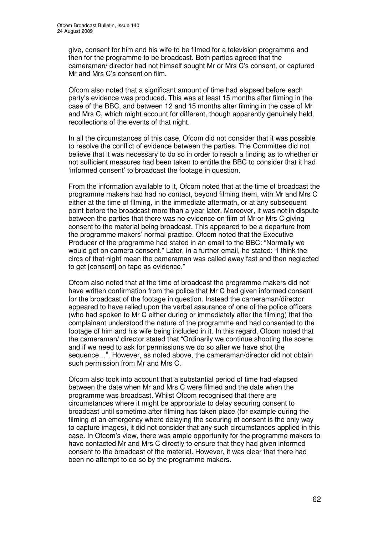give, consent for him and his wife to be filmed for a television programme and then for the programme to be broadcast. Both parties agreed that the cameraman/ director had not himself sought Mr or Mrs C's consent, or captured Mr and Mrs C's consent on film.

Ofcom also noted that a significant amount of time had elapsed before each party's evidence was produced. This was at least 15 months after filming in the case of the BBC, and between 12 and 15 months after filming in the case of Mr and Mrs C, which might account for different, though apparently genuinely held, recollections of the events of that night.

In all the circumstances of this case, Ofcom did not consider that it was possible to resolve the conflict of evidence between the parties. The Committee did not believe that it was necessary to do so in order to reach a finding as to whether or not sufficient measures had been taken to entitle the BBC to consider that it had 'informed consent' to broadcast the footage in question.

From the information available to it, Ofcom noted that at the time of broadcast the programme makers had had no contact, beyond filming them, with Mr and Mrs C either at the time of filming, in the immediate aftermath, or at any subsequent point before the broadcast more than a year later. Moreover, it was not in dispute between the parties that there was no evidence on film of Mr or Mrs C giving consent to the material being broadcast. This appeared to be a departure from the programme makers' normal practice. Ofcom noted that the Executive Producer of the programme had stated in an email to the BBC: "Normally we would get on camera consent." Later, in a further email, he stated: "I think the circs of that night mean the cameraman was called away fast and then neglected to get [consent] on tape as evidence."

Ofcom also noted that at the time of broadcast the programme makers did not have written confirmation from the police that Mr C had given informed consent for the broadcast of the footage in question. Instead the cameraman/director appeared to have relied upon the verbal assurance of one of the police officers (who had spoken to Mr C either during or immediately after the filming) that the complainant understood the nature of the programme and had consented to the footage of him and his wife being included in it. In this regard, Ofcom noted that the cameraman/ director stated that "Ordinarily we continue shooting the scene and if we need to ask for permissions we do so after we have shot the sequence…". However, as noted above, the cameraman/director did not obtain such permission from Mr and Mrs C.

Ofcom also took into account that a substantial period of time had elapsed between the date when Mr and Mrs C were filmed and the date when the programme was broadcast. Whilst Ofcom recognised that there are circumstances where it might be appropriate to delay securing consent to broadcast until sometime after filming has taken place (for example during the filming of an emergency where delaying the securing of consent is the only way to capture images), it did not consider that any such circumstances applied in this case. In Ofcom's view, there was ample opportunity for the programme makers to have contacted Mr and Mrs C directly to ensure that they had given informed consent to the broadcast of the material. However, it was clear that there had been no attempt to do so by the programme makers.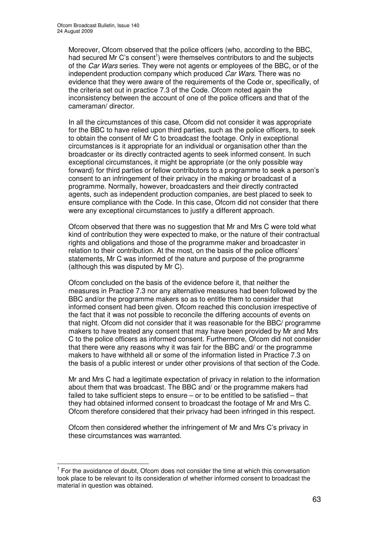Moreover, Ofcom observed that the police officers (who, according to the BBC, had secured Mr C's consent<sup>1</sup>) were themselves contributors to and the subjects of the *Car Wars* series. They were not agents or employees of the BBC, or of the independent production company which produced *Car Wars*. There was no evidence that they were aware of the requirements of the Code or, specifically, of the criteria set out in practice 7.3 of the Code. Ofcom noted again the inconsistency between the account of one of the police officers and that of the cameraman/ director.

In all the circumstances of this case, Ofcom did not consider it was appropriate for the BBC to have relied upon third parties, such as the police officers, to seek to obtain the consent of Mr C to broadcast the footage. Only in exceptional circumstances is it appropriate for an individual or organisation other than the broadcaster or its directly contracted agents to seek informed consent. In such exceptional circumstances, it might be appropriate (or the only possible way forward) for third parties or fellow contributors to a programme to seek a person's consent to an infringement of their privacy in the making or broadcast of a programme. Normally, however, broadcasters and their directly contracted agents, such as independent production companies, are best placed to seek to ensure compliance with the Code. In this case, Ofcom did not consider that there were any exceptional circumstances to justify a different approach.

Ofcom observed that there was no suggestion that Mr and Mrs C were told what kind of contribution they were expected to make, or the nature of their contractual rights and obligations and those of the programme maker and broadcaster in relation to their contribution. At the most, on the basis of the police officers' statements, Mr C was informed of the nature and purpose of the programme (although this was disputed by Mr C).

Ofcom concluded on the basis of the evidence before it, that neither the measures in Practice 7.3 nor any alternative measures had been followed by the BBC and/or the programme makers so as to entitle them to consider that informed consent had been given. Ofcom reached this conclusion irrespective of the fact that it was not possible to reconcile the differing accounts of events on that night. Ofcom did not consider that it was reasonable for the BBC/ programme makers to have treated any consent that may have been provided by Mr and Mrs C to the police officers as informed consent. Furthermore, Ofcom did not consider that there were any reasons why it was fair for the BBC and/ or the programme makers to have withheld all or some of the information listed in Practice 7.3 on the basis of a public interest or under other provisions of that section of the Code.

Mr and Mrs C had a legitimate expectation of privacy in relation to the information about them that was broadcast. The BBC and/ or the programme makers had failed to take sufficient steps to ensure – or to be entitled to be satisfied – that they had obtained informed consent to broadcast the footage of Mr and Mrs C. Ofcom therefore considered that their privacy had been infringed in this respect.

Ofcom then considered whether the infringement of Mr and Mrs C's privacy in these circumstances was warranted.

<sup>&</sup>lt;sup>1</sup> For the avoidance of doubt, Ofcom does not consider the time at which this conversation took place to be relevant to its consideration of whether informed consent to broadcast the material in question was obtained.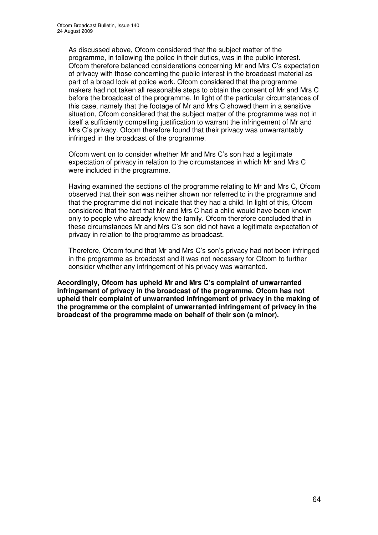As discussed above, Ofcom considered that the subject matter of the programme, in following the police in their duties, was in the public interest. Ofcom therefore balanced considerations concerning Mr and Mrs C's expectation of privacy with those concerning the public interest in the broadcast material as part of a broad look at police work. Ofcom considered that the programme makers had not taken all reasonable steps to obtain the consent of Mr and Mrs C before the broadcast of the programme. In light of the particular circumstances of this case, namely that the footage of Mr and Mrs C showed them in a sensitive situation, Ofcom considered that the subject matter of the programme was not in itself a sufficiently compelling justification to warrant the infringement of Mr and Mrs C's privacy. Ofcom therefore found that their privacy was unwarrantably infringed in the broadcast of the programme.

Ofcom went on to consider whether Mr and Mrs C's son had a legitimate expectation of privacy in relation to the circumstances in which Mr and Mrs C were included in the programme.

Having examined the sections of the programme relating to Mr and Mrs C, Ofcom observed that their son was neither shown nor referred to in the programme and that the programme did not indicate that they had a child. In light of this, Ofcom considered that the fact that Mr and Mrs C had a child would have been known only to people who already knew the family. Ofcom therefore concluded that in these circumstances Mr and Mrs C's son did not have a legitimate expectation of privacy in relation to the programme as broadcast.

Therefore, Ofcom found that Mr and Mrs C's son's privacy had not been infringed in the programme as broadcast and it was not necessary for Ofcom to further consider whether any infringement of his privacy was warranted.

**Accordingly, Ofcom has upheld Mr and Mrs C's complaint of unwarranted infringement of privacy in the broadcast of the programme. Ofcom has not upheld their complaint of unwarranted infringement of privacy in the making of the programme or the complaint of unwarranted infringement of privacy in the broadcast of the programme made on behalf of their son (a minor).**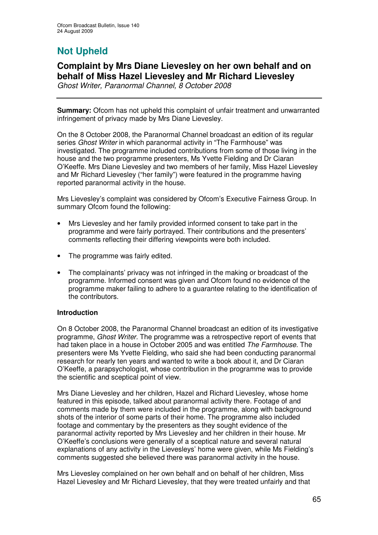# **Not Upheld**

# **Complaint by Mrs Diane Lievesley on her own behalf and on behalf of Miss Hazel Lievesley and Mr Richard Lievesley**

*Ghost Writer, Paranormal Channel, 8 October 2008*

**Summary:** Ofcom has not upheld this complaint of unfair treatment and unwarranted infringement of privacy made by Mrs Diane Lievesley.

On the 8 October 2008, the Paranormal Channel broadcast an edition of its regular series *Ghost Writer* in which paranormal activity in "The Farmhouse" was investigated. The programme included contributions from some of those living in the house and the two programme presenters, Ms Yvette Fielding and Dr Ciaran O'Keeffe. Mrs Diane Lievesley and two members of her family, Miss Hazel Lievesley and Mr Richard Lievesley ("her family") were featured in the programme having reported paranormal activity in the house.

Mrs Lievesley's complaint was considered by Ofcom's Executive Fairness Group. In summary Ofcom found the following:

- Mrs Lievesley and her family provided informed consent to take part in the programme and were fairly portrayed. Their contributions and the presenters' comments reflecting their differing viewpoints were both included.
- The programme was fairly edited.
- The complainants' privacy was not infringed in the making or broadcast of the programme. Informed consent was given and Ofcom found no evidence of the programme maker failing to adhere to a guarantee relating to the identification of the contributors.

# **Introduction**

On 8 October 2008, the Paranormal Channel broadcast an edition of its investigative programme, *Ghost Writer.* The programme was a retrospective report of events that had taken place in a house in October 2005 and was entitled *The Farmhouse.* The presenters were Ms Yvette Fielding, who said she had been conducting paranormal research for nearly ten years and wanted to write a book about it, and Dr Ciaran O'Keeffe, a parapsychologist, whose contribution in the programme was to provide the scientific and sceptical point of view.

Mrs Diane Lievesley and her children, Hazel and Richard Lievesley, whose home featured in this episode, talked about paranormal activity there. Footage of and comments made by them were included in the programme, along with background shots of the interior of some parts of their home. The programme also included footage and commentary by the presenters as they sought evidence of the paranormal activity reported by Mrs Lievesley and her children in their house. Mr O'Keeffe's conclusions were generally of a sceptical nature and several natural explanations of any activity in the Lievesleys' home were given, while Ms Fielding's comments suggested she believed there was paranormal activity in the house.

Mrs Lievesley complained on her own behalf and on behalf of her children, Miss Hazel Lievesley and Mr Richard Lievesley, that they were treated unfairly and that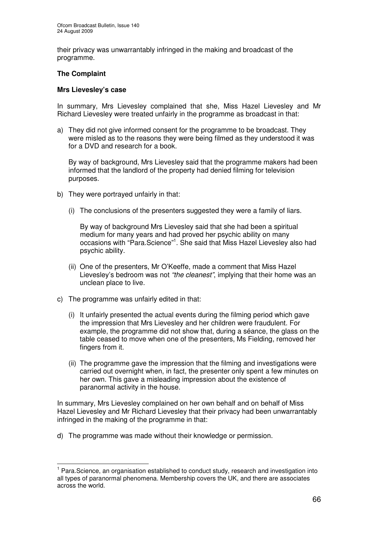their privacy was unwarrantably infringed in the making and broadcast of the programme.

# **The Complaint**

#### **Mrs Lievesley's case**

In summary, Mrs Lievesley complained that she, Miss Hazel Lievesley and Mr Richard Lievesley were treated unfairly in the programme as broadcast in that:

a) They did not give informed consent for the programme to be broadcast. They were misled as to the reasons they were being filmed as they understood it was for a DVD and research for a book.

By way of background, Mrs Lievesley said that the programme makers had been informed that the landlord of the property had denied filming for television purposes.

- b) They were portrayed unfairly in that:
	- (i) The conclusions of the presenters suggested they were a family of liars.

By way of background Mrs Lievesley said that she had been a spiritual medium for many years and had proved her psychic ability on many occasions with "Para.Science" 1 . She said that Miss Hazel Lievesley also had psychic ability.

- (ii) One of the presenters, Mr O'Keeffe, made a comment that Miss Hazel Lievesley's bedroom was not *"the cleanest"*, implying that their home was an unclean place to live.
- c) The programme was unfairly edited in that:
	- (i) It unfairly presented the actual events during the filming period which gave the impression that Mrs Lievesley and her children were fraudulent. For example, the programme did not show that, during a séance, the glass on the table ceased to move when one of the presenters, Ms Fielding, removed her fingers from it.
	- (ii) The programme gave the impression that the filming and investigations were carried out overnight when, in fact, the presenter only spent a few minutes on her own. This gave a misleading impression about the existence of paranormal activity in the house.

In summary, Mrs Lievesley complained on her own behalf and on behalf of Miss Hazel Lievesley and Mr Richard Lievesley that their privacy had been unwarrantably infringed in the making of the programme in that:

d) The programme was made without their knowledge or permission.

<sup>&</sup>lt;sup>1</sup> Para.Science, an organisation established to conduct study, research and investigation into all types of paranormal phenomena. Membership covers the UK, and there are associates across the world.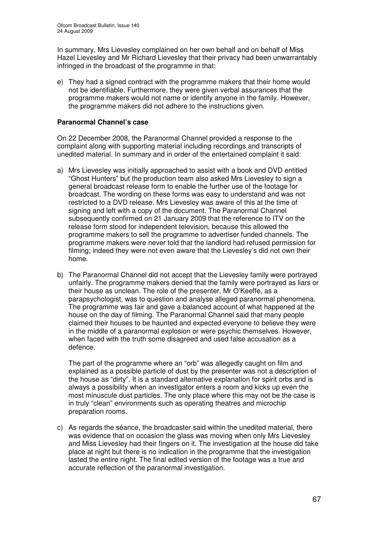In summary, Mrs Lievesley complained on her own behalf and on behalf of Miss Hazel Lievesley and Mr Richard Lievesley that their privacy had been unwarrantably infringed in the broadcast of the programme in that:

e) They had a signed contract with the programme makers that their home would not be identifiable. Furthermore, they were given verbal assurances that the programme makers would not name or identify anyone in the family. However, the programme makers did not adhere to the instructions given.

# **Paranormal Channel's case**

On 22 December 2008, the Paranormal Channel provided a response to the complaint along with supporting material including recordings and transcripts of unedited material. In summary and in order of the entertained complaint it said:

- a) Mrs Lievesley was initially approached to assist with a book and DVD entitled "Ghost Hunters" but the production team also asked Mrs Lievesley to sign a general broadcast release form to enable the further use of the footage for broadcast. The wording on these forms was easy to understand and was not restricted to a DVD release. Mrs Lievesley was aware of this at the time of signing and left with a copy of the document. The Paranormal Channel subsequently confirmed on 21 January 2009 that the reference to ITV on the release form stood for independent television, because this allowed the programme makers to sell the programme to advertiser funded channels. The programme makers were never told that the landlord had refused permission for filming; indeed they were not even aware that the Lievesley's did not own their home.
- b) The Paranormal Channel did not accept that the Lievesley family were portrayed unfairly. The programme makers denied that the family were portrayed as liars or their house as unclean. The role of the presenter, Mr O'Keeffe, as a parapsychologist, was to question and analyse alleged paranormal phenomena. The programme was fair and gave a balanced account of what happened at the house on the day of filming. The Paranormal Channel said that many people claimed their houses to be haunted and expected everyone to believe they were in the middle of a paranormal explosion or were psychic themselves. However, when faced with the truth some disagreed and used false accusation as a defence.

The part of the programme where an "orb" was allegedly caught on film and explained as a possible particle of dust by the presenter was not a description of the house as "dirty". It is a standard alternative explanation for spirit orbs and is always a possibility when an investigator enters a room and kicks up even the most minuscule dust particles. The only place where this may not be the case is in truly "clean" environments such as operating theatres and microchip preparation rooms.

c) As regards the séance, the broadcaster said within the unedited material, there was evidence that on occasion the glass was moving when only Mrs Lievesley and Miss Lievesley had their fingers on it. The investigation at the house did take place at night but there is no indication in the programme that the investigation lasted the entire night. The final edited version of the footage was a true and accurate reflection of the paranormal investigation.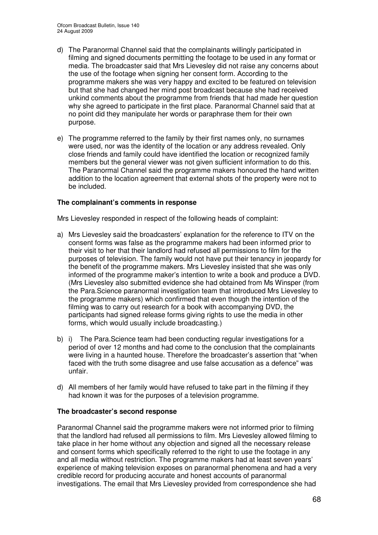- d) The Paranormal Channel said that the complainants willingly participated in filming and signed documents permitting the footage to be used in any format or media. The broadcaster said that Mrs Lievesley did not raise any concerns about the use of the footage when signing her consent form. According to the programme makers she was very happy and excited to be featured on television but that she had changed her mind post broadcast because she had received unkind comments about the programme from friends that had made her question why she agreed to participate in the first place. Paranormal Channel said that at no point did they manipulate her words or paraphrase them for their own purpose.
- e) The programme referred to the family by their first names only, no surnames were used, nor was the identity of the location or any address revealed. Only close friends and family could have identified the location or recognized family members but the general viewer was not given sufficient information to do this. The Paranormal Channel said the programme makers honoured the hand written addition to the location agreement that external shots of the property were not to be included.

#### **The complainant's comments in response**

Mrs Lievesley responded in respect of the following heads of complaint:

- a) Mrs Lievesley said the broadcasters' explanation for the reference to ITV on the consent forms was false as the programme makers had been informed prior to their visit to her that their landlord had refused all permissions to film for the purposes of television. The family would not have put their tenancy in jeopardy for the benefit of the programme makers. Mrs Lievesley insisted that she was only informed of the programme maker's intention to write a book and produce a DVD. (Mrs Lievesley also submitted evidence she had obtained from Ms Winsper (from the Para.Science paranormal investigation team that introduced Mrs Lievesley to the programme makers) which confirmed that even though the intention of the filming was to carry out research for a book with accompanying DVD, the participants had signed release forms giving rights to use the media in other forms, which would usually include broadcasting.)
- b) i) The Para.Science team had been conducting regular investigations for a period of over 12 months and had come to the conclusion that the complainants were living in a haunted house. Therefore the broadcaster's assertion that "when faced with the truth some disagree and use false accusation as a defence" was unfair.
- d) All members of her family would have refused to take part in the filming if they had known it was for the purposes of a television programme.

# **The broadcaster's second response**

Paranormal Channel said the programme makers were not informed prior to filming that the landlord had refused all permissions to film. Mrs Lievesley allowed filming to take place in her home without any objection and signed all the necessary release and consent forms which specifically referred to the right to use the footage in any and all media without restriction. The programme makers had at least seven years' experience of making television exposes on paranormal phenomena and had a very credible record for producing accurate and honest accounts of paranormal investigations. The email that Mrs Lievesley provided from correspondence she had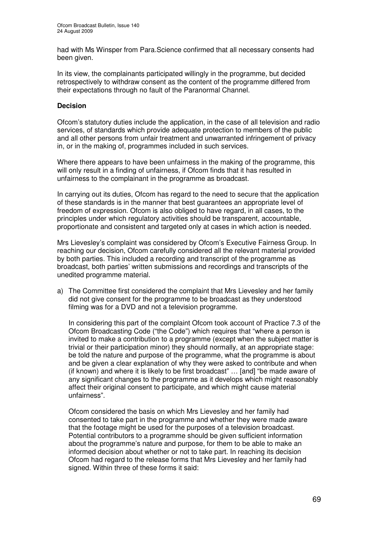had with Ms Winsper from Para.Science confirmed that all necessary consents had been given.

In its view, the complainants participated willingly in the programme, but decided retrospectively to withdraw consent as the content of the programme differed from their expectations through no fault of the Paranormal Channel.

# **Decision**

Ofcom's statutory duties include the application, in the case of all television and radio services, of standards which provide adequate protection to members of the public and all other persons from unfair treatment and unwarranted infringement of privacy in, or in the making of, programmes included in such services.

Where there appears to have been unfairness in the making of the programme, this will only result in a finding of unfairness, if Ofcom finds that it has resulted in unfairness to the complainant in the programme as broadcast.

In carrying out its duties, Ofcom has regard to the need to secure that the application of these standards is in the manner that best guarantees an appropriate level of freedom of expression. Ofcom is also obliged to have regard, in all cases, to the principles under which regulatory activities should be transparent, accountable, proportionate and consistent and targeted only at cases in which action is needed.

Mrs Lievesley's complaint was considered by Ofcom's Executive Fairness Group. In reaching our decision, Ofcom carefully considered all the relevant material provided by both parties. This included a recording and transcript of the programme as broadcast, both parties' written submissions and recordings and transcripts of the unedited programme material.

a) The Committee first considered the complaint that Mrs Lievesley and her family did not give consent for the programme to be broadcast as they understood filming was for a DVD and not a television programme.

In considering this part of the complaint Ofcom took account of Practice 7.3 of the Ofcom Broadcasting Code ("the Code") which requires that "where a person is invited to make a contribution to a programme (except when the subject matter is trivial or their participation minor) they should normally, at an appropriate stage: be told the nature and purpose of the programme, what the programme is about and be given a clear explanation of why they were asked to contribute and when (if known) and where it is likely to be first broadcast" … [and] "be made aware of any significant changes to the programme as it develops which might reasonably affect their original consent to participate, and which might cause material unfairness".

Ofcom considered the basis on which Mrs Lievesley and her family had consented to take part in the programme and whether they were made aware that the footage might be used for the purposes of a television broadcast. Potential contributors to a programme should be given sufficient information about the programme's nature and purpose, for them to be able to make an informed decision about whether or not to take part. In reaching its decision Ofcom had regard to the release forms that Mrs Lievesley and her family had signed. Within three of these forms it said: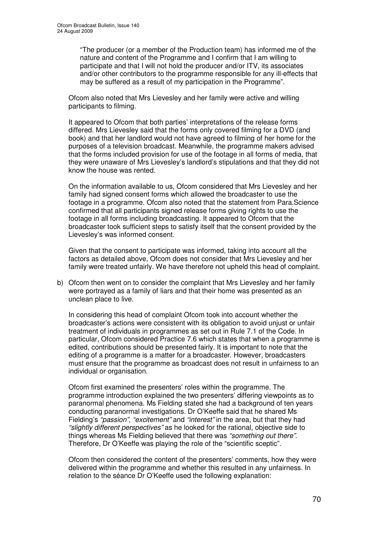"The producer (or a member of the Production team) has informed me of the nature and content of the Programme and I confirm that I am willing to participate and that I will not hold the producer and/or ITV, its associates and/or other contributors to the programme responsible for any ill-effects that may be suffered as a result of my participation in the Programme".

Ofcom also noted that Mrs Lievesley and her family were active and willing participants to filming.

It appeared to Ofcom that both parties' interpretations of the release forms differed. Mrs Lievesley said that the forms only covered filming for a DVD (and book) and that her landlord would not have agreed to filming of her home for the purposes of a television broadcast. Meanwhile, the programme makers advised that the forms included provision for use of the footage in all forms of media, that they were unaware of Mrs Lievesley's landlord's stipulations and that they did not know the house was rented.

On the information available to us, Ofcom considered that Mrs Lievesley and her family had signed consent forms which allowed the broadcaster to use the footage in a programme. Ofcom also noted that the statement from Para.Science confirmed that all participants signed release forms giving rights to use the footage in all forms including broadcasting. It appeared to Ofcom that the broadcaster took sufficient steps to satisfy itself that the consent provided by the Lievesley's was informed consent.

Given that the consent to participate was informed, taking into account all the factors as detailed above, Ofcom does not consider that Mrs Lievesley and her family were treated unfairly. We have therefore not upheld this head of complaint.

b) Ofcom then went on to consider the complaint that Mrs Lievesley and her family were portrayed as a family of liars and that their home was presented as an unclean place to live.

In considering this head of complaint Ofcom took into account whether the broadcaster's actions were consistent with its obligation to avoid unjust or unfair treatment of individuals in programmes as set out in Rule 7.1 of the Code. In particular, Ofcom considered Practice 7.6 which states that when a programme is edited, contributions should be presented fairly. It is important to note that the editing of a programme is a matter for a broadcaster. However, broadcasters must ensure that the programme as broadcast does not result in unfairness to an individual or organisation.

Ofcom first examined the presenters' roles within the programme. The programme introduction explained the two presenters' differing viewpoints as to paranormal phenomena. Ms Fielding stated she had a background of ten years conducting paranormal investigations. Dr O'Keeffe said that he shared Ms Fielding's *"passion"*, *"excitement"* and *"interest"* in the area, but that they had *"slightly different perspectives"* as he looked for the rational, objective side to things whereas Ms Fielding believed that there was *"something out there"*. Therefore, Dr O'Keeffe was playing the role of the "scientific sceptic".

Ofcom then considered the content of the presenters' comments, how they were delivered within the programme and whether this resulted in any unfairness. In relation to the séance Dr O'Keeffe used the following explanation: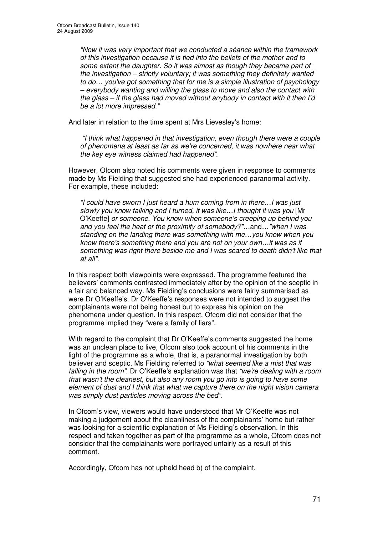*"Now it was very important that we conducted a séance within the framework of this investigation because it is tied into the beliefs of the mother and to some extent the daughter. So it was almost as though they became part of the investigation – strictly voluntary; it was something they definitely wanted to do… you've got something that for me is a simple illustration of psychology – everybody wanting and willing the glass to move and also the contact with the glass – if the glass had moved without anybody in contact with it then I'd be a lot more impressed."*

And later in relation to the time spent at Mrs Lievesley's home:

*"I think what happened in that investigation, even though there were a couple of phenomena at least as far as we're concerned, it was nowhere near what the key eye witness claimed had happened".*

However, Ofcom also noted his comments were given in response to comments made by Ms Fielding that suggested she had experienced paranormal activity. For example, these included:

*"I could have sworn I just heard a hum coming from in there…I was just slowly you know talking and I turned, it was like…I thought it was you* [Mr O'Keeffe] *or someone. You know when someone's creeping up behind you and you feel the heat or the proximity of somebody?"…*and*…"when I was standing on the landing there was something with me…you know when you know there's something there and you are not on your own…it was as if something was right there beside me and I was scared to death didn't like that at all".*

In this respect both viewpoints were expressed. The programme featured the believers' comments contrasted immediately after by the opinion of the sceptic in a fair and balanced way. Ms Fielding's conclusions were fairly summarised as were Dr O'Keeffe's. Dr O'Keeffe's responses were not intended to suggest the complainants were not being honest but to express his opinion on the phenomena under question. In this respect, Ofcom did not consider that the programme implied they "were a family of liars".

With regard to the complaint that Dr O'Keeffe's comments suggested the home was an unclean place to live, Ofcom also took account of his comments in the light of the programme as a whole, that is, a paranormal investigation by both believer and sceptic. Ms Fielding referred to *"what seemed like a mist that was falling in the room"*. Dr O'Keeffe's explanation was that *"we're dealing with a room that wasn't the cleanest, but also any room you go into is going to have some element of dust and I think that what we capture there on the night vision camera was simply dust particles moving across the bed"*.

In Ofcom's view, viewers would have understood that Mr O'Keeffe was not making a judgement about the cleanliness of the complainants' home but rather was looking for a scientific explanation of Ms Fielding's observation. In this respect and taken together as part of the programme as a whole, Ofcom does not consider that the complainants were portrayed unfairly as a result of this comment.

Accordingly, Ofcom has not upheld head b) of the complaint.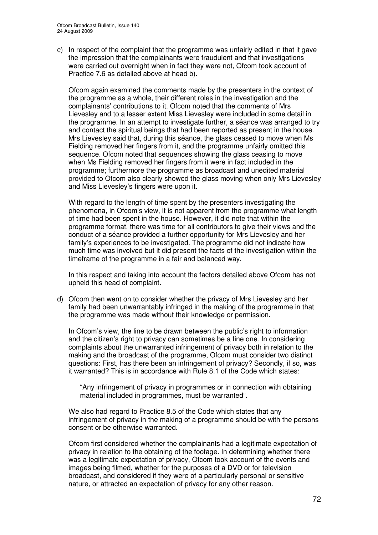c) In respect of the complaint that the programme was unfairly edited in that it gave the impression that the complainants were fraudulent and that investigations were carried out overnight when in fact they were not, Ofcom took account of Practice 7.6 as detailed above at head b).

Ofcom again examined the comments made by the presenters in the context of the programme as a whole, their different roles in the investigation and the complainants' contributions to it. Ofcom noted that the comments of Mrs Lievesley and to a lesser extent Miss Lievesley were included in some detail in the programme. In an attempt to investigate further, a séance was arranged to try and contact the spiritual beings that had been reported as present in the house. Mrs Lievesley said that, during this séance, the glass ceased to move when Ms Fielding removed her fingers from it, and the programme unfairly omitted this sequence. Ofcom noted that sequences showing the glass ceasing to move when Ms Fielding removed her fingers from it were in fact included in the programme; furthermore the programme as broadcast and unedited material provided to Ofcom also clearly showed the glass moving when only Mrs Lievesley and Miss Lievesley's fingers were upon it.

With regard to the length of time spent by the presenters investigating the phenomena, in Ofcom's view, it is not apparent from the programme what length of time had been spent in the house. However, it did note that within the programme format, there was time for all contributors to give their views and the conduct of a séance provided a further opportunity for Mrs Lievesley and her family's experiences to be investigated. The programme did not indicate how much time was involved but it did present the facts of the investigation within the timeframe of the programme in a fair and balanced way.

In this respect and taking into account the factors detailed above Ofcom has not upheld this head of complaint.

d) Ofcom then went on to consider whether the privacy of Mrs Lievesley and her family had been unwarrantably infringed in the making of the programme in that the programme was made without their knowledge or permission.

In Ofcom's view, the line to be drawn between the public's right to information and the citizen's right to privacy can sometimes be a fine one. In considering complaints about the unwarranted infringement of privacy both in relation to the making and the broadcast of the programme, Ofcom must consider two distinct questions: First, has there been an infringement of privacy? Secondly, if so, was it warranted? This is in accordance with Rule 8.1 of the Code which states:

"Any infringement of privacy in programmes or in connection with obtaining material included in programmes, must be warranted".

We also had regard to Practice 8.5 of the Code which states that any infringement of privacy in the making of a programme should be with the persons consent or be otherwise warranted.

Ofcom first considered whether the complainants had a legitimate expectation of privacy in relation to the obtaining of the footage. In determining whether there was a legitimate expectation of privacy, Ofcom took account of the events and images being filmed, whether for the purposes of a DVD or for television broadcast, and considered if they were of a particularly personal or sensitive nature, or attracted an expectation of privacy for any other reason.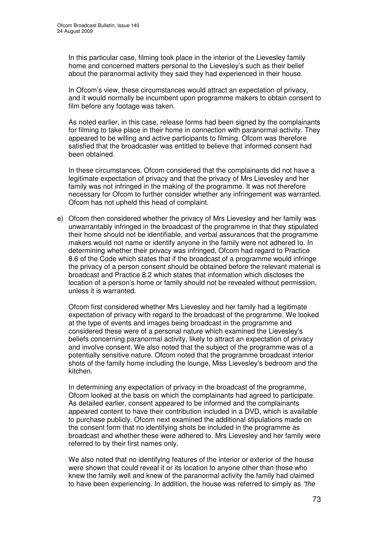In this particular case, filming took place in the interior of the Lievesley family home and concerned matters personal to the Lievesley's such as their belief about the paranormal activity they said they had experienced in their house.

In Ofcom's view, these circumstances would attract an expectation of privacy, and it would normally be incumbent upon programme makers to obtain consent to film before any footage was taken.

As noted earlier, in this case, release forms had been signed by the complainants for filming to take place in their home in connection with paranormal activity. They appeared to be willing and active participants to filming. Ofcom was therefore satisfied that the broadcaster was entitled to believe that informed consent had been obtained.

In these circumstances, Ofcom considered that the complainants did not have a legitimate expectation of privacy and that the privacy of Mrs Lievesley and her family was not infringed in the making of the programme. It was not therefore necessary for Ofcom to further consider whether any infringement was warranted. Ofcom has not upheld this head of complaint.

e) Ofcom then considered whether the privacy of Mrs Lievesley and her family was unwarrantably infringed in the broadcast of the programme in that they stipulated their home should not be identifiable, and verbal assurances that the programme makers would not name or identify anyone in the family were not adhered to. In determining whether their privacy was infringed, Ofcom had regard to Practice 8.6 of the Code which states that if the broadcast of a programme would infringe the privacy of a person consent should be obtained before the relevant material is broadcast and Practice 8.2 which states that information which discloses the location of a person's home or family should not be revealed without permission, unless it is warranted.

Ofcom first considered whether Mrs Lievesley and her family had a legitimate expectation of privacy with regard to the broadcast of the programme. We looked at the type of events and images being broadcast in the programme and considered these were of a personal nature which examined the Lievesley's beliefs concerning paranormal activity, likely to attract an expectation of privacy and involve consent. We also noted that the subject of the programme was of a potentially sensitive nature. Ofcom noted that the programme broadcast interior shots of the family home including the lounge, Miss Lievesley's bedroom and the kitchen.

In determining any expectation of privacy in the broadcast of the programme, Ofcom looked at the basis on which the complainants had agreed to participate. As detailed earlier, consent appeared to be informed and the complainants appeared content to have their contribution included in a DVD, which is available to purchase publicly. Ofcom next examined the additional stipulations made on the consent form that no identifying shots be included in the programme as broadcast and whether these were adhered to. Mrs Lievesley and her family were referred to by their first names only.

We also noted that no identifying features of the interior or exterior of the house were shown that could reveal it or its location to anyone other than those who knew the family well and knew of the paranormal activity the family had claimed to have been experiencing. In addition, the house was referred to simply as *"the*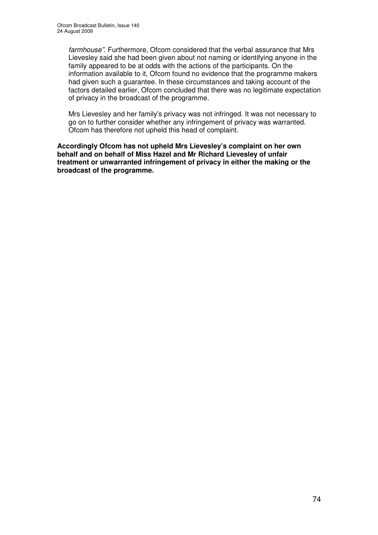*farmhouse"*. Furthermore, Ofcom considered that the verbal assurance that Mrs Lievesley said she had been given about not naming or identifying anyone in the family appeared to be at odds with the actions of the participants. On the information available to it, Ofcom found no evidence that the programme makers had given such a guarantee. In these circumstances and taking account of the factors detailed earlier, Ofcom concluded that there was no legitimate expectation of privacy in the broadcast of the programme.

Mrs Lievesley and her family's privacy was not infringed. It was not necessary to go on to further consider whether any infringement of privacy was warranted. Ofcom has therefore not upheld this head of complaint.

**Accordingly Ofcom has not upheld Mrs Lievesley's complaint on her own behalf and on behalf of Miss Hazel and Mr Richard Lievesley of unfair treatment or unwarranted infringement of privacy in either the making or the broadcast of the programme.**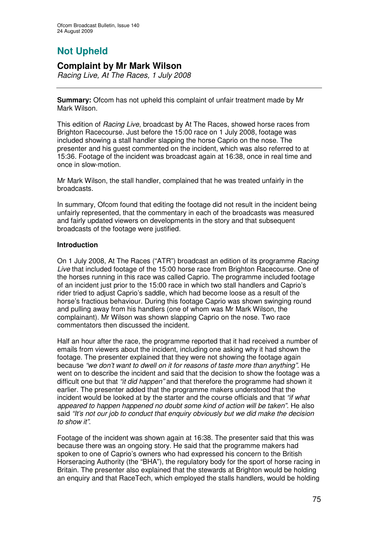## **Not Upheld**

### **Complaint by Mr Mark Wilson**

*Racing Live, At The Races, 1 July 2008*

**Summary:** Ofcom has not upheld this complaint of unfair treatment made by Mr Mark Wilson.

This edition of *Racing Live*, broadcast by At The Races, showed horse races from Brighton Racecourse. Just before the 15:00 race on 1 July 2008, footage was included showing a stall handler slapping the horse Caprio on the nose. The presenter and his guest commented on the incident, which was also referred to at 15:36. Footage of the incident was broadcast again at 16:38, once in real time and once in slow-motion.

Mr Mark Wilson, the stall handler, complained that he was treated unfairly in the broadcasts.

In summary, Ofcom found that editing the footage did not result in the incident being unfairly represented, that the commentary in each of the broadcasts was measured and fairly updated viewers on developments in the story and that subsequent broadcasts of the footage were justified.

### **Introduction**

On 1 July 2008, At The Races ("ATR") broadcast an edition of its programme *Racing Live* that included footage of the 15:00 horse race from Brighton Racecourse. One of the horses running in this race was called Caprio. The programme included footage of an incident just prior to the 15:00 race in which two stall handlers and Caprio's rider tried to adjust Caprio's saddle, which had become loose as a result of the horse's fractious behaviour. During this footage Caprio was shown swinging round and pulling away from his handlers (one of whom was Mr Mark Wilson, the complainant). Mr Wilson was shown slapping Caprio on the nose. Two race commentators then discussed the incident.

Half an hour after the race, the programme reported that it had received a number of emails from viewers about the incident, including one asking why it had shown the footage. The presenter explained that they were not showing the footage again because *"we don't want to dwell on it for reasons of taste more than anything"*. He went on to describe the incident and said that the decision to show the footage was a difficult one but that *"it did happen"* and that therefore the programme had shown it earlier. The presenter added that the programme makers understood that the incident would be looked at by the starter and the course officials and that *"if what appeared to happen happened no doubt some kind of action will be taken"*. He also said *"It's not our job to conduct that enquiry obviously but we did make the decision to show it"*.

Footage of the incident was shown again at 16:38. The presenter said that this was because there was an ongoing story. He said that the programme makers had spoken to one of Caprio's owners who had expressed his concern to the British Horseracing Authority (the "BHA"), the regulatory body for the sport of horse racing in Britain. The presenter also explained that the stewards at Brighton would be holding an enquiry and that RaceTech, which employed the stalls handlers, would be holding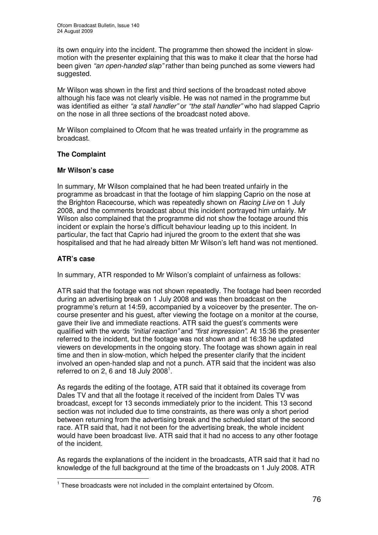its own enquiry into the incident. The programme then showed the incident in slowmotion with the presenter explaining that this was to make it clear that the horse had been given *"an open-handed slap"* rather than being punched as some viewers had suggested.

Mr Wilson was shown in the first and third sections of the broadcast noted above although his face was not clearly visible. He was not named in the programme but was identified as either *"a stall handler"* or *"the stall handler"* who had slapped Caprio on the nose in all three sections of the broadcast noted above.

Mr Wilson complained to Ofcom that he was treated unfairly in the programme as broadcast.

### **The Complaint**

### **Mr Wilson's case**

In summary, Mr Wilson complained that he had been treated unfairly in the programme as broadcast in that the footage of him slapping Caprio on the nose at the Brighton Racecourse, which was repeatedly shown on *Racing Live* on 1 July 2008, and the comments broadcast about this incident portrayed him unfairly. Mr Wilson also complained that the programme did not show the footage around this incident or explain the horse's difficult behaviour leading up to this incident. In particular, the fact that Caprio had injured the groom to the extent that she was hospitalised and that he had already bitten Mr Wilson's left hand was not mentioned.

### **ATR's case**

In summary, ATR responded to Mr Wilson's complaint of unfairness as follows:

ATR said that the footage was not shown repeatedly. The footage had been recorded during an advertising break on 1 July 2008 and was then broadcast on the programme's return at 14:59, accompanied by a voiceover by the presenter. The oncourse presenter and his guest, after viewing the footage on a monitor at the course, gave their live and immediate reactions. ATR said the guest's comments were qualified with the words *"initial reaction"* and *"first impression"*. At 15:36 the presenter referred to the incident, but the footage was not shown and at 16:38 he updated viewers on developments in the ongoing story. The footage was shown again in real time and then in slow-motion, which helped the presenter clarify that the incident involved an open-handed slap and not a punch. ATR said that the incident was also referred to on 2, 6 and 18 July 2008<sup>1</sup>.

As regards the editing of the footage, ATR said that it obtained its coverage from Dales TV and that all the footage it received of the incident from Dales TV was broadcast, except for 13 seconds immediately prior to the incident. This 13 second section was not included due to time constraints, as there was only a short period between returning from the advertising break and the scheduled start of the second race. ATR said that, had it not been for the advertising break, the whole incident would have been broadcast live. ATR said that it had no access to any other footage of the incident.

As regards the explanations of the incident in the broadcasts, ATR said that it had no knowledge of the full background at the time of the broadcasts on 1 July 2008. ATR

 $1$  These broadcasts were not included in the complaint entertained by Ofcom.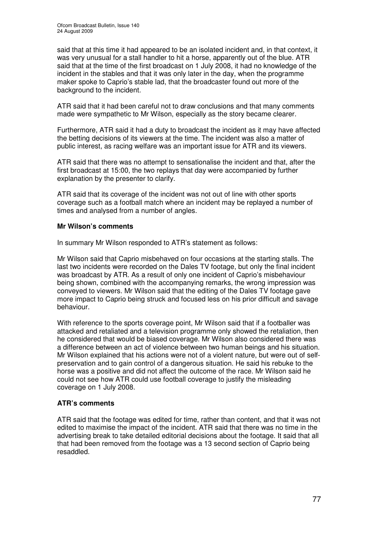said that at this time it had appeared to be an isolated incident and, in that context, it was very unusual for a stall handler to hit a horse, apparently out of the blue. ATR said that at the time of the first broadcast on 1 July 2008, it had no knowledge of the incident in the stables and that it was only later in the day, when the programme maker spoke to Caprio's stable lad, that the broadcaster found out more of the background to the incident.

ATR said that it had been careful not to draw conclusions and that many comments made were sympathetic to Mr Wilson, especially as the story became clearer.

Furthermore, ATR said it had a duty to broadcast the incident as it may have affected the betting decisions of its viewers at the time. The incident was also a matter of public interest, as racing welfare was an important issue for ATR and its viewers.

ATR said that there was no attempt to sensationalise the incident and that, after the first broadcast at 15:00, the two replays that day were accompanied by further explanation by the presenter to clarify.

ATR said that its coverage of the incident was not out of line with other sports coverage such as a football match where an incident may be replayed a number of times and analysed from a number of angles.

### **Mr Wilson's comments**

In summary Mr Wilson responded to ATR's statement as follows:

Mr Wilson said that Caprio misbehaved on four occasions at the starting stalls. The last two incidents were recorded on the Dales TV footage, but only the final incident was broadcast by ATR. As a result of only one incident of Caprio's misbehaviour being shown, combined with the accompanying remarks, the wrong impression was conveyed to viewers. Mr Wilson said that the editing of the Dales TV footage gave more impact to Caprio being struck and focused less on his prior difficult and savage behaviour.

With reference to the sports coverage point, Mr Wilson said that if a footballer was attacked and retaliated and a television programme only showed the retaliation, then he considered that would be biased coverage. Mr Wilson also considered there was a difference between an act of violence between two human beings and his situation. Mr Wilson explained that his actions were not of a violent nature, but were out of selfpreservation and to gain control of a dangerous situation. He said his rebuke to the horse was a positive and did not affect the outcome of the race. Mr Wilson said he could not see how ATR could use football coverage to justify the misleading coverage on 1 July 2008.

### **ATR's comments**

ATR said that the footage was edited for time, rather than content, and that it was not edited to maximise the impact of the incident. ATR said that there was no time in the advertising break to take detailed editorial decisions about the footage. It said that all that had been removed from the footage was a 13 second section of Caprio being resaddled.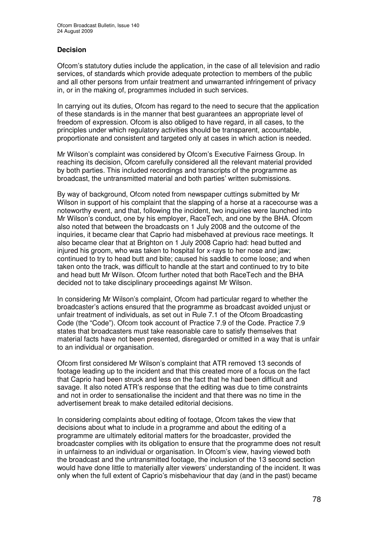### **Decision**

Ofcom's statutory duties include the application, in the case of all television and radio services, of standards which provide adequate protection to members of the public and all other persons from unfair treatment and unwarranted infringement of privacy in, or in the making of, programmes included in such services.

In carrying out its duties, Ofcom has regard to the need to secure that the application of these standards is in the manner that best guarantees an appropriate level of freedom of expression. Ofcom is also obliged to have regard, in all cases, to the principles under which regulatory activities should be transparent, accountable, proportionate and consistent and targeted only at cases in which action is needed.

Mr Wilson's complaint was considered by Ofcom's Executive Fairness Group. In reaching its decision, Ofcom carefully considered all the relevant material provided by both parties. This included recordings and transcripts of the programme as broadcast, the untransmitted material and both parties' written submissions.

By way of background, Ofcom noted from newspaper cuttings submitted by Mr Wilson in support of his complaint that the slapping of a horse at a racecourse was a noteworthy event, and that, following the incident, two inquiries were launched into Mr Wilson's conduct, one by his employer, RaceTech, and one by the BHA. Ofcom also noted that between the broadcasts on 1 July 2008 and the outcome of the inquiries, it became clear that Caprio had misbehaved at previous race meetings. It also became clear that at Brighton on 1 July 2008 Caprio had: head butted and injured his groom, who was taken to hospital for x-rays to her nose and jaw; continued to try to head butt and bite; caused his saddle to come loose; and when taken onto the track, was difficult to handle at the start and continued to try to bite and head butt Mr Wilson. Ofcom further noted that both RaceTech and the BHA decided not to take disciplinary proceedings against Mr Wilson.

In considering Mr Wilson's complaint, Ofcom had particular regard to whether the broadcaster's actions ensured that the programme as broadcast avoided unjust or unfair treatment of individuals, as set out in Rule 7.1 of the Ofcom Broadcasting Code (the "Code"). Ofcom took account of Practice 7.9 of the Code. Practice 7.9 states that broadcasters must take reasonable care to satisfy themselves that material facts have not been presented, disregarded or omitted in a way that is unfair to an individual or organisation.

Ofcom first considered Mr Wilson's complaint that ATR removed 13 seconds of footage leading up to the incident and that this created more of a focus on the fact that Caprio had been struck and less on the fact that he had been difficult and savage. It also noted ATR's response that the editing was due to time constraints and not in order to sensationalise the incident and that there was no time in the advertisement break to make detailed editorial decisions.

In considering complaints about editing of footage, Ofcom takes the view that decisions about what to include in a programme and about the editing of a programme are ultimately editorial matters for the broadcaster, provided the broadcaster complies with its obligation to ensure that the programme does not result in unfairness to an individual or organisation. In Ofcom's view, having viewed both the broadcast and the untransmitted footage, the inclusion of the 13 second section would have done little to materially alter viewers' understanding of the incident. It was only when the full extent of Caprio's misbehaviour that day (and in the past) became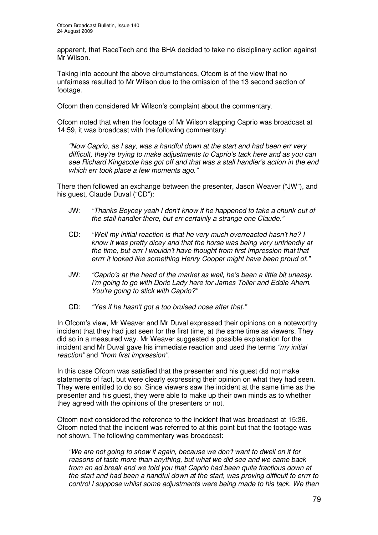apparent, that RaceTech and the BHA decided to take no disciplinary action against Mr Wilson.

Taking into account the above circumstances, Ofcom is of the view that no unfairness resulted to Mr Wilson due to the omission of the 13 second section of footage.

Ofcom then considered Mr Wilson's complaint about the commentary.

Ofcom noted that when the footage of Mr Wilson slapping Caprio was broadcast at 14:59, it was broadcast with the following commentary:

*"Now Caprio, as I say, was a handful down at the start and had been err very difficult, they're trying to make adjustments to Caprio's tack here and as you can see Richard Kingscote has got off and that was a stall handler's action in the end which err took place a few moments ago."*

There then followed an exchange between the presenter, Jason Weaver ("JW"), and his guest, Claude Duval ("CD"):

- JW: *"Thanks Boycey yeah I don't know if he happened to take a chunk out of the stall handler there, but err certainly a strange one Claude."*
- CD: *"Well my initial reaction is that he very much overreacted hasn't he? I know it was pretty dicey and that the horse was being very unfriendly at the time, but errr I wouldn't have thought from first impression that that errrr it looked like something Henry Cooper might have been proud of."*
- JW: *"Caprio's at the head of the market as well, he's been a little bit uneasy. I'm going to go with Doric Lady here for James Toller and Eddie Ahern. You're going to stick with Caprio?"*
- CD: *"Yes if he hasn't got a too bruised nose after that."*

In Ofcom's view, Mr Weaver and Mr Duval expressed their opinions on a noteworthy incident that they had just seen for the first time, at the same time as viewers. They did so in a measured way. Mr Weaver suggested a possible explanation for the incident and Mr Duval gave his immediate reaction and used the terms *"my initial reaction"* and *"from first impression"*.

In this case Ofcom was satisfied that the presenter and his guest did not make statements of fact, but were clearly expressing their opinion on what they had seen. They were entitled to do so. Since viewers saw the incident at the same time as the presenter and his guest, they were able to make up their own minds as to whether they agreed with the opinions of the presenters or not.

Ofcom next considered the reference to the incident that was broadcast at 15:36. Ofcom noted that the incident was referred to at this point but that the footage was not shown. The following commentary was broadcast:

*"We are not going to show it again, because we don't want to dwell on it for reasons of taste more than anything, but what we did see and we came back from an ad break and we told you that Caprio had been quite fractious down at the start and had been a handful down at the start, was proving difficult to errrr to control I suppose whilst some adjustments were being made to his tack. We then*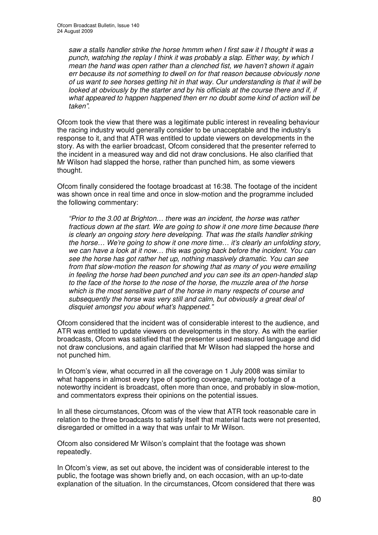*saw a stalls handler strike the horse hmmm when I first saw it I thought it was a punch, watching the replay I think it was probably a slap. Either way, by which I mean the hand was open rather than a clenched fist, we haven't shown it again err because its not something to dwell on for that reason because obviously none of us want to see horses getting hit in that way. Our understanding is that it will be looked at obviously by the starter and by his officials at the course there and if, if what appeared to happen happened then err no doubt some kind of action will be taken"*.

Ofcom took the view that there was a legitimate public interest in revealing behaviour the racing industry would generally consider to be unacceptable and the industry's response to it, and that ATR was entitled to update viewers on developments in the story. As with the earlier broadcast, Ofcom considered that the presenter referred to the incident in a measured way and did not draw conclusions. He also clarified that Mr Wilson had slapped the horse, rather than punched him, as some viewers thought.

Ofcom finally considered the footage broadcast at 16:38. The footage of the incident was shown once in real time and once in slow-motion and the programme included the following commentary:

*"Prior to the 3.00 at Brighton… there was an incident, the horse was rather fractious down at the start. We are going to show it one more time because there is clearly an ongoing story here developing. That was the stalls handler striking the horse… We're going to show it one more time… it's clearly an unfolding story, we can have a look at it now… this was going back before the incident. You can see the horse has got rather het up, nothing massively dramatic. You can see from that slow-motion the reason for showing that as many of you were emailing in feeling the horse had been punched and you can see its an open-handed slap to the face of the horse to the nose of the horse, the muzzle area of the horse which is the most sensitive part of the horse in many respects of course and subsequently the horse was very still and calm, but obviously a great deal of disquiet amongst you about what's happened."*

Ofcom considered that the incident was of considerable interest to the audience, and ATR was entitled to update viewers on developments in the story. As with the earlier broadcasts, Ofcom was satisfied that the presenter used measured language and did not draw conclusions, and again clarified that Mr Wilson had slapped the horse and not punched him.

In Ofcom's view, what occurred in all the coverage on 1 July 2008 was similar to what happens in almost every type of sporting coverage, namely footage of a noteworthy incident is broadcast, often more than once, and probably in slow-motion, and commentators express their opinions on the potential issues.

In all these circumstances, Ofcom was of the view that ATR took reasonable care in relation to the three broadcasts to satisfy itself that material facts were not presented, disregarded or omitted in a way that was unfair to Mr Wilson.

Ofcom also considered Mr Wilson's complaint that the footage was shown repeatedly.

In Ofcom's view, as set out above, the incident was of considerable interest to the public, the footage was shown briefly and, on each occasion, with an up-to-date explanation of the situation. In the circumstances, Ofcom considered that there was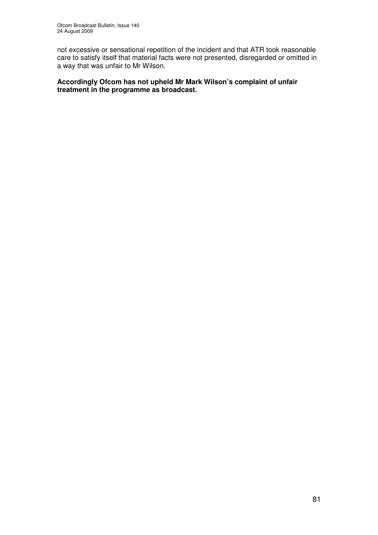not excessive or sensational repetition of the incident and that ATR took reasonable care to satisfy itself that material facts were not presented, disregarded or omitted in a way that was unfair to Mr Wilson.

### **Accordingly Ofcom has not upheld Mr Mark Wilson's complaint of unfair treatment in the programme as broadcast.**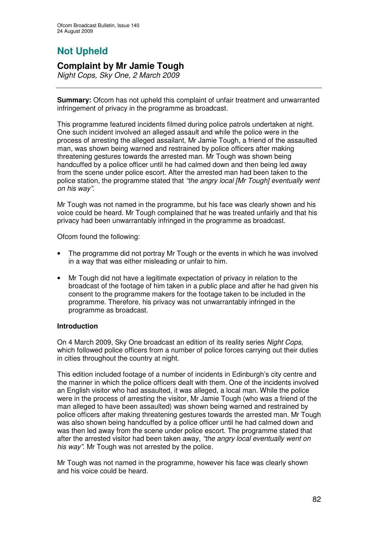## **Not Upheld**

### **Complaint by Mr Jamie Tough**

*Night Cops, Sky One, 2 March 2009*

**Summary:** Ofcom has not upheld this complaint of unfair treatment and unwarranted infringement of privacy in the programme as broadcast.

This programme featured incidents filmed during police patrols undertaken at night. One such incident involved an alleged assault and while the police were in the process of arresting the alleged assailant, Mr Jamie Tough, a friend of the assaulted man, was shown being warned and restrained by police officers after making threatening gestures towards the arrested man. Mr Tough was shown being handcuffed by a police officer until he had calmed down and then being led away from the scene under police escort. After the arrested man had been taken to the police station, the programme stated that *"the angry local [Mr Tough] eventually went on his way"*.

Mr Tough was not named in the programme, but his face was clearly shown and his voice could be heard. Mr Tough complained that he was treated unfairly and that his privacy had been unwarrantably infringed in the programme as broadcast.

Ofcom found the following:

- The programme did not portray Mr Tough or the events in which he was involved in a way that was either misleading or unfair to him.
- Mr Tough did not have a legitimate expectation of privacy in relation to the broadcast of the footage of him taken in a public place and after he had given his consent to the programme makers for the footage taken to be included in the programme. Therefore, his privacy was not unwarrantably infringed in the programme as broadcast.

### **Introduction**

On 4 March 2009, Sky One broadcast an edition of its reality series *Night Cops*, which followed police officers from a number of police forces carrying out their duties in cities throughout the country at night.

This edition included footage of a number of incidents in Edinburgh's city centre and the manner in which the police officers dealt with them. One of the incidents involved an English visitor who had assaulted, it was alleged, a local man. While the police were in the process of arresting the visitor, Mr Jamie Tough (who was a friend of the man alleged to have been assaulted) was shown being warned and restrained by police officers after making threatening gestures towards the arrested man. Mr Tough was also shown being handcuffed by a police officer until he had calmed down and was then led away from the scene under police escort. The programme stated that after the arrested visitor had been taken away, *"the angry local eventually went on his way"*. Mr Tough was not arrested by the police.

Mr Tough was not named in the programme, however his face was clearly shown and his voice could be heard.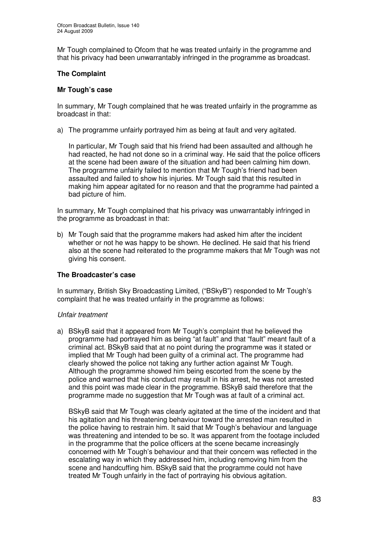Mr Tough complained to Ofcom that he was treated unfairly in the programme and that his privacy had been unwarrantably infringed in the programme as broadcast.

### **The Complaint**

### **Mr Tough's case**

In summary, Mr Tough complained that he was treated unfairly in the programme as broadcast in that:

a) The programme unfairly portrayed him as being at fault and very agitated.

In particular, Mr Tough said that his friend had been assaulted and although he had reacted, he had not done so in a criminal way. He said that the police officers at the scene had been aware of the situation and had been calming him down. The programme unfairly failed to mention that Mr Tough's friend had been assaulted and failed to show his injuries. Mr Tough said that this resulted in making him appear agitated for no reason and that the programme had painted a bad picture of him.

In summary, Mr Tough complained that his privacy was unwarrantably infringed in the programme as broadcast in that:

b) Mr Tough said that the programme makers had asked him after the incident whether or not he was happy to be shown. He declined. He said that his friend also at the scene had reiterated to the programme makers that Mr Tough was not giving his consent.

### **The Broadcaster's case**

In summary, British Sky Broadcasting Limited, ("BSkyB") responded to Mr Tough's complaint that he was treated unfairly in the programme as follows:

#### *Unfair treatment*

a) BSkyB said that it appeared from Mr Tough's complaint that he believed the programme had portrayed him as being "at fault" and that "fault" meant fault of a criminal act. BSkyB said that at no point during the programme was it stated or implied that Mr Tough had been guilty of a criminal act. The programme had clearly showed the police not taking any further action against Mr Tough. Although the programme showed him being escorted from the scene by the police and warned that his conduct may result in his arrest, he was not arrested and this point was made clear in the programme. BSkyB said therefore that the programme made no suggestion that Mr Tough was at fault of a criminal act.

BSkyB said that Mr Tough was clearly agitated at the time of the incident and that his agitation and his threatening behaviour toward the arrested man resulted in the police having to restrain him. It said that Mr Tough's behaviour and language was threatening and intended to be so. It was apparent from the footage included in the programme that the police officers at the scene became increasingly concerned with Mr Tough's behaviour and that their concern was reflected in the escalating way in which they addressed him, including removing him from the scene and handcuffing him. BSkyB said that the programme could not have treated Mr Tough unfairly in the fact of portraying his obvious agitation.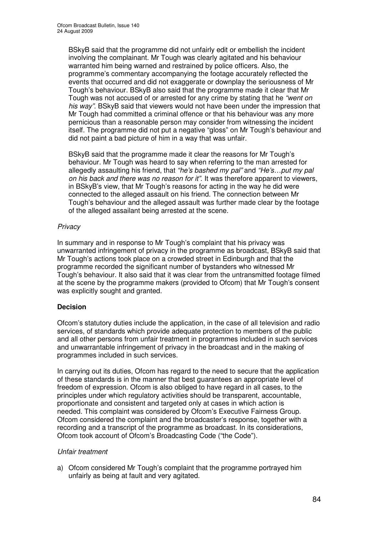BSkyB said that the programme did not unfairly edit or embellish the incident involving the complainant. Mr Tough was clearly agitated and his behaviour warranted him being warned and restrained by police officers. Also, the programme's commentary accompanying the footage accurately reflected the events that occurred and did not exaggerate or downplay the seriousness of Mr Tough's behaviour. BSkyB also said that the programme made it clear that Mr Tough was not accused of or arrested for any crime by stating that he *"went on his way"*. BSkyB said that viewers would not have been under the impression that Mr Tough had committed a criminal offence or that his behaviour was any more pernicious than a reasonable person may consider from witnessing the incident itself. The programme did not put a negative "gloss" on Mr Tough's behaviour and did not paint a bad picture of him in a way that was unfair.

BSkyB said that the programme made it clear the reasons for Mr Tough's behaviour. Mr Tough was heard to say when referring to the man arrested for allegedly assaulting his friend, that *"he's bashed my pal"* and *"He's…put my pal on his back and there was no reason for it"*. It was therefore apparent to viewers, in BSkyB's view, that Mr Tough's reasons for acting in the way he did were connected to the alleged assault on his friend. The connection between Mr Tough's behaviour and the alleged assault was further made clear by the footage of the alleged assailant being arrested at the scene.

### *Privacy*

In summary and in response to Mr Tough's complaint that his privacy was unwarranted infringement of privacy in the programme as broadcast, BSkyB said that Mr Tough's actions took place on a crowded street in Edinburgh and that the programme recorded the significant number of bystanders who witnessed Mr Tough's behaviour. It also said that it was clear from the untransmitted footage filmed at the scene by the programme makers (provided to Ofcom) that Mr Tough's consent was explicitly sought and granted.

### **Decision**

Ofcom's statutory duties include the application, in the case of all television and radio services, of standards which provide adequate protection to members of the public and all other persons from unfair treatment in programmes included in such services and unwarrantable infringement of privacy in the broadcast and in the making of programmes included in such services.

In carrying out its duties, Ofcom has regard to the need to secure that the application of these standards is in the manner that best guarantees an appropriate level of freedom of expression. Ofcom is also obliged to have regard in all cases, to the principles under which regulatory activities should be transparent, accountable, proportionate and consistent and targeted only at cases in which action is needed. This complaint was considered by Ofcom's Executive Fairness Group. Ofcom considered the complaint and the broadcaster's response, together with a recording and a transcript of the programme as broadcast. In its considerations, Ofcom took account of Ofcom's Broadcasting Code ("the Code").

### *Unfair treatment*

a) Ofcom considered Mr Tough's complaint that the programme portrayed him unfairly as being at fault and very agitated.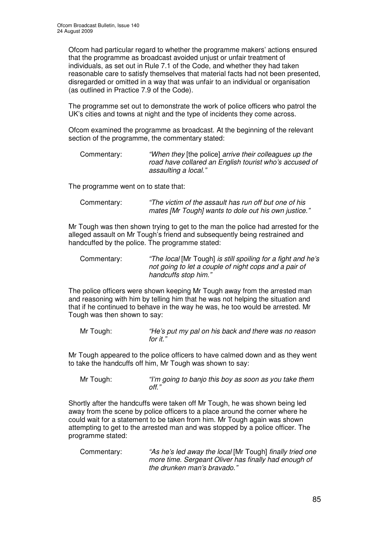Ofcom had particular regard to whether the programme makers' actions ensured that the programme as broadcast avoided unjust or unfair treatment of individuals, as set out in Rule 7.1 of the Code, and whether they had taken reasonable care to satisfy themselves that material facts had not been presented, disregarded or omitted in a way that was unfair to an individual or organisation (as outlined in Practice 7.9 of the Code).

The programme set out to demonstrate the work of police officers who patrol the UK's cities and towns at night and the type of incidents they come across.

Ofcom examined the programme as broadcast. At the beginning of the relevant section of the programme, the commentary stated:

| Commentary: | "When they [the police] arrive their colleagues up the |
|-------------|--------------------------------------------------------|
|             | road have collared an English tourist who's accused of |
|             | assaulting a local."                                   |

The programme went on to state that:

| Commentary: | "The victim of the assault has run off but one of his |
|-------------|-------------------------------------------------------|
|             | mates [Mr Tough] wants to dole out his own justice."  |

Mr Tough was then shown trying to get to the man the police had arrested for the alleged assault on Mr Tough's friend and subsequently being restrained and handcuffed by the police. The programme stated:

| Commentary: | "The local [Mr Tough] is still spoiling for a fight and he's |
|-------------|--------------------------------------------------------------|
|             | not going to let a couple of night cops and a pair of        |
|             | handcuffs stop him."                                         |

The police officers were shown keeping Mr Tough away from the arrested man and reasoning with him by telling him that he was not helping the situation and that if he continued to behave in the way he was, he too would be arrested. Mr Tough was then shown to say:

Mr Tough: *"He's put my pal on his back and there was no reason for it."*

Mr Tough appeared to the police officers to have calmed down and as they went to take the handcuffs off him, Mr Tough was shown to say:

Mr Tough: *"I'm going to banjo this boy as soon as you take them off."*

Shortly after the handcuffs were taken off Mr Tough, he was shown being led away from the scene by police officers to a place around the corner where he could wait for a statement to be taken from him. Mr Tough again was shown attempting to get to the arrested man and was stopped by a police officer. The programme stated:

Commentary: *"As he's led away the local* [Mr Tough] *finally tried one more time. Sergeant Oliver has finally had enough of the drunken man's bravado*.*"*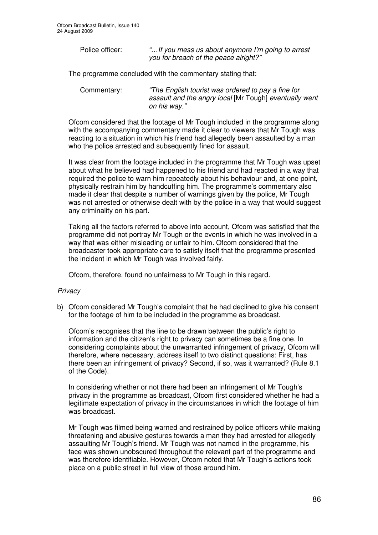Police officer: *"…If you mess us about anymore I'm going to arrest you for breach of the peace alright?"*

The programme concluded with the commentary stating that:

Commentary: *"The English tourist was ordered to pay a fine for assault and the angry local* [Mr Tough] *eventually went on his way."*

Ofcom considered that the footage of Mr Tough included in the programme along with the accompanying commentary made it clear to viewers that Mr Tough was reacting to a situation in which his friend had allegedly been assaulted by a man who the police arrested and subsequently fined for assault.

It was clear from the footage included in the programme that Mr Tough was upset about what he believed had happened to his friend and had reacted in a way that required the police to warn him repeatedly about his behaviour and, at one point, physically restrain him by handcuffing him. The programme's commentary also made it clear that despite a number of warnings given by the police, Mr Tough was not arrested or otherwise dealt with by the police in a way that would suggest any criminality on his part.

Taking all the factors referred to above into account, Ofcom was satisfied that the programme did not portray Mr Tough or the events in which he was involved in a way that was either misleading or unfair to him. Ofcom considered that the broadcaster took appropriate care to satisfy itself that the programme presented the incident in which Mr Tough was involved fairly.

Ofcom, therefore, found no unfairness to Mr Tough in this regard.

### *Privacy*

b) Ofcom considered Mr Tough's complaint that he had declined to give his consent for the footage of him to be included in the programme as broadcast.

Ofcom's recognises that the line to be drawn between the public's right to information and the citizen's right to privacy can sometimes be a fine one. In considering complaints about the unwarranted infringement of privacy, Ofcom will therefore, where necessary, address itself to two distinct questions: First, has there been an infringement of privacy? Second, if so, was it warranted? (Rule 8.1 of the Code).

In considering whether or not there had been an infringement of Mr Tough's privacy in the programme as broadcast, Ofcom first considered whether he had a legitimate expectation of privacy in the circumstances in which the footage of him was broadcast.

Mr Tough was filmed being warned and restrained by police officers while making threatening and abusive gestures towards a man they had arrested for allegedly assaulting Mr Tough's friend. Mr Tough was not named in the programme, his face was shown unobscured throughout the relevant part of the programme and was therefore identifiable. However, Ofcom noted that Mr Tough's actions took place on a public street in full view of those around him.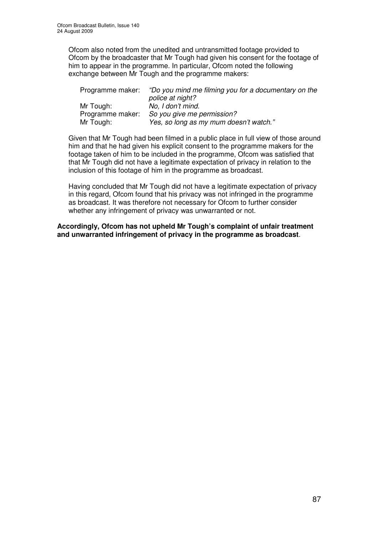Ofcom also noted from the unedited and untransmitted footage provided to Ofcom by the broadcaster that Mr Tough had given his consent for the footage of him to appear in the programme. In particular, Ofcom noted the following exchange between Mr Tough and the programme makers:

| Programme maker: | "Do you mind me filming you for a documentary on the |
|------------------|------------------------------------------------------|
|                  | police at night?                                     |
| Mr Tough:        | No. I don't mind.                                    |
| Programme maker: | So you give me permission?                           |
| Mr Tough:        | Yes, so long as my mum doesn't watch."               |

Given that Mr Tough had been filmed in a public place in full view of those around him and that he had given his explicit consent to the programme makers for the footage taken of him to be included in the programme, Ofcom was satisfied that that Mr Tough did not have a legitimate expectation of privacy in relation to the inclusion of this footage of him in the programme as broadcast.

Having concluded that Mr Tough did not have a legitimate expectation of privacy in this regard, Ofcom found that his privacy was not infringed in the programme as broadcast. It was therefore not necessary for Ofcom to further consider whether any infringement of privacy was unwarranted or not.

**Accordingly, Ofcom has not upheld Mr Tough's complaint of unfair treatment and unwarranted infringement of privacy in the programme as broadcast**.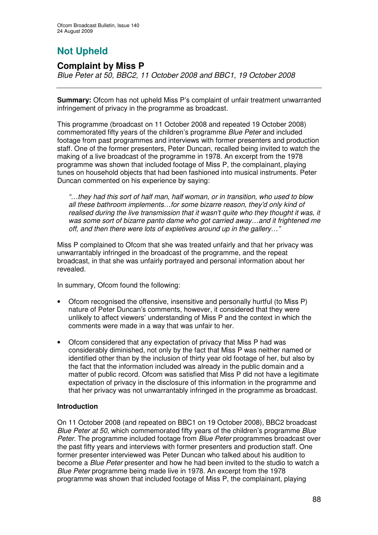# **Not Upheld**

### **Complaint by Miss P**

*Blue Peter at 50, BBC2, 11 October 2008 and BBC1, 19 October 2008*

**Summary:** Ofcom has not upheld Miss P's complaint of unfair treatment unwarranted infringement of privacy in the programme as broadcast.

This programme (broadcast on 11 October 2008 and repeated 19 October 2008) commemorated fifty years of the children's programme *Blue Peter* and included footage from past programmes and interviews with former presenters and production staff. One of the former presenters, Peter Duncan, recalled being invited to watch the making of a live broadcast of the programme in 1978. An excerpt from the 1978 programme was shown that included footage of Miss P, the complainant, playing tunes on household objects that had been fashioned into musical instruments. Peter Duncan commented on his experience by saying:

*"…they had this sort of half man, half woman, or in transition, who used to blow all these bathroom implements…for some bizarre reason, they'd only kind of realised during the live transmission that it wasn't quite who they thought it was, it was some sort of bizarre panto dame who got carried away…and it frightened me off, and then there were lots of expletives around up in the gallery…"*

Miss P complained to Ofcom that she was treated unfairly and that her privacy was unwarrantably infringed in the broadcast of the programme, and the repeat broadcast, in that she was unfairly portrayed and personal information about her revealed.

In summary, Ofcom found the following:

- Ofcom recognised the offensive, insensitive and personally hurtful (to Miss P) nature of Peter Duncan's comments, however, it considered that they were unlikely to affect viewers' understanding of Miss P and the context in which the comments were made in a way that was unfair to her.
- Ofcom considered that any expectation of privacy that Miss P had was considerably diminished, not only by the fact that Miss P was neither named or identified other than by the inclusion of thirty year old footage of her, but also by the fact that the information included was already in the public domain and a matter of public record. Ofcom was satisfied that Miss P did not have a legitimate expectation of privacy in the disclosure of this information in the programme and that her privacy was not unwarrantably infringed in the programme as broadcast.

### **Introduction**

On 11 October 2008 (and repeated on BBC1 on 19 October 2008), BBC2 broadcast *Blue Peter at 50*, which commemorated fifty years of the children's programme *Blue Peter*. The programme included footage from *Blue Peter* programmes broadcast over the past fifty years and interviews with former presenters and production staff. One former presenter interviewed was Peter Duncan who talked about his audition to become a *Blue Peter* presenter and how he had been invited to the studio to watch a *Blue Peter* programme being made live in 1978. An excerpt from the 1978 programme was shown that included footage of Miss P, the complainant, playing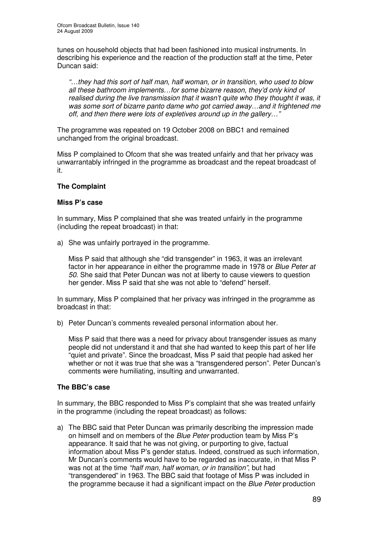tunes on household objects that had been fashioned into musical instruments. In describing his experience and the reaction of the production staff at the time, Peter Duncan said:

*"…they had this sort of half man, half woman, or in transition, who used to blow all these bathroom implements…for some bizarre reason, they'd only kind of realised during the live transmission that it wasn't quite who they thought it was, it was some sort of bizarre panto dame who got carried away…and it frightened me off, and then there were lots of expletives around up in the gallery…"*

The programme was repeated on 19 October 2008 on BBC1 and remained unchanged from the original broadcast.

Miss P complained to Ofcom that she was treated unfairly and that her privacy was unwarrantably infringed in the programme as broadcast and the repeat broadcast of it.

### **The Complaint**

### **Miss P's case**

In summary, Miss P complained that she was treated unfairly in the programme (including the repeat broadcast) in that:

a) She was unfairly portrayed in the programme.

Miss P said that although she "did transgender" in 1963, it was an irrelevant factor in her appearance in either the programme made in 1978 or *Blue Peter at 50*. She said that Peter Duncan was not at liberty to cause viewers to question her gender. Miss P said that she was not able to "defend" herself.

In summary, Miss P complained that her privacy was infringed in the programme as broadcast in that:

b) Peter Duncan's comments revealed personal information about her.

Miss P said that there was a need for privacy about transgender issues as many people did not understand it and that she had wanted to keep this part of her life "quiet and private". Since the broadcast, Miss P said that people had asked her whether or not it was true that she was a "transgendered person". Peter Duncan's comments were humiliating, insulting and unwarranted.

### **The BBC's case**

In summary, the BBC responded to Miss P's complaint that she was treated unfairly in the programme (including the repeat broadcast) as follows:

a) The BBC said that Peter Duncan was primarily describing the impression made on himself and on members of the *Blue Peter* production team by Miss P's appearance. It said that he was not giving, or purporting to give, factual information about Miss P's gender status. Indeed, construed as such information, Mr Duncan's comments would have to be regarded as inaccurate, in that Miss P was not at the time *"half man, half woman, or in transition"*, but had "transgendered" in 1963. The BBC said that footage of Miss P was included in the programme because it had a significant impact on the *Blue Peter* production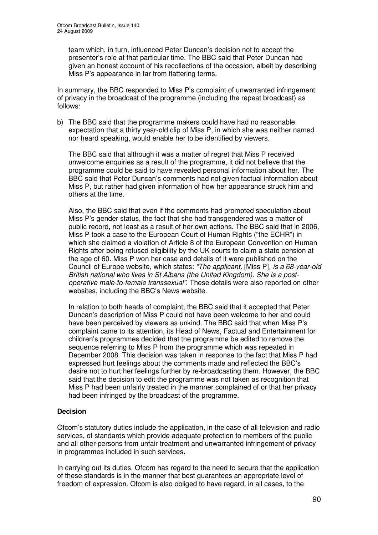team which, in turn, influenced Peter Duncan's decision not to accept the presenter's role at that particular time. The BBC said that Peter Duncan had given an honest account of his recollections of the occasion, albeit by describing Miss P's appearance in far from flattering terms.

In summary, the BBC responded to Miss P's complaint of unwarranted infringement of privacy in the broadcast of the programme (including the repeat broadcast) as follows:

b) The BBC said that the programme makers could have had no reasonable expectation that a thirty year-old clip of Miss P, in which she was neither named nor heard speaking, would enable her to be identified by viewers.

The BBC said that although it was a matter of regret that Miss P received unwelcome enquiries as a result of the programme, it did not believe that the programme could be said to have revealed personal information about her. The BBC said that Peter Duncan's comments had not given factual information about Miss P, but rather had given information of how her appearance struck him and others at the time.

Also, the BBC said that even if the comments had prompted speculation about Miss P's gender status, the fact that she had transgendered was a matter of public record, not least as a result of her own actions. The BBC said that in 2006, Miss P took a case to the European Court of Human Rights ("the ECHR") in which she claimed a violation of Article 8 of the European Convention on Human Rights after being refused eligibility by the UK courts to claim a state pension at the age of 60. Miss P won her case and details of it were published on the Council of Europe website, which states: *"The applicant,* [Miss P]*, is a 68-year-old British national who lives in St Albans (the United Kingdom). She is a postoperative male-to-female transsexual".* These details were also reported on other websites, including the BBC's News website.

In relation to both heads of complaint, the BBC said that it accepted that Peter Duncan's description of Miss P could not have been welcome to her and could have been perceived by viewers as unkind. The BBC said that when Miss P's complaint came to its attention, its Head of News, Factual and Entertainment for children's programmes decided that the programme be edited to remove the sequence referring to Miss P from the programme which was repeated in December 2008. This decision was taken in response to the fact that Miss P had expressed hurt feelings about the comments made and reflected the BBC's desire not to hurt her feelings further by re-broadcasting them. However, the BBC said that the decision to edit the programme was not taken as recognition that Miss P had been unfairly treated in the manner complained of or that her privacy had been infringed by the broadcast of the programme.

### **Decision**

Ofcom's statutory duties include the application, in the case of all television and radio services, of standards which provide adequate protection to members of the public and all other persons from unfair treatment and unwarranted infringement of privacy in programmes included in such services.

In carrying out its duties, Ofcom has regard to the need to secure that the application of these standards is in the manner that best guarantees an appropriate level of freedom of expression. Ofcom is also obliged to have regard, in all cases, to the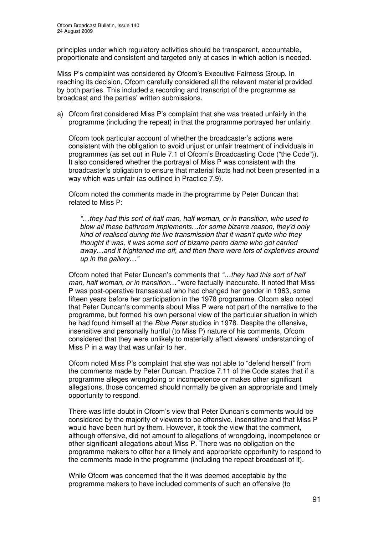principles under which regulatory activities should be transparent, accountable, proportionate and consistent and targeted only at cases in which action is needed.

Miss P's complaint was considered by Ofcom's Executive Fairness Group. In reaching its decision, Ofcom carefully considered all the relevant material provided by both parties. This included a recording and transcript of the programme as broadcast and the parties' written submissions.

a) Ofcom first considered Miss P's complaint that she was treated unfairly in the programme (including the repeat) in that the programme portrayed her unfairly.

Ofcom took particular account of whether the broadcaster's actions were consistent with the obligation to avoid unjust or unfair treatment of individuals in programmes (as set out in Rule 7.1 of Ofcom's Broadcasting Code ("the Code")). It also considered whether the portrayal of Miss P was consistent with the broadcaster's obligation to ensure that material facts had not been presented in a way which was unfair (as outlined in Practice 7.9).

Ofcom noted the comments made in the programme by Peter Duncan that related to Miss P:

*"…they had this sort of half man, half woman, or in transition, who used to blow all these bathroom implements…for some bizarre reason, they'd only kind of realised during the live transmission that it wasn't quite who they thought it was, it was some sort of bizarre panto dame who got carried away…and it frightened me off, and then there were lots of expletives around up in the gallery…"*

Ofcom noted that Peter Duncan's comments that *"…they had this sort of half man, half woman, or in transition…"* were factually inaccurate. It noted that Miss P was post-operative transsexual who had changed her gender in 1963, some fifteen years before her participation in the 1978 programme. Ofcom also noted that Peter Duncan's comments about Miss P were not part of the narrative to the programme, but formed his own personal view of the particular situation in which he had found himself at the *Blue Peter* studios in 1978. Despite the offensive, insensitive and personally hurtful (to Miss P) nature of his comments, Ofcom considered that they were unlikely to materially affect viewers' understanding of Miss P in a way that was unfair to her.

Ofcom noted Miss P's complaint that she was not able to "defend herself" from the comments made by Peter Duncan. Practice 7.11 of the Code states that if a programme alleges wrongdoing or incompetence or makes other significant allegations, those concerned should normally be given an appropriate and timely opportunity to respond.

There was little doubt in Ofcom's view that Peter Duncan's comments would be considered by the majority of viewers to be offensive, insensitive and that Miss P would have been hurt by them. However, it took the view that the comment, although offensive, did not amount to allegations of wrongdoing, incompetence or other significant allegations about Miss P. There was no obligation on the programme makers to offer her a timely and appropriate opportunity to respond to the comments made in the programme (including the repeat broadcast of it).

While Ofcom was concerned that the it was deemed acceptable by the programme makers to have included comments of such an offensive (to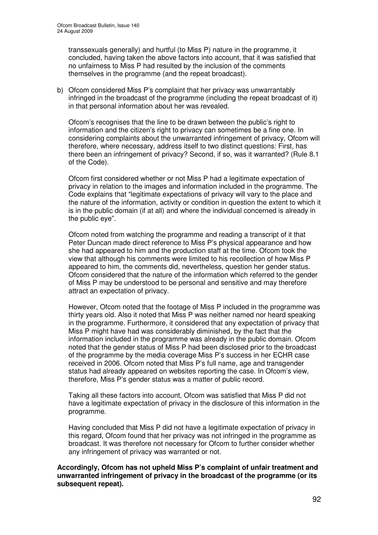transsexuals generally) and hurtful (to Miss P) nature in the programme, it concluded, having taken the above factors into account, that it was satisfied that no unfairness to Miss P had resulted by the inclusion of the comments themselves in the programme (and the repeat broadcast).

b) Ofcom considered Miss P's complaint that her privacy was unwarrantably infringed in the broadcast of the programme (including the repeat broadcast of it) in that personal information about her was revealed.

Ofcom's recognises that the line to be drawn between the public's right to information and the citizen's right to privacy can sometimes be a fine one. In considering complaints about the unwarranted infringement of privacy, Ofcom will therefore, where necessary, address itself to two distinct questions: First, has there been an infringement of privacy? Second, if so, was it warranted? (Rule 8.1 of the Code).

Ofcom first considered whether or not Miss P had a legitimate expectation of privacy in relation to the images and information included in the programme. The Code explains that "legitimate expectations of privacy will vary to the place and the nature of the information, activity or condition in question the extent to which it is in the public domain (if at all) and where the individual concerned is already in the public eye".

Ofcom noted from watching the programme and reading a transcript of it that Peter Duncan made direct reference to Miss P's physical appearance and how she had appeared to him and the production staff at the time. Ofcom took the view that although his comments were limited to his recollection of how Miss P appeared to him, the comments did, nevertheless, question her gender status. Ofcom considered that the nature of the information which referred to the gender of Miss P may be understood to be personal and sensitive and may therefore attract an expectation of privacy.

However, Ofcom noted that the footage of Miss P included in the programme was thirty years old. Also it noted that Miss P was neither named nor heard speaking in the programme. Furthermore, it considered that any expectation of privacy that Miss P might have had was considerably diminished, by the fact that the information included in the programme was already in the public domain. Ofcom noted that the gender status of Miss P had been disclosed prior to the broadcast of the programme by the media coverage Miss P's success in her ECHR case received in 2006. Ofcom noted that Miss P's full name, age and transgender status had already appeared on websites reporting the case. In Ofcom's view, therefore, Miss P's gender status was a matter of public record.

Taking all these factors into account, Ofcom was satisfied that Miss P did not have a legitimate expectation of privacy in the disclosure of this information in the programme.

Having concluded that Miss P did not have a legitimate expectation of privacy in this regard, Ofcom found that her privacy was not infringed in the programme as broadcast. It was therefore not necessary for Ofcom to further consider whether any infringement of privacy was warranted or not.

**Accordingly, Ofcom has not upheld Miss P's complaint of unfair treatment and unwarranted infringement of privacy in the broadcast of the programme (or its subsequent repeat).**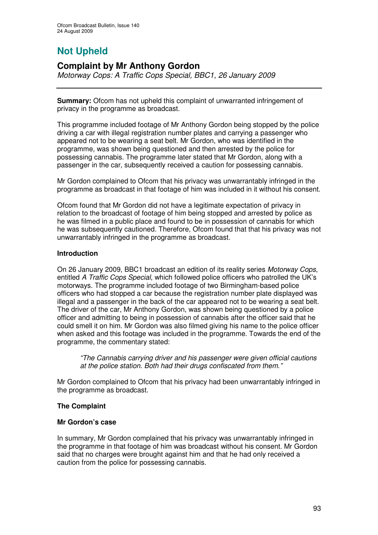# **Not Upheld**

## **Complaint by Mr Anthony Gordon**

*Motorway Cops: A Traffic Cops Special, BBC1, 26 January 2009*

**Summary:** Ofcom has not upheld this complaint of unwarranted infringement of privacy in the programme as broadcast.

This programme included footage of Mr Anthony Gordon being stopped by the police driving a car with illegal registration number plates and carrying a passenger who appeared not to be wearing a seat belt. Mr Gordon, who was identified in the programme, was shown being questioned and then arrested by the police for possessing cannabis. The programme later stated that Mr Gordon, along with a passenger in the car, subsequently received a caution for possessing cannabis.

Mr Gordon complained to Ofcom that his privacy was unwarrantably infringed in the programme as broadcast in that footage of him was included in it without his consent.

Ofcom found that Mr Gordon did not have a legitimate expectation of privacy in relation to the broadcast of footage of him being stopped and arrested by police as he was filmed in a public place and found to be in possession of cannabis for which he was subsequently cautioned. Therefore, Ofcom found that that his privacy was not unwarrantably infringed in the programme as broadcast.

### **Introduction**

On 26 January 2009, BBC1 broadcast an edition of its reality series *Motorway Cops*, entitled *A Traffic Cops Special*, which followed police officers who patrolled the UK's motorways. The programme included footage of two Birmingham-based police officers who had stopped a car because the registration number plate displayed was illegal and a passenger in the back of the car appeared not to be wearing a seat belt. The driver of the car, Mr Anthony Gordon, was shown being questioned by a police officer and admitting to being in possession of cannabis after the officer said that he could smell it on him. Mr Gordon was also filmed giving his name to the police officer when asked and this footage was included in the programme. Towards the end of the programme, the commentary stated:

*"The Cannabis carrying driver and his passenger were given official cautions at the police station. Both had their drugs confiscated from them*.*"*

Mr Gordon complained to Ofcom that his privacy had been unwarrantably infringed in the programme as broadcast.

### **The Complaint**

### **Mr Gordon's case**

In summary, Mr Gordon complained that his privacy was unwarrantably infringed in the programme in that footage of him was broadcast without his consent. Mr Gordon said that no charges were brought against him and that he had only received a caution from the police for possessing cannabis.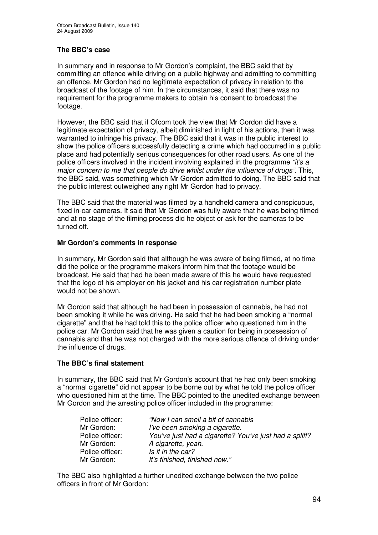### **The BBC's case**

In summary and in response to Mr Gordon's complaint, the BBC said that by committing an offence while driving on a public highway and admitting to committing an offence, Mr Gordon had no legitimate expectation of privacy in relation to the broadcast of the footage of him. In the circumstances, it said that there was no requirement for the programme makers to obtain his consent to broadcast the footage.

However, the BBC said that if Ofcom took the view that Mr Gordon did have a legitimate expectation of privacy, albeit diminished in light of his actions, then it was warranted to infringe his privacy. The BBC said that it was in the public interest to show the police officers successfully detecting a crime which had occurred in a public place and had potentially serious consequences for other road users. As one of the police officers involved in the incident involving explained in the programme *"it's a major concern to me that people do drive whilst under the influence of drugs"*. This, the BBC said, was something which Mr Gordon admitted to doing. The BBC said that the public interest outweighed any right Mr Gordon had to privacy.

The BBC said that the material was filmed by a handheld camera and conspicuous, fixed in-car cameras. It said that Mr Gordon was fully aware that he was being filmed and at no stage of the filming process did he object or ask for the cameras to be turned off.

### **Mr Gordon's comments in response**

In summary, Mr Gordon said that although he was aware of being filmed, at no time did the police or the programme makers inform him that the footage would be broadcast. He said that had he been made aware of this he would have requested that the logo of his employer on his jacket and his car registration number plate would not be shown.

Mr Gordon said that although he had been in possession of cannabis, he had not been smoking it while he was driving. He said that he had been smoking a "normal cigarette" and that he had told this to the police officer who questioned him in the police car. Mr Gordon said that he was given a caution for being in possession of cannabis and that he was not charged with the more serious offence of driving under the influence of drugs.

### **The BBC's final statement**

In summary, the BBC said that Mr Gordon's account that he had only been smoking a "normal cigarette" did not appear to be borne out by what he told the police officer who questioned him at the time. The BBC pointed to the unedited exchange between Mr Gordon and the arresting police officer included in the programme:

| Police officer: | "Now I can smell a bit of cannabis"                    |
|-----------------|--------------------------------------------------------|
| Mr Gordon:      | I've been smoking a cigarette.                         |
| Police officer: | You've just had a cigarette? You've just had a spliff? |
| Mr Gordon:      | A cigarette, yeah.                                     |
| Police officer: | Is it in the car?                                      |
| Mr Gordon:      | It's finished, finished now."                          |

The BBC also highlighted a further unedited exchange between the two police officers in front of Mr Gordon: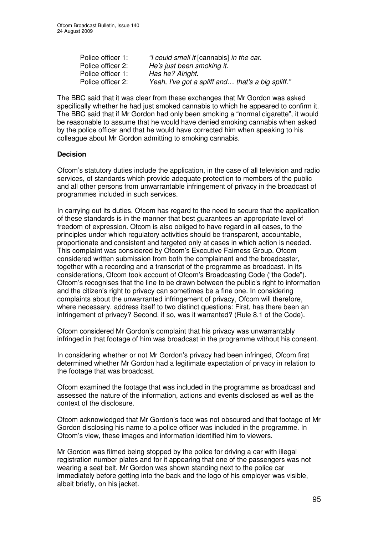| Police officer 1: | "I could smell it [cannabis] in the car.          |
|-------------------|---------------------------------------------------|
| Police officer 2: | He's just been smoking it.                        |
| Police officer 1: | Has he? Alright.                                  |
| Police officer 2: | Yeah, I've got a spliff and that's a big spliff." |

The BBC said that it was clear from these exchanges that Mr Gordon was asked specifically whether he had just smoked cannabis to which he appeared to confirm it. The BBC said that if Mr Gordon had only been smoking a "normal cigarette", it would be reasonable to assume that he would have denied smoking cannabis when asked by the police officer and that he would have corrected him when speaking to his colleague about Mr Gordon admitting to smoking cannabis.

### **Decision**

Ofcom's statutory duties include the application, in the case of all television and radio services, of standards which provide adequate protection to members of the public and all other persons from unwarrantable infringement of privacy in the broadcast of programmes included in such services.

In carrying out its duties, Ofcom has regard to the need to secure that the application of these standards is in the manner that best guarantees an appropriate level of freedom of expression. Ofcom is also obliged to have regard in all cases, to the principles under which regulatory activities should be transparent, accountable, proportionate and consistent and targeted only at cases in which action is needed. This complaint was considered by Ofcom's Executive Fairness Group. Ofcom considered written submission from both the complainant and the broadcaster, together with a recording and a transcript of the programme as broadcast. In its considerations, Ofcom took account of Ofcom's Broadcasting Code ("the Code"). Ofcom's recognises that the line to be drawn between the public's right to information and the citizen's right to privacy can sometimes be a fine one. In considering complaints about the unwarranted infringement of privacy, Ofcom will therefore, where necessary, address itself to two distinct questions: First, has there been an infringement of privacy? Second, if so, was it warranted? (Rule 8.1 of the Code).

Ofcom considered Mr Gordon's complaint that his privacy was unwarrantably infringed in that footage of him was broadcast in the programme without his consent.

In considering whether or not Mr Gordon's privacy had been infringed, Ofcom first determined whether Mr Gordon had a legitimate expectation of privacy in relation to the footage that was broadcast.

Ofcom examined the footage that was included in the programme as broadcast and assessed the nature of the information, actions and events disclosed as well as the context of the disclosure.

Ofcom acknowledged that Mr Gordon's face was not obscured and that footage of Mr Gordon disclosing his name to a police officer was included in the programme. In Ofcom's view, these images and information identified him to viewers.

Mr Gordon was filmed being stopped by the police for driving a car with illegal registration number plates and for it appearing that one of the passengers was not wearing a seat belt. Mr Gordon was shown standing next to the police car immediately before getting into the back and the logo of his employer was visible, albeit briefly, on his jacket.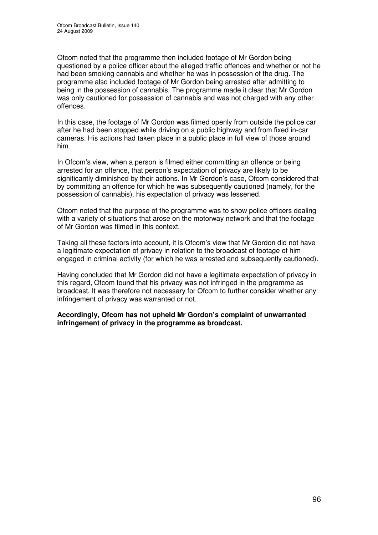Ofcom noted that the programme then included footage of Mr Gordon being questioned by a police officer about the alleged traffic offences and whether or not he had been smoking cannabis and whether he was in possession of the drug. The programme also included footage of Mr Gordon being arrested after admitting to being in the possession of cannabis. The programme made it clear that Mr Gordon was only cautioned for possession of cannabis and was not charged with any other offences.

In this case, the footage of Mr Gordon was filmed openly from outside the police car after he had been stopped while driving on a public highway and from fixed in-car cameras. His actions had taken place in a public place in full view of those around him.

In Ofcom's view, when a person is filmed either committing an offence or being arrested for an offence, that person's expectation of privacy are likely to be significantly diminished by their actions. In Mr Gordon's case, Ofcom considered that by committing an offence for which he was subsequently cautioned (namely, for the possession of cannabis), his expectation of privacy was lessened.

Ofcom noted that the purpose of the programme was to show police officers dealing with a variety of situations that arose on the motorway network and that the footage of Mr Gordon was filmed in this context.

Taking all these factors into account, it is Ofcom's view that Mr Gordon did not have a legitimate expectation of privacy in relation to the broadcast of footage of him engaged in criminal activity (for which he was arrested and subsequently cautioned).

Having concluded that Mr Gordon did not have a legitimate expectation of privacy in this regard, Ofcom found that his privacy was not infringed in the programme as broadcast. It was therefore not necessary for Ofcom to further consider whether any infringement of privacy was warranted or not.

**Accordingly, Ofcom has not upheld Mr Gordon's complaint of unwarranted infringement of privacy in the programme as broadcast.**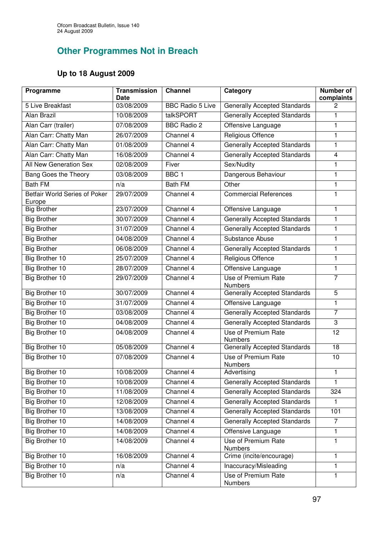## **Other Programmes Not in Breach**

### **Up to 18 August 2009**

| Programme                                      | <b>Transmission</b><br>Date | <b>Channel</b>          | Category                              | <b>Number of</b><br>complaints |
|------------------------------------------------|-----------------------------|-------------------------|---------------------------------------|--------------------------------|
| 5 Live Breakfast                               | 03/08/2009                  | <b>BBC Radio 5 Live</b> | <b>Generally Accepted Standards</b>   | 2                              |
| Alan Brazil                                    | 10/08/2009                  | talkSPORT               | <b>Generally Accepted Standards</b>   | 1                              |
| Alan Carr (trailer)                            | 07/08/2009                  | <b>BBC Radio 2</b>      | Offensive Language                    | 1                              |
| Alan Carr: Chatty Man                          | 26/07/2009                  | Channel 4               | <b>Religious Offence</b>              | 1                              |
| Alan Carr: Chatty Man                          | 01/08/2009                  | Channel 4               | <b>Generally Accepted Standards</b>   | 1                              |
| Alan Carr: Chatty Man                          | 16/08/2009                  | Channel 4               | <b>Generally Accepted Standards</b>   | 4                              |
| All New Generation Sex                         | 02/08/2009                  | Fiver                   | Sex/Nudity                            | $\mathbf{1}$                   |
| Bang Goes the Theory                           | 03/08/2009                  | BBC <sub>1</sub>        | Dangerous Behaviour                   | $\mathbf{1}$                   |
| <b>Bath FM</b>                                 | n/a                         | <b>Bath FM</b>          | Other                                 | 1                              |
| <b>Betfair World Series of Poker</b><br>Europe | 29/07/2009                  | Channel 4               | <b>Commercial References</b>          | 1                              |
| <b>Big Brother</b>                             | 23/07/2009                  | Channel 4               | Offensive Language                    | 1                              |
| <b>Big Brother</b>                             | 30/07/2009                  | Channel 4               | <b>Generally Accepted Standards</b>   | 1                              |
| <b>Big Brother</b>                             | 31/07/2009                  | Channel 4               | <b>Generally Accepted Standards</b>   | $\mathbf{1}$                   |
| <b>Big Brother</b>                             | 04/08/2009                  | Channel 4               | Substance Abuse                       | 1                              |
| <b>Big Brother</b>                             | 06/08/2009                  | Channel 4               | <b>Generally Accepted Standards</b>   | $\mathbf{1}$                   |
| <b>Big Brother 10</b>                          | 25/07/2009                  | Channel 4               | <b>Religious Offence</b>              | 1                              |
| Big Brother 10                                 | 28/07/2009                  | Channel 4               | Offensive Language                    | 1                              |
| Big Brother 10                                 | 29/07/2009                  | Channel 4               | Use of Premium Rate<br><b>Numbers</b> | $\overline{7}$                 |
| Big Brother 10                                 | 30/07/2009                  | Channel 4               | <b>Generally Accepted Standards</b>   | 5                              |
| Big Brother 10                                 | 31/07/2009                  | Channel 4               | Offensive Language                    | 1                              |
| <b>Big Brother 10</b>                          | 03/08/2009                  | Channel 4               | <b>Generally Accepted Standards</b>   | $\overline{7}$                 |
| Big Brother 10                                 | 04/08/2009                  | Channel 4               | <b>Generally Accepted Standards</b>   | 3                              |
| Big Brother 10                                 | 04/08/2009                  | Channel 4               | Use of Premium Rate<br><b>Numbers</b> | 12                             |
| Big Brother 10                                 | 05/08/2009                  | Channel 4               | <b>Generally Accepted Standards</b>   | 18                             |
| Big Brother 10                                 | 07/08/2009                  | Channel 4               | Use of Premium Rate<br>Numbers        | 10                             |
| Big Brother 10                                 | 10/08/2009                  | Channel 4               | Advertising                           | 1                              |
| Big Brother 10                                 | 10/08/2009                  | Channel 4               | <b>Generally Accepted Standards</b>   | 1                              |
| Big Brother 10                                 | 11/08/2009                  | Channel 4               | <b>Generally Accepted Standards</b>   | 324                            |
| Big Brother 10                                 | 12/08/2009                  | Channel 4               | Generally Accepted Standards          | 1                              |
| <b>Big Brother 10</b>                          | 13/08/2009                  | Channel 4               | <b>Generally Accepted Standards</b>   | 101                            |
| Big Brother 10                                 | 14/08/2009                  | Channel 4               | <b>Generally Accepted Standards</b>   | $\overline{7}$                 |
| Big Brother 10                                 | 14/08/2009                  | Channel 4               | Offensive Language                    | 1                              |
| Big Brother 10                                 | 14/08/2009                  | Channel 4               | Use of Premium Rate<br>Numbers        | 1                              |
| Big Brother 10                                 | 16/08/2009                  | Channel 4               | Crime (incite/encourage)              | 1                              |
| Big Brother 10                                 | n/a                         | Channel 4               | Inaccuracy/Misleading                 | $\mathbf{1}$                   |
| <b>Big Brother 10</b>                          | n/a                         | Channel 4               | Use of Premium Rate<br>Numbers        | $\mathbf{1}$                   |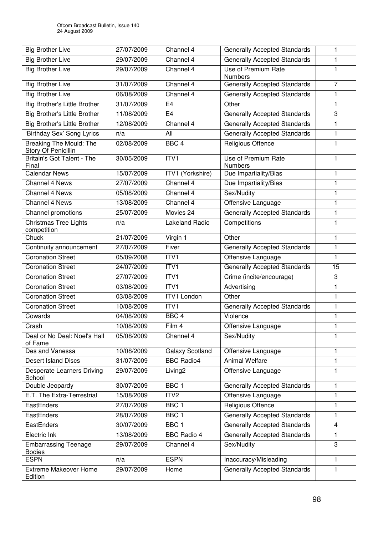| <b>Big Brother Live</b>                        | 27/07/2009 | Channel 4               | <b>Generally Accepted Standards</b>   | 1                       |
|------------------------------------------------|------------|-------------------------|---------------------------------------|-------------------------|
| <b>Big Brother Live</b>                        | 29/07/2009 | Channel 4               | <b>Generally Accepted Standards</b>   | 1                       |
| <b>Big Brother Live</b>                        | 29/07/2009 | Channel 4               | Use of Premium Rate<br><b>Numbers</b> | 1                       |
| <b>Big Brother Live</b>                        | 31/07/2009 | Channel 4               | <b>Generally Accepted Standards</b>   | $\overline{7}$          |
| <b>Big Brother Live</b>                        | 06/08/2009 | Channel 4               | <b>Generally Accepted Standards</b>   | $\mathbf{1}$            |
| <b>Big Brother's Little Brother</b>            | 31/07/2009 | E <sub>4</sub>          | Other                                 | 1                       |
| <b>Big Brother's Little Brother</b>            | 11/08/2009 | E <sub>4</sub>          | <b>Generally Accepted Standards</b>   | 3                       |
| <b>Big Brother's Little Brother</b>            | 12/08/2009 | Channel 4               | <b>Generally Accepted Standards</b>   | 1                       |
| 'Birthday Sex' Song Lyrics                     | n/a        | All                     | <b>Generally Accepted Standards</b>   | $\mathbf{1}$            |
| Breaking The Mould: The<br>Story Of Penicillin | 02/08/2009 | BBC <sub>4</sub>        | Religious Offence                     | 1                       |
| Britain's Got Talent - The<br>Final            | 30/05/2009 | ITVI                    | Use of Premium Rate<br><b>Numbers</b> | 1                       |
| <b>Calendar News</b>                           | 15/07/2009 | <b>ITV1 (Yorkshire)</b> | Due Impartiality/Bias                 | 1                       |
| <b>Channel 4 News</b>                          | 27/07/2009 | Channel 4               | Due Impartiality/Bias                 | $\mathbf{1}$            |
| Channel 4 News                                 | 05/08/2009 | Channel 4               | Sex/Nudity                            | 1                       |
| Channel 4 News                                 | 13/08/2009 | Channel 4               | Offensive Language                    | 1                       |
| Channel promotions                             | 25/07/2009 | Movies 24               | <b>Generally Accepted Standards</b>   | $\mathbf{1}$            |
| Christmas Tree Lights<br>competition           | n/a        | Lakeland Radio          | Competitions                          | 1                       |
| Chuck                                          | 21/07/2009 | Virgin 1                | Other                                 | 1                       |
| Continuity announcement                        | 27/07/2009 | Fiver                   | <b>Generally Accepted Standards</b>   | 1                       |
| <b>Coronation Street</b>                       | 05/09/2008 | ITVI                    | Offensive Language                    | 1                       |
| <b>Coronation Street</b>                       | 24/07/2009 | ITV <sub>1</sub>        | <b>Generally Accepted Standards</b>   | 15                      |
| <b>Coronation Street</b>                       | 27/07/2009 | ITV1                    | Crime (incite/encourage)              | 3                       |
| <b>Coronation Street</b>                       | 03/08/2009 | ITV1                    | Advertising                           | 1                       |
| <b>Coronation Street</b>                       | 03/08/2009 | <b>ITV1 London</b>      | Other                                 | $\mathbf{1}$            |
| <b>Coronation Street</b>                       | 10/08/2009 | ITV1                    | <b>Generally Accepted Standards</b>   | 1                       |
| Cowards                                        | 04/08/2009 | BBC <sub>4</sub>        | Violence                              | 1                       |
| Crash                                          | 10/08/2009 | Film 4                  | Offensive Language                    | $\mathbf{1}$            |
| Deal or No Deal: Noel's Hall<br>of Fame        | 05/08/2009 | Channel 4               | Sex/Nudity                            | 1                       |
| Des and Vanessa                                | 10/08/2009 | <b>Galaxy Scotland</b>  | Offensive Language                    | 1                       |
| <b>Desert Island Discs</b>                     | 31/07/2009 | <b>BBC Radio4</b>       | <b>Animal Welfare</b>                 | 1                       |
| <b>Desperate Learners Driving</b><br>School    | 29/07/2009 | Living <sub>2</sub>     | Offensive Language                    | 1                       |
| Double Jeopardy                                | 30/07/2009 | BBC <sub>1</sub>        | <b>Generally Accepted Standards</b>   | 1                       |
| E.T. The Extra-Terrestrial                     | 15/08/2009 | ITV <sub>2</sub>        | Offensive Language                    | 1                       |
| EastEnders                                     | 27/07/2009 | BBC <sub>1</sub>        | <b>Religious Offence</b>              | 1                       |
| EastEnders                                     | 28/07/2009 | BBC <sub>1</sub>        | <b>Generally Accepted Standards</b>   | 1                       |
| EastEnders                                     | 30/07/2009 | BBC <sub>1</sub>        | <b>Generally Accepted Standards</b>   | $\overline{\mathbf{4}}$ |
| Electric Ink                                   | 13/08/2009 | <b>BBC Radio 4</b>      | <b>Generally Accepted Standards</b>   | 1                       |
| <b>Embarrassing Teenage</b><br><b>Bodies</b>   | 29/07/2009 | Channel 4               | Sex/Nudity                            | 3                       |
| <b>ESPN</b>                                    | n/a        | <b>ESPN</b>             | Inaccuracy/Misleading                 | 1                       |
| <b>Extreme Makeover Home</b><br>Edition        | 29/07/2009 | Home                    | <b>Generally Accepted Standards</b>   | 1                       |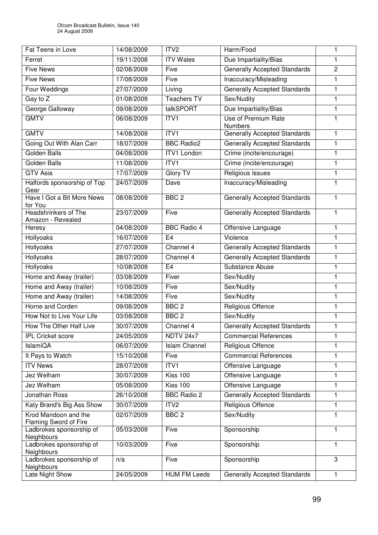| Fat Teens in Love                                | 14/08/2009 | ITV <sub>2</sub>     | Harm/Food                             | 1              |
|--------------------------------------------------|------------|----------------------|---------------------------------------|----------------|
| Ferret                                           | 19/11/2008 | <b>ITV Wales</b>     | Due Impartiality/Bias                 | 1              |
| <b>Five News</b>                                 | 02/08/2009 | Five                 | <b>Generally Accepted Standards</b>   | $\overline{2}$ |
| <b>Five News</b>                                 | 17/08/2009 | Five                 | Inaccuracy/Misleading                 | 1              |
| Four Weddings                                    | 27/07/2009 | Living               | <b>Generally Accepted Standards</b>   | 1              |
| Gay to Z                                         | 01/08/2009 | <b>Teachers TV</b>   | Sex/Nudity                            | 1              |
| George Galloway                                  | 09/08/2009 | talkSPORT            | Due Impartiality/Bias                 | 1              |
| <b>GMTV</b>                                      | 06/08/2009 | ITV1                 | Use of Premium Rate<br><b>Numbers</b> | 1              |
| <b>GMTV</b>                                      | 14/08/2009 | ITVI                 | <b>Generally Accepted Standards</b>   | 1              |
| Going Out With Alan Carr                         | 18/07/2009 | <b>BBC Radio2</b>    | <b>Generally Accepted Standards</b>   | 1              |
| <b>Golden Balls</b>                              | 04/08/2009 | <b>ITV1 London</b>   | Crime (incite/encourage)              | 1              |
| Golden Balls                                     | 11/08/2009 | ITVI                 | Crime (incite/encourage)              | 1              |
| <b>GTV Asia</b>                                  | 17/07/2009 | <b>Glory TV</b>      | Religious Issues                      | 1              |
| Halfords sponsorship of Top                      | 24/07/2009 | Dave                 | Inaccuracy/Misleading                 | 1              |
| Gear                                             |            |                      |                                       |                |
| Have I Got a Bit More News<br>for You            | 08/08/2009 | BBC <sub>2</sub>     | <b>Generally Accepted Standards</b>   | 1              |
| <b>Headshrinkers of The</b><br>Amazon - Revealed | 23/07/2009 | Five                 | <b>Generally Accepted Standards</b>   | 1              |
| Heresy                                           | 04/08/2009 | <b>BBC Radio 4</b>   | Offensive Language                    | 1              |
| Hollyoaks                                        | 16/07/2009 | E <sub>4</sub>       | Violence                              | 1              |
| Hollyoaks                                        | 27/07/2009 | Channel 4            | <b>Generally Accepted Standards</b>   | 1              |
| Hollyoaks                                        | 28/07/2009 | Channel 4            | <b>Generally Accepted Standards</b>   | 1              |
| Hollyoaks                                        | 10/08/2009 | E <sub>4</sub>       | Substance Abuse                       | 1              |
| Home and Away (trailer)                          | 03/08/2009 | Fiver                | Sex/Nudity                            | 1              |
| Home and Away (trailer)                          | 10/08/2009 | Five                 | Sex/Nudity                            | 1              |
| Home and Away (trailer)                          | 14/08/2009 | Five                 | Sex/Nudity                            | 1              |
| Horne and Corden                                 | 09/08/2009 | BBC <sub>2</sub>     | Religious Offence                     | 1              |
| How Not to Live Your Life                        | 03/08/2009 | BBC <sub>2</sub>     | Sex/Nudity                            | 1              |
| How The Other Half Live                          | 30/07/2009 | Channel 4            | <b>Generally Accepted Standards</b>   | 1              |
| <b>IPL Cricket score</b>                         | 24/05/2009 | NDTV 24x7            | <b>Commercial References</b>          | 1              |
| <b>IslamiQA</b>                                  | 06/07/2009 | <b>Islam Channel</b> | Religious Offence                     | 1              |
| It Pays to Watch                                 | 15/10/2008 | Five                 | <b>Commercial References</b>          | 1              |
| <b>ITV News</b>                                  | 28/07/2009 | ITV1                 | Offensive Language                    | 1              |
| Jez Welham                                       | 30/07/2009 | Kiss 100             | Offensive Language                    | 1              |
| Jez Welham                                       | 05/08/2009 | Kiss 100             | Offensive Language                    | 1              |
| <b>Jonathan Ross</b>                             | 26/10/2008 | <b>BBC Radio 2</b>   | <b>Generally Accepted Standards</b>   | 1              |
| Katy Brand's Big Ass Show                        | 30/07/2009 | ITV <sub>2</sub>     | Religious Offence                     | 1              |
| Krod Mandoon and the<br>Flaming Sword of Fire    | 02/07/2009 | BBC <sub>2</sub>     | Sex/Nudity                            | 1              |
| Ladbrokes sponsorship of<br>Neighbours           | 05/03/2009 | Five                 | Sponsorship                           | 1              |
| Ladbrokes sponsorship of<br>Neighbours           | 10/03/2009 | Five                 | Sponsorship                           | 1              |
| Ladbrokes sponsorship of<br>Neighbours           | n/a        | Five                 | Sponsorship                           | 3              |
| Late Night Show                                  | 24/05/2009 | <b>HUM FM Leeds</b>  | <b>Generally Accepted Standards</b>   | 1              |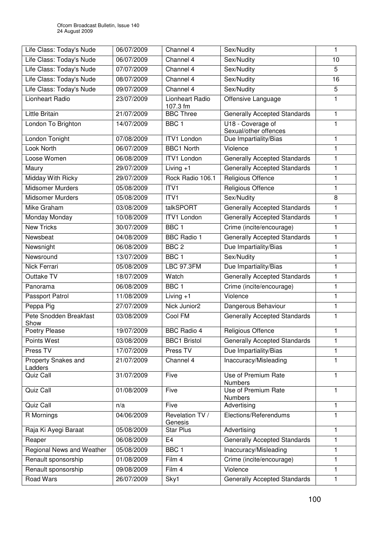| Life Class: Today's Nude              | 06/07/2009 | Channel 4                   | Sex/Nudity                                 | 1            |
|---------------------------------------|------------|-----------------------------|--------------------------------------------|--------------|
| Life Class: Today's Nude              | 06/07/2009 | Channel 4                   | Sex/Nudity                                 | 10           |
| Life Class: Today's Nude              | 07/07/2009 | Channel 4                   | Sex/Nudity                                 | 5            |
| Life Class: Today's Nude              | 08/07/2009 | Channel 4                   | Sex/Nudity                                 | 16           |
| Life Class: Today's Nude              | 09/07/2009 | Channel 4                   | Sex/Nudity                                 | 5            |
| Lionheart Radio                       | 23/07/2009 | Lionheart Radio<br>107.3 fm | Offensive Language                         | 1            |
| Little Britain                        | 21/07/2009 | <b>BBC Three</b>            | <b>Generally Accepted Standards</b>        | 1            |
| London To Brighton                    | 14/07/2009 | BBC <sub>1</sub>            | U18 - Coverage of<br>Sexual/other offences | 1            |
| London Tonight                        | 07/08/2009 | <b>ITV1</b> London          | Due Impartiality/Bias                      | 1            |
| Look North                            | 06/07/2009 | <b>BBC1 North</b>           | Violence                                   | 1            |
| Loose Women                           | 06/08/2009 | <b>ITV1 London</b>          | <b>Generally Accepted Standards</b>        | 1            |
| Maury                                 | 29/07/2009 | Living $+1$                 | <b>Generally Accepted Standards</b>        | 1            |
| Midday With Ricky                     | 29/07/2009 | Rock Radio 106.1            | Religious Offence                          | $\mathbf{1}$ |
| <b>Midsomer Murders</b>               | 05/08/2009 | ITV1                        | Religious Offence                          | 1            |
| Midsomer Murders                      | 05/08/2009 | ITV1                        | Sex/Nudity                                 | 8            |
| <b>Mike Graham</b>                    | 03/08/2009 | talkSPORT                   | <b>Generally Accepted Standards</b>        | 1            |
| Monday Monday                         | 10/08/2009 | <b>ITV1 London</b>          | <b>Generally Accepted Standards</b>        | 1            |
| <b>New Tricks</b>                     | 30/07/2009 | BBC <sub>1</sub>            | Crime (incite/encourage)                   | 1            |
| Newsbeat                              | 04/08/2009 | <b>BBC Radio 1</b>          | <b>Generally Accepted Standards</b>        | $\mathbf{1}$ |
| Newsnight                             | 06/08/2009 | BBC <sub>2</sub>            | Due Impartiality/Bias                      | $\mathbf{1}$ |
| Newsround                             | 13/07/2009 | BBC <sub>1</sub>            | Sex/Nudity                                 | 1            |
| Nick Ferrari                          | 05/08/2009 | <b>LBC 97.3FM</b>           | Due Impartiality/Bias                      | 1            |
| Outtake TV                            | 18/07/2009 | Watch                       | <b>Generally Accepted Standards</b>        | 1            |
| Panorama                              | 06/08/2009 | BBC <sub>1</sub>            | Crime (incite/encourage)                   | 1            |
| Passport Patrol                       | 11/08/2009 | $Living + 1$                | Violence                                   | 1            |
| Peppa Pig                             | 27/07/2009 | Nick Junior2                | Dangerous Behaviour                        | $\mathbf{1}$ |
| Pete Snodden Breakfast<br>Show        | 03/08/2009 | Cool FM                     | <b>Generally Accepted Standards</b>        | 1            |
| Poetry Please                         | 19/07/2009 | <b>BBC Radio 4</b>          | Religious Offence                          | $\mathbf{1}$ |
| Points West                           | 03/08/2009 | <b>BBC1 Bristol</b>         | <b>Generally Accepted Standards</b>        | 1            |
| Press TV                              | 17/07/2009 | Press TV                    | Due Impartiality/Bias                      | 1            |
| <b>Property Snakes and</b><br>Ladders | 21/07/2009 | Channel 4                   | Inaccuracy/Misleading                      | 1            |
| Quiz Call                             | 31/07/2009 | Five                        | Use of Premium Rate<br><b>Numbers</b>      | 1            |
| Quiz Call                             | 01/08/2009 | Five                        | <b>Use of Premium Rate</b><br>Numbers      | 1            |
| Quiz Call                             | n/a        | Five                        | Advertising                                | $\mathbf{1}$ |
| R Mornings                            | 04/06/2009 | Revelation TV /<br>Genesis  | Elections/Referendums                      | $\mathbf{1}$ |
| Raja Ki Ayegi Baraat                  | 05/08/2009 | <b>Star Plus</b>            | Advertising                                | $\mathbf{1}$ |
| Reaper                                | 06/08/2009 | E <sub>4</sub>              | <b>Generally Accepted Standards</b>        | $\mathbf{1}$ |
| Regional News and Weather             | 05/08/2009 | BBC <sub>1</sub>            | Inaccuracy/Misleading                      | 1            |
| Renault sponsorship                   | 01/08/2009 | Film 4                      | Crime (incite/encourage)                   | 1            |
| Renault sponsorship                   | 09/08/2009 | Film 4                      | Violence                                   | 1            |
| <b>Road Wars</b>                      | 26/07/2009 | Sky1                        | Generally Accepted Standards               | 1            |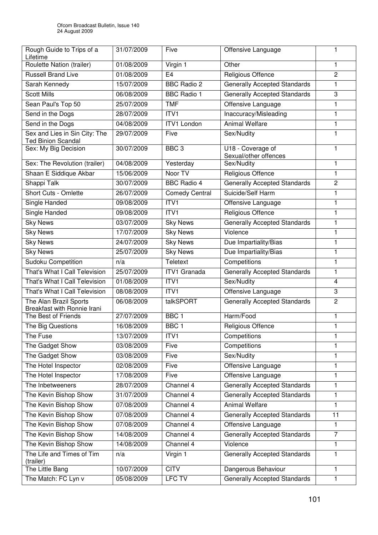| Rough Guide to Trips of a<br>Lifetime                      | 31/07/2009 | Five                  | Offensive Language                         | 1              |
|------------------------------------------------------------|------------|-----------------------|--------------------------------------------|----------------|
| Roulette Nation (trailer)                                  | 01/08/2009 | Virgin 1              | Other                                      | 1              |
| <b>Russell Brand Live</b>                                  | 01/08/2009 | E4                    | Religious Offence                          | $\overline{2}$ |
| Sarah Kennedy                                              | 15/07/2009 | <b>BBC Radio 2</b>    | <b>Generally Accepted Standards</b>        | 1              |
| <b>Scott Mills</b>                                         | 06/08/2009 | <b>BBC Radio 1</b>    | <b>Generally Accepted Standards</b>        | 3              |
| Sean Paul's Top 50                                         | 25/07/2009 | <b>TMF</b>            | Offensive Language                         | 1              |
| Send in the Dogs                                           | 28/07/2009 | ITV1                  | Inaccuracy/Misleading                      | 1              |
| Send in the Dogs                                           | 04/08/2009 | <b>ITV1 London</b>    | <b>Animal Welfare</b>                      | 1              |
| Sex and Lies in Sin City: The<br><b>Ted Binion Scandal</b> | 29/07/2009 | Five                  | Sex/Nudity                                 | 1              |
| Sex: My Big Decision                                       | 30/07/2009 | BBC <sub>3</sub>      | U18 - Coverage of<br>Sexual/other offences | 1              |
| Sex: The Revolution (trailer)                              | 04/08/2009 | Yesterday             | Sex/Nudity                                 | 1              |
| Shaan E Siddique Akbar                                     | 15/06/2009 | Noor TV               | Religious Offence                          | 1              |
| Shappi Talk                                                | 30/07/2009 | <b>BBC Radio 4</b>    | <b>Generally Accepted Standards</b>        | $\overline{c}$ |
| <b>Short Cuts - Omlette</b>                                | 26/07/2009 | <b>Comedy Central</b> | Suicide/Self Harm                          | 1              |
| Single Handed                                              | 09/08/2009 | ITV1                  | Offensive Language                         | 1              |
| Single Handed                                              | 09/08/2009 | ITV <sub>1</sub>      | Religious Offence                          | 1              |
| <b>Sky News</b>                                            | 03/07/2009 | <b>Sky News</b>       | <b>Generally Accepted Standards</b>        | 1              |
| <b>Sky News</b>                                            | 17/07/2009 | <b>Sky News</b>       | Violence                                   | 1              |
| <b>Sky News</b>                                            | 24/07/2009 | <b>Sky News</b>       | Due Impartiality/Bias                      | 1              |
| <b>Sky News</b>                                            | 25/07/2009 | <b>Sky News</b>       | Due Impartiality/Bias                      | 1              |
| <b>Sudoku Competition</b>                                  | n/a        | Teletext              | Competitions                               | 1              |
| That's What I Call Television                              | 25/07/2009 | <b>ITV1 Granada</b>   | <b>Generally Accepted Standards</b>        | 1              |
| That's What I Call Television                              | 01/08/2009 | ITV1                  | Sex/Nudity                                 | 4              |
| That's What I Call Television                              | 08/08/2009 | ITV <sub>1</sub>      | Offensive Language                         | 3              |
| The Alan Brazil Sports<br>Breakfast with Ronnie Irani      | 06/08/2009 | talkSPORT             | <b>Generally Accepted Standards</b>        | $\overline{c}$ |
| The Best of Friends                                        | 27/07/2009 | BBC <sub>1</sub>      | Harm/Food                                  | 1              |
| The Big Questions                                          | 16/08/2009 | BBC <sub>1</sub>      | Religious Offence                          | 1              |
| The Fuse                                                   | 13/07/2009 | ITV1                  | Competitions                               | 1              |
| The Gadget Show                                            | 03/08/2009 | Five                  | Competitions                               | 1              |
| The Gadget Show                                            | 03/08/2009 | Five                  | Sex/Nudity                                 | 1              |
| The Hotel Inspector                                        | 02/08/2009 | Five                  | Offensive Language                         | 1              |
| The Hotel Inspector                                        | 17/08/2009 | Five                  | Offensive Language                         | 1              |
| The Inbetweeners                                           | 28/07/2009 | Channel 4             | <b>Generally Accepted Standards</b>        | 1              |
| The Kevin Bishop Show                                      | 31/07/2009 | Channel 4             | <b>Generally Accepted Standards</b>        | $\mathbf{1}$   |
| The Kevin Bishop Show                                      | 07/08/2009 | Channel 4             | <b>Animal Welfare</b>                      | 1              |
| The Kevin Bishop Show                                      | 07/08/2009 | Channel 4             | <b>Generally Accepted Standards</b>        | 11             |
| The Kevin Bishop Show                                      | 07/08/2009 | Channel 4             | Offensive Language                         | 1              |
| The Kevin Bishop Show                                      | 14/08/2009 | Channel 4             | <b>Generally Accepted Standards</b>        | 7              |
| The Kevin Bishop Show                                      | 14/08/2009 | Channel 4             | Violence                                   | 1              |
| The Life and Times of Tim<br>(trailer)                     | n/a        | Virgin 1              | <b>Generally Accepted Standards</b>        | 1              |
| The Little Bang                                            | 10/07/2009 | <b>CITV</b>           | Dangerous Behaviour                        | 1              |
| The Match: FC Lyn v                                        | 05/08/2009 | <b>LFC TV</b>         | <b>Generally Accepted Standards</b>        | 1              |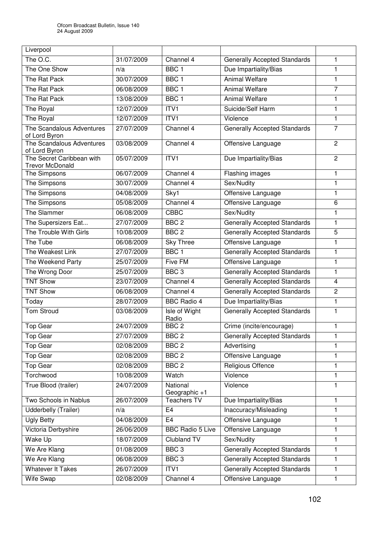| Liverpool                                           |            |                             |                                     |                         |
|-----------------------------------------------------|------------|-----------------------------|-------------------------------------|-------------------------|
| The O.C.                                            | 31/07/2009 | Channel 4                   | <b>Generally Accepted Standards</b> | 1                       |
| The One Show                                        | n/a        | BBC <sub>1</sub>            | Due Impartiality/Bias               | $\mathbf{1}$            |
| The Rat Pack                                        | 30/07/2009 | BBC <sub>1</sub>            | <b>Animal Welfare</b>               | $\mathbf{1}$            |
| The Rat Pack                                        | 06/08/2009 | BBC <sub>1</sub>            | <b>Animal Welfare</b>               | $\overline{7}$          |
| The Rat Pack                                        | 13/08/2009 | BBC <sub>1</sub>            | <b>Animal Welfare</b>               | $\mathbf{1}$            |
| The Royal                                           | 12/07/2009 | ITV <sub>1</sub>            | Suicide/Self Harm                   | $\mathbf{1}$            |
| The Royal                                           | 12/07/2009 | ITV1                        | Violence                            | 1                       |
| The Scandalous Adventures<br>of Lord Byron          | 27/07/2009 | Channel 4                   | <b>Generally Accepted Standards</b> | $\overline{7}$          |
| The Scandalous Adventures<br>of Lord Byron          | 03/08/2009 | Channel 4                   | Offensive Language                  | $\overline{2}$          |
| The Secret Caribbean with<br><b>Trevor McDonald</b> | 05/07/2009 | ITV <sub>1</sub>            | Due Impartiality/Bias               | 2                       |
| The Simpsons                                        | 06/07/2009 | Channel 4                   | Flashing images                     | 1                       |
| The Simpsons                                        | 30/07/2009 | Channel 4                   | Sex/Nudity                          | 1                       |
| The Simpsons                                        | 04/08/2009 | Sky1                        | Offensive Language                  | 1                       |
| The Simpsons                                        | 05/08/2009 | Channel 4                   | Offensive Language                  | 6                       |
| The Slammer                                         | 06/08/2009 | <b>CBBC</b>                 | Sex/Nudity                          | 1                       |
| The Supersizers Eat                                 | 27/07/2009 | BBC <sub>2</sub>            | <b>Generally Accepted Standards</b> | $\mathbf{1}$            |
| The Trouble With Girls                              | 10/08/2009 | BBC <sub>2</sub>            | <b>Generally Accepted Standards</b> | 5                       |
| The Tube                                            | 06/08/2009 | <b>Sky Three</b>            | Offensive Language                  | $\mathbf{1}$            |
| The Weakest Link                                    | 27/07/2009 | BBC <sub>1</sub>            | <b>Generally Accepted Standards</b> | $\mathbf{1}$            |
| The Weekend Party                                   | 25/07/2009 | <b>Five FM</b>              | Offensive Language                  | 1                       |
| The Wrong Door                                      | 25/07/2009 | BBC <sub>3</sub>            | <b>Generally Accepted Standards</b> | 1                       |
| <b>TNT Show</b>                                     | 23/07/2009 | Channel 4                   | <b>Generally Accepted Standards</b> | $\overline{\mathbf{4}}$ |
| <b>TNT Show</b>                                     | 06/08/2009 | Channel 4                   | <b>Generally Accepted Standards</b> | 2                       |
| Today                                               | 28/07/2009 | <b>BBC Radio 4</b>          | Due Impartiality/Bias               | $\mathbf{1}$            |
| <b>Tom Stroud</b>                                   | 03/08/2009 | Isle of Wight<br>Radio      | <b>Generally Accepted Standards</b> | 1                       |
| Top Gear                                            | 24/07/2009 | BBC <sub>2</sub>            | Crime (incite/encourage)            | 1                       |
| <b>Top Gear</b>                                     | 27/07/2009 | BBC <sub>2</sub>            | <b>Generally Accepted Standards</b> | 1                       |
| Top Gear                                            | 02/08/2009 | BBC <sub>2</sub>            | Advertising                         | $\mathbf{1}$            |
| <b>Top Gear</b>                                     | 02/08/2009 | BBC <sub>2</sub>            | Offensive Language                  | 1                       |
| Top Gear                                            | 02/08/2009 | BBC <sub>2</sub>            | Religious Offence                   | $\mathbf{1}$            |
| Torchwood                                           | 10/08/2009 | Watch                       | Violence                            | $\mathbf{1}$            |
| True Blood (trailer)                                | 24/07/2009 | National<br>Geographic $+1$ | Violence                            | 1                       |
| Two Schools in Nablus                               | 26/07/2009 | <b>Teachers TV</b>          | Due Impartiality/Bias               | $\mathbf{1}$            |
| Udderbelly (Trailer)                                | n/a        | E4                          | Inaccuracy/Misleading               | 1                       |
| <b>Ugly Betty</b>                                   | 04/08/2009 | E <sub>4</sub>              | Offensive Language                  | 1                       |
| Victoria Derbyshire                                 | 26/06/2009 | <b>BBC Radio 5 Live</b>     | Offensive Language                  | $\mathbf{1}$            |
| Wake Up                                             | 18/07/2009 | Clubland TV                 | Sex/Nudity                          | 1                       |
| We Are Klang                                        | 01/08/2009 | BBC <sub>3</sub>            | <b>Generally Accepted Standards</b> | $\mathbf{1}$            |
| We Are Klang                                        | 06/08/2009 | BBC <sub>3</sub>            | <b>Generally Accepted Standards</b> | $\mathbf{1}$            |
| <b>Whatever It Takes</b>                            | 26/07/2009 | ITV1                        | <b>Generally Accepted Standards</b> | 1                       |
| Wife Swap                                           | 02/08/2009 | Channel 4                   | Offensive Language                  | 1                       |